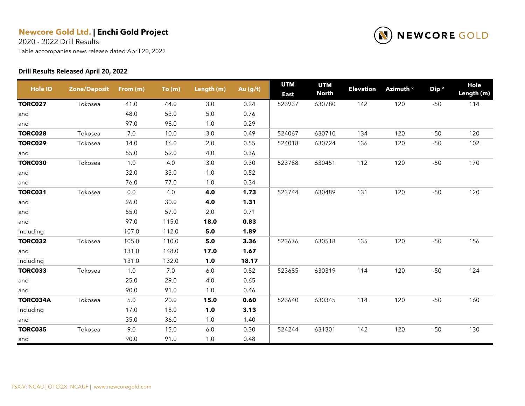2020 - 2022 Drill Results

Table accompanies news release dated April 20, 2022

#### **Drill Results Released April 20, 2022**



| <b>Hole ID</b> | <b>Zone/Deposit</b> | From (m) | To(m) | Length (m) | Au (g/t) | <b>UTM</b><br><b>East</b> | <b>UTM</b><br><b>North</b> | <b>Elevation</b> | Azimuth <sup>o</sup> | Dip <sup>o</sup> | Hole<br>Length (m) |
|----------------|---------------------|----------|-------|------------|----------|---------------------------|----------------------------|------------------|----------------------|------------------|--------------------|
| <b>TORC027</b> | Tokosea             | 41.0     | 44.0  | 3.0        | 0.24     | 523937                    | 630780                     | 142              | 120                  | $-50$            | 114                |
| and            |                     | 48.0     | 53.0  | 5.0        | 0.76     |                           |                            |                  |                      |                  |                    |
| and            |                     | 97.0     | 98.0  | 1.0        | 0.29     |                           |                            |                  |                      |                  |                    |
| <b>TORC028</b> | Tokosea             | 7.0      | 10.0  | 3.0        | 0.49     | 524067                    | 630710                     | 134              | 120                  | $-50$            | 120                |
| <b>TORC029</b> | Tokosea             | 14.0     | 16.0  | 2.0        | 0.55     | 524018                    | 630724                     | 136              | 120                  | $-50$            | 102                |
| and            |                     | 55.0     | 59.0  | 4.0        | 0.36     |                           |                            |                  |                      |                  |                    |
| <b>TORC030</b> | Tokosea             | 1.0      | 4.0   | 3.0        | 0.30     | 523788                    | 630451                     | 112              | 120                  | $-50$            | 170                |
| and            |                     | 32.0     | 33.0  | 1.0        | 0.52     |                           |                            |                  |                      |                  |                    |
| and            |                     | 76.0     | 77.0  | 1.0        | 0.34     |                           |                            |                  |                      |                  |                    |
| <b>TORC031</b> | Tokosea             | $0.0\,$  | 4.0   | 4.0        | 1.73     | 523744                    | 630489                     | 131              | 120                  | $-50$            | 120                |
| and            |                     | 26.0     | 30.0  | 4.0        | 1.31     |                           |                            |                  |                      |                  |                    |
| and            |                     | 55.0     | 57.0  | 2.0        | 0.71     |                           |                            |                  |                      |                  |                    |
| and            |                     | 97.0     | 115.0 | 18.0       | 0.83     |                           |                            |                  |                      |                  |                    |
| including      |                     | 107.0    | 112.0 | 5.0        | 1.89     |                           |                            |                  |                      |                  |                    |
| <b>TORC032</b> | Tokosea             | 105.0    | 110.0 | 5.0        | 3.36     | 523676                    | 630518                     | 135              | 120                  | $-50$            | 156                |
| and            |                     | 131.0    | 148.0 | 17.0       | 1.67     |                           |                            |                  |                      |                  |                    |
| including      |                     | 131.0    | 132.0 | 1.0        | 18.17    |                           |                            |                  |                      |                  |                    |
| <b>TORC033</b> | Tokosea             | 1.0      | 7.0   | 6.0        | 0.82     | 523685                    | 630319                     | 114              | 120                  | $-50$            | 124                |
| and            |                     | 25.0     | 29.0  | 4.0        | 0.65     |                           |                            |                  |                      |                  |                    |
| and            |                     | 90.0     | 91.0  | 1.0        | 0.46     |                           |                            |                  |                      |                  |                    |
| TORC034A       | Tokosea             | $5.0\,$  | 20.0  | 15.0       | 0.60     | 523640                    | 630345                     | 114              | 120                  | $-50$            | 160                |
| including      |                     | 17.0     | 18.0  | 1.0        | 3.13     |                           |                            |                  |                      |                  |                    |
| and            |                     | 35.0     | 36.0  | 1.0        | 1.40     |                           |                            |                  |                      |                  |                    |
| <b>TORC035</b> | Tokosea             | 9.0      | 15.0  | 6.0        | 0.30     | 524244                    | 631301                     | 142              | 120                  | $-50$            | 130                |
| and            |                     | 90.0     | 91.0  | 1.0        | 0.48     |                           |                            |                  |                      |                  |                    |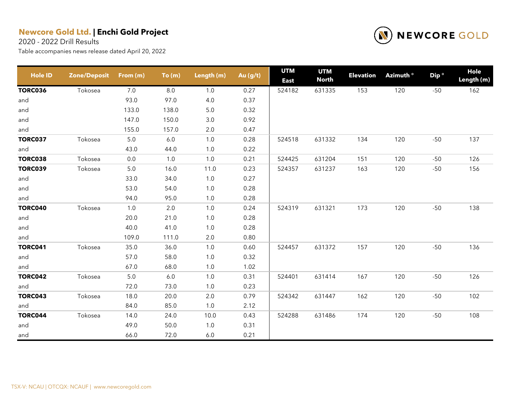2020 - 2022 Drill Results



| <b>Hole ID</b> | <b>Zone/Deposit</b> | From (m) | To(m) | Length (m) | Au $(g/t)$ | <b>UTM</b><br><b>East</b> | <b>UTM</b><br><b>North</b> | <b>Elevation</b> | Azimuth <sup>o</sup> | Dip <sup>o</sup> | Hole<br>Length (m) |
|----------------|---------------------|----------|-------|------------|------------|---------------------------|----------------------------|------------------|----------------------|------------------|--------------------|
| <b>TORC036</b> | Tokosea             | 7.0      | 8.0   | 1.0        | 0.27       | 524182                    | 631335                     | 153              | 120                  | $-50$            | 162                |
| and            |                     | 93.0     | 97.0  | 4.0        | 0.37       |                           |                            |                  |                      |                  |                    |
| and            |                     | 133.0    | 138.0 | $5.0$      | 0.32       |                           |                            |                  |                      |                  |                    |
| and            |                     | 147.0    | 150.0 | 3.0        | 0.92       |                           |                            |                  |                      |                  |                    |
| and            |                     | 155.0    | 157.0 | 2.0        | 0.47       |                           |                            |                  |                      |                  |                    |
| <b>TORC037</b> | Tokosea             | $5.0\,$  | 6.0   | 1.0        | 0.28       | 524518                    | 631332                     | 134              | 120                  | $-50$            | 137                |
| and            |                     | 43.0     | 44.0  | 1.0        | 0.22       |                           |                            |                  |                      |                  |                    |
| <b>TORC038</b> | Tokosea             | 0.0      | 1.0   | 1.0        | 0.21       | 524425                    | 631204                     | 151              | 120                  | $-50$            | 126                |
| <b>TORC039</b> | Tokosea             | $5.0\,$  | 16.0  | 11.0       | 0.23       | 524357                    | 631237                     | 163              | 120                  | $-50$            | 156                |
| and            |                     | 33.0     | 34.0  | 1.0        | 0.27       |                           |                            |                  |                      |                  |                    |
| and            |                     | 53.0     | 54.0  | 1.0        | 0.28       |                           |                            |                  |                      |                  |                    |
| and            |                     | 94.0     | 95.0  | 1.0        | 0.28       |                           |                            |                  |                      |                  |                    |
| <b>TORC040</b> | Tokosea             | 1.0      | 2.0   | 1.0        | 0.24       | 524319                    | 631321                     | 173              | 120                  | $-50$            | 138                |
| and            |                     | 20.0     | 21.0  | $1.0$      | 0.28       |                           |                            |                  |                      |                  |                    |
| and            |                     | 40.0     | 41.0  | 1.0        | 0.28       |                           |                            |                  |                      |                  |                    |
| and            |                     | 109.0    | 111.0 | 2.0        | 0.80       |                           |                            |                  |                      |                  |                    |
| <b>TORC041</b> | Tokosea             | 35.0     | 36.0  | 1.0        | 0.60       | 524457                    | 631372                     | 157              | 120                  | $-50$            | 136                |
| and            |                     | 57.0     | 58.0  | 1.0        | 0.32       |                           |                            |                  |                      |                  |                    |
| and            |                     | 67.0     | 68.0  | 1.0        | 1.02       |                           |                            |                  |                      |                  |                    |
| <b>TORC042</b> | Tokosea             | $5.0\,$  | 6.0   | 1.0        | 0.31       | 524401                    | 631414                     | 167              | 120                  | $-50$            | 126                |
| and            |                     | 72.0     | 73.0  | 1.0        | 0.23       |                           |                            |                  |                      |                  |                    |
| <b>TORC043</b> | Tokosea             | 18.0     | 20.0  | 2.0        | 0.79       | 524342                    | 631447                     | 162              | 120                  | $-50$            | 102                |
| and            |                     | 84.0     | 85.0  | 1.0        | 2.12       |                           |                            |                  |                      |                  |                    |
| <b>TORC044</b> | Tokosea             | 14.0     | 24.0  | 10.0       | 0.43       | 524288                    | 631486                     | 174              | 120                  | $-50$            | 108                |
| and            |                     | 49.0     | 50.0  | 1.0        | 0.31       |                           |                            |                  |                      |                  |                    |
| and            |                     | 66.0     | 72.0  | $6.0\,$    | 0.21       |                           |                            |                  |                      |                  |                    |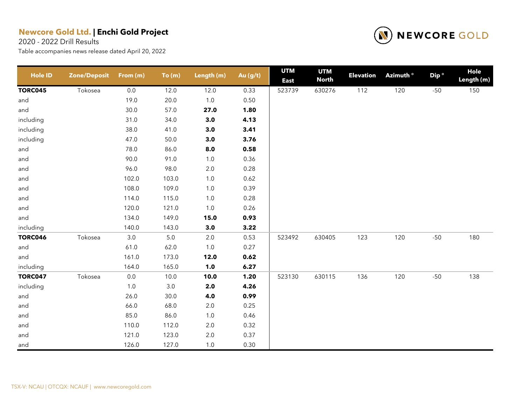2020 - 2022 Drill Results



| <b>Hole ID</b> | <b>Zone/Deposit</b> | From (m) | To(m)   | Length (m) | Au (g/t) | <b>UTM</b><br><b>East</b> | <b>UTM</b><br><b>North</b> | <b>Elevation</b> | Azimuth <sup>o</sup> | Dip <sup>o</sup> | <b>Hole</b><br>Length (m) |
|----------------|---------------------|----------|---------|------------|----------|---------------------------|----------------------------|------------------|----------------------|------------------|---------------------------|
| <b>TORC045</b> | Tokosea             | 0.0      | 12.0    | 12.0       | 0.33     | 523739                    | 630276                     | 112              | 120                  | $-50$            | 150                       |
| and            |                     | 19.0     | 20.0    | $1.0\,$    | 0.50     |                           |                            |                  |                      |                  |                           |
| and            |                     | 30.0     | 57.0    | 27.0       | 1.80     |                           |                            |                  |                      |                  |                           |
| including      |                     | 31.0     | 34.0    | 3.0        | 4.13     |                           |                            |                  |                      |                  |                           |
| including      |                     | 38.0     | 41.0    | $3.0$      | 3.41     |                           |                            |                  |                      |                  |                           |
| including      |                     | 47.0     | 50.0    | 3.0        | 3.76     |                           |                            |                  |                      |                  |                           |
| and            |                     | 78.0     | 86.0    | 8.0        | 0.58     |                           |                            |                  |                      |                  |                           |
| and            |                     | 90.0     | 91.0    | $1.0$      | 0.36     |                           |                            |                  |                      |                  |                           |
| and            |                     | 96.0     | 98.0    | $2.0\,$    | 0.28     |                           |                            |                  |                      |                  |                           |
| and            |                     | 102.0    | 103.0   | $1.0\,$    | 0.62     |                           |                            |                  |                      |                  |                           |
| and            |                     | 108.0    | 109.0   | $1.0\,$    | 0.39     |                           |                            |                  |                      |                  |                           |
| and            |                     | 114.0    | 115.0   | $1.0$      | 0.28     |                           |                            |                  |                      |                  |                           |
| and            |                     | 120.0    | 121.0   | $1.0$      | 0.26     |                           |                            |                  |                      |                  |                           |
| and            |                     | 134.0    | 149.0   | 15.0       | 0.93     |                           |                            |                  |                      |                  |                           |
| including      |                     | 140.0    | 143.0   | 3.0        | 3.22     |                           |                            |                  |                      |                  |                           |
| <b>TORC046</b> | Tokosea             | $3.0\,$  | $5.0\,$ | $2.0\,$    | 0.53     | 523492                    | 630405                     | 123              | 120                  | $-50$            | 180                       |
| and            |                     | 61.0     | 62.0    | $1.0$      | 0.27     |                           |                            |                  |                      |                  |                           |
| and            |                     | 161.0    | 173.0   | 12.0       | 0.62     |                           |                            |                  |                      |                  |                           |
| including      |                     | 164.0    | 165.0   | 1.0        | 6.27     |                           |                            |                  |                      |                  |                           |
| <b>TORC047</b> | Tokosea             | $0.0\,$  | 10.0    | 10.0       | 1.20     | 523130                    | 630115                     | 136              | 120                  | $-50$            | 138                       |
| including      |                     | 1.0      | $3.0\,$ | 2.0        | 4.26     |                           |                            |                  |                      |                  |                           |
| and            |                     | 26.0     | 30.0    | 4.0        | 0.99     |                           |                            |                  |                      |                  |                           |
| and            |                     | 66.0     | 68.0    | $2.0\,$    | 0.25     |                           |                            |                  |                      |                  |                           |
| and            |                     | 85.0     | 86.0    | $1.0\,$    | 0.46     |                           |                            |                  |                      |                  |                           |
| and            |                     | 110.0    | 112.0   | $2.0\,$    | 0.32     |                           |                            |                  |                      |                  |                           |
| and            |                     | 121.0    | 123.0   | $2.0\,$    | 0.37     |                           |                            |                  |                      |                  |                           |
| and            |                     | 126.0    | 127.0   | 1.0        | 0.30     |                           |                            |                  |                      |                  |                           |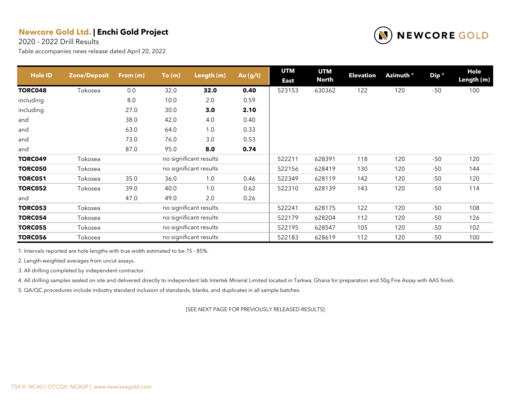2020 - 2022 Drill Results

Table accompanies news release dated April 20, 2022



| <b>Hole ID</b> | <b>Zone/Deposit</b> | From (m) | To(m) | Length (m)             | Au (g/t) | <b>UTM</b>  | <b>UTM</b>   | <b>Elevation</b> | Azimuth ° | Dip <sup>o</sup> | Hole       |
|----------------|---------------------|----------|-------|------------------------|----------|-------------|--------------|------------------|-----------|------------------|------------|
|                |                     |          |       |                        |          | <b>East</b> | <b>North</b> |                  |           |                  | Length (m) |
| <b>TORC048</b> | Tokosea             | 0.0      | 32.0  | 32.0                   | 0.40     | 523153      | 630362       | 122              | 120       | $-50$            | 100        |
| including      |                     | 8.0      | 10.0  | 2.0                    | 0.59     |             |              |                  |           |                  |            |
| including      |                     | 27.0     | 30.0  | 3.0                    | 2.10     |             |              |                  |           |                  |            |
| and            |                     | 38.0     | 42.0  | 4.0                    | 0.40     |             |              |                  |           |                  |            |
| and            |                     | 63.0     | 64.0  | 1.0                    | 0.33     |             |              |                  |           |                  |            |
| and            |                     | 73.0     | 76.0  | 3.0                    | 0.53     |             |              |                  |           |                  |            |
| and            |                     | 87.0     | 95.0  | 8.0                    | 0.74     |             |              |                  |           |                  |            |
| <b>TORC049</b> | Tokosea             |          |       | no significant results |          | 522211      | 628391       | 118              | 120       | $-50$            | 120        |
| <b>TORC050</b> | Tokosea             |          |       | no significant results |          | 522156      | 628419       | 130              | 120       | $-50$            | 144        |
| <b>TORC051</b> | Tokosea             | 35.0     | 36.0  | 1.0                    | 0.46     | 522349      | 628119       | 142              | 120       | $-50$            | 120        |
| <b>TORC052</b> | Tokosea             | 39.0     | 40.0  | 1.0                    | 0.62     | 522310      | 628139       | 143              | 120       | $-50$            | 114        |
| and            |                     | 47.0     | 49.0  | 2.0                    | 0.26     |             |              |                  |           |                  |            |
| <b>TORC053</b> | Tokosea             |          |       | no significant results |          | 522241      | 628175       | 122              | 120       | $-50$            | 108        |
| <b>TORC054</b> | Tokosea             |          |       | no significant results |          | 522179      | 628204       | 112              | 120       | $-50$            | 126        |
| <b>TORC055</b> | Tokosea             |          |       | no significant results |          | 522195      | 628547       | 105              | 120       | $-50$            | 102        |
| <b>TORC056</b> | Tokosea             |          |       | no significant results |          | 522183      | 628619       | 112              | 120       | $-50$            | 100        |

1. Intervals reported are hole lengths with true width estimated to be 75 - 85%.

2. Length-weighted averages from uncut assays.

3. All drilling completed by independent contractor.

4. All drilling samples sealed on site and delivered directly to independent lab Intertek Mineral Limited located in Tarkwa, Ghana for preparation and 50g Fire Assay with AAS finish.

5. QA/QC procedures include industry standard inclusion of standards, blanks, and duplicates in all sample batches.

[SEE NEXT PAGE FOR PREVIOUSLY RELEASED RESULTS]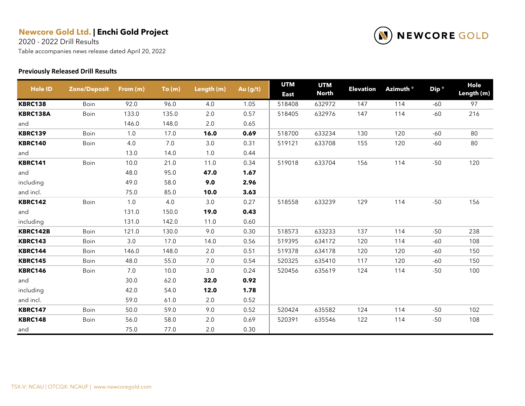2020 - 2022 Drill Results

Table accompanies news release dated April 20, 2022

#### **Previously Released Drill Results**



| <b>Hole ID</b> | <b>Zone/Deposit</b> | From (m) | To(m)   | Length (m) | Au (g/t) | <b>UTM</b><br><b>East</b> | <b>UTM</b><br><b>North</b> | <b>Elevation</b> | Azimuth <sup>o</sup> | Dip <sup>o</sup> | Hole<br>Length (m) |
|----------------|---------------------|----------|---------|------------|----------|---------------------------|----------------------------|------------------|----------------------|------------------|--------------------|
| <b>KBRC138</b> | Boin                | 92.0     | 96.0    | 4.0        | 1.05     | 518408                    | 632972                     | 147              | 114                  | -60              | 97                 |
| KBRC138A       | Boin                | 133.0    | 135.0   | 2.0        | 0.57     | 518405                    | 632976                     | 147              | 114                  | $-60$            | 216                |
| and            |                     | 146.0    | 148.0   | 2.0        | 0.65     |                           |                            |                  |                      |                  |                    |
| <b>KBRC139</b> | Boin                | 1.0      | 17.0    | 16.0       | 0.69     | 518700                    | 633234                     | 130              | 120                  | $-60$            | 80                 |
| <b>KBRC140</b> | Boin                | 4.0      | $7.0\,$ | 3.0        | 0.31     | 519121                    | 633708                     | 155              | 120                  | $-60$            | 80                 |
| and            |                     | 13.0     | 14.0    | 1.0        | 0.44     |                           |                            |                  |                      |                  |                    |
| <b>KBRC141</b> | Boin                | 10.0     | 21.0    | 11.0       | 0.34     | 519018                    | 633704                     | 156              | 114                  | $-50$            | 120                |
| and            |                     | 48.0     | 95.0    | 47.0       | 1.67     |                           |                            |                  |                      |                  |                    |
| including      |                     | 49.0     | 58.0    | 9.0        | 2.96     |                           |                            |                  |                      |                  |                    |
| and incl.      |                     | 75.0     | 85.0    | 10.0       | 3.63     |                           |                            |                  |                      |                  |                    |
| <b>KBRC142</b> | Boin                | 1.0      | 4.0     | 3.0        | 0.27     | 518558                    | 633239                     | 129              | 114                  | $-50$            | 156                |
| and            |                     | 131.0    | 150.0   | 19.0       | 0.43     |                           |                            |                  |                      |                  |                    |
| including      |                     | 131.0    | 142.0   | 11.0       | 0.60     |                           |                            |                  |                      |                  |                    |
| KBRC142B       | Boin                | 121.0    | 130.0   | 9.0        | 0.30     | 518573                    | 633233                     | 137              | 114                  | $-50$            | 238                |
| <b>KBRC143</b> | Boin                | 3.0      | 17.0    | 14.0       | 0.56     | 519395                    | 634172                     | 120              | 114                  | $-60$            | 108                |
| <b>KBRC144</b> | <b>Boin</b>         | 146.0    | 148.0   | 2.0        | 0.51     | 519378                    | 634178                     | 120              | 120                  | -60              | 150                |
| <b>KBRC145</b> | <b>Boin</b>         | 48.0     | 55.0    | 7.0        | 0.54     | 520325                    | 635410                     | 117              | 120                  | $-60$            | 150                |
| <b>KBRC146</b> | Boin                | 7.0      | 10.0    | 3.0        | 0.24     | 520456                    | 635619                     | 124              | 114                  | $-50$            | 100                |
| and            |                     | 30.0     | 62.0    | 32.0       | 0.92     |                           |                            |                  |                      |                  |                    |
| including      |                     | 42.0     | 54.0    | 12.0       | 1.78     |                           |                            |                  |                      |                  |                    |
| and incl.      |                     | 59.0     | 61.0    | 2.0        | 0.52     |                           |                            |                  |                      |                  |                    |
| <b>KBRC147</b> | Boin                | 50.0     | 59.0    | 9.0        | 0.52     | 520424                    | 635582                     | 124              | 114                  | $-50$            | 102                |
| <b>KBRC148</b> | Boin                | 56.0     | 58.0    | 2.0        | 0.69     | 520391                    | 635546                     | 122              | 114                  | $-50$            | 108                |
| and            |                     | 75.0     | 77.0    | 2.0        | 0.30     |                           |                            |                  |                      |                  |                    |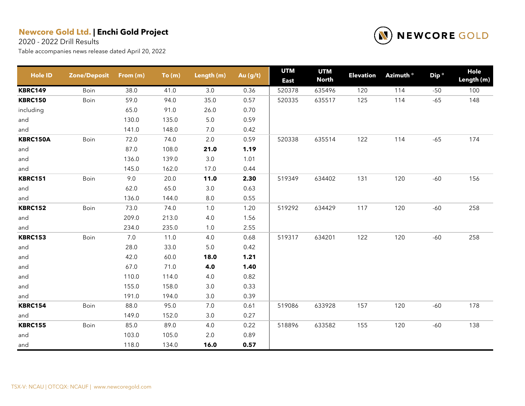2020 - 2022 Drill Results



| <b>Hole ID</b>  | <b>Zone/Deposit</b> | From (m) | To(m) | Length (m) | Au (g/t) | <b>UTM</b><br><b>East</b> | <b>UTM</b><br><b>North</b> | <b>Elevation</b> | Azimuth <sup>o</sup> | Dip <sup>o</sup> | Hole<br>Length (m) |
|-----------------|---------------------|----------|-------|------------|----------|---------------------------|----------------------------|------------------|----------------------|------------------|--------------------|
| <b>KBRC149</b>  | Boin                | 38.0     | 41.0  | 3.0        | 0.36     | 520378                    | 635496                     | 120              | 114                  | $-50$            | 100                |
| <b>KBRC150</b>  | Boin                | 59.0     | 94.0  | 35.0       | 0.57     | 520335                    | 635517                     | 125              | 114                  | $-65$            | 148                |
| including       |                     | 65.0     | 91.0  | 26.0       | 0.70     |                           |                            |                  |                      |                  |                    |
| and             |                     | 130.0    | 135.0 | $5.0\,$    | 0.59     |                           |                            |                  |                      |                  |                    |
| and             |                     | 141.0    | 148.0 | 7.0        | 0.42     |                           |                            |                  |                      |                  |                    |
| <b>KBRC150A</b> | Boin                | 72.0     | 74.0  | $2.0\,$    | 0.59     | 520338                    | 635514                     | 122              | 114                  | $-65$            | 174                |
| and             |                     | 87.0     | 108.0 | 21.0       | 1.19     |                           |                            |                  |                      |                  |                    |
| and             |                     | 136.0    | 139.0 | $3.0\,$    | 1.01     |                           |                            |                  |                      |                  |                    |
| and             |                     | 145.0    | 162.0 | 17.0       | 0.44     |                           |                            |                  |                      |                  |                    |
| <b>KBRC151</b>  | Boin                | 9.0      | 20.0  | 11.0       | 2.30     | 519349                    | 634402                     | 131              | 120                  | $-60$            | 156                |
| and             |                     | 62.0     | 65.0  | 3.0        | 0.63     |                           |                            |                  |                      |                  |                    |
| and             |                     | 136.0    | 144.0 | 8.0        | 0.55     |                           |                            |                  |                      |                  |                    |
| <b>KBRC152</b>  | Boin                | 73.0     | 74.0  | $1.0$      | 1.20     | 519292                    | 634429                     | 117              | 120                  | $-60$            | 258                |
| and             |                     | 209.0    | 213.0 | $4.0\,$    | 1.56     |                           |                            |                  |                      |                  |                    |
| and             |                     | 234.0    | 235.0 | 1.0        | 2.55     |                           |                            |                  |                      |                  |                    |
| <b>KBRC153</b>  | Boin                | 7.0      | 11.0  | 4.0        | 0.68     | 519317                    | 634201                     | 122              | 120                  | $-60$            | 258                |
| and             |                     | 28.0     | 33.0  | 5.0        | 0.42     |                           |                            |                  |                      |                  |                    |
| and             |                     | 42.0     | 60.0  | 18.0       | 1.21     |                           |                            |                  |                      |                  |                    |
| and             |                     | 67.0     | 71.0  | 4.0        | 1.40     |                           |                            |                  |                      |                  |                    |
| and             |                     | 110.0    | 114.0 | 4.0        | 0.82     |                           |                            |                  |                      |                  |                    |
| and             |                     | 155.0    | 158.0 | 3.0        | 0.33     |                           |                            |                  |                      |                  |                    |
| and             |                     | 191.0    | 194.0 | 3.0        | 0.39     |                           |                            |                  |                      |                  |                    |
| <b>KBRC154</b>  | Boin                | 88.0     | 95.0  | $7.0$      | 0.61     | 519086                    | 633928                     | 157              | 120                  | $-60$            | 178                |
| and             |                     | 149.0    | 152.0 | 3.0        | 0.27     |                           |                            |                  |                      |                  |                    |
| <b>KBRC155</b>  | Boin                | 85.0     | 89.0  | 4.0        | 0.22     | 518896                    | 633582                     | 155              | 120                  | $-60$            | 138                |
| and             |                     | 103.0    | 105.0 | $2.0\,$    | 0.89     |                           |                            |                  |                      |                  |                    |
| and             |                     | 118.0    | 134.0 | 16.0       | 0.57     |                           |                            |                  |                      |                  |                    |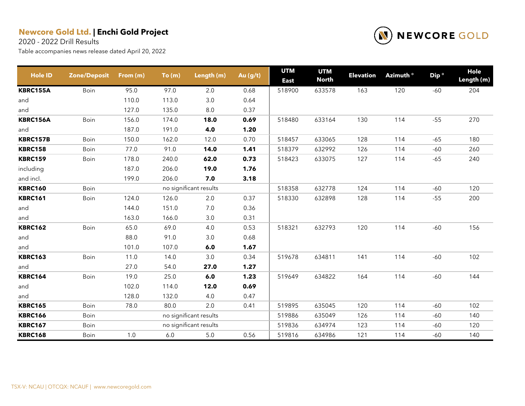2020 - 2022 Drill Results



| <b>Hole ID</b>  | <b>Zone/Deposit</b> | From (m) | To(m) | Length (m)             | Au (g/t) | <b>UTM</b><br><b>East</b> | <b>UTM</b><br><b>North</b> | <b>Elevation</b> | Azimuth <sup>o</sup> | Dip <sup>o</sup> | Hole<br>Length (m) |
|-----------------|---------------------|----------|-------|------------------------|----------|---------------------------|----------------------------|------------------|----------------------|------------------|--------------------|
| KBRC155A        | Boin                | 95.0     | 97.0  | 2.0                    | 0.68     | 518900                    | 633578                     | 163              | 120                  | $-60$            | 204                |
| and             |                     | 110.0    | 113.0 | 3.0                    | 0.64     |                           |                            |                  |                      |                  |                    |
| and             |                     | 127.0    | 135.0 | 8.0                    | 0.37     |                           |                            |                  |                      |                  |                    |
| <b>KBRC156A</b> | Boin                | 156.0    | 174.0 | 18.0                   | 0.69     | 518480                    | 633164                     | 130              | 114                  | $-55$            | 270                |
| and             |                     | 187.0    | 191.0 | 4.0                    | 1.20     |                           |                            |                  |                      |                  |                    |
| <b>KBRC157B</b> | Boin                | 150.0    | 162.0 | 12.0                   | 0.70     | 518457                    | 633065                     | 128              | 114                  | $-65$            | 180                |
| <b>KBRC158</b>  | Boin                | 77.0     | 91.0  | 14.0                   | 1.41     | 518379                    | 632992                     | 126              | 114                  | $-60$            | 260                |
| <b>KBRC159</b>  | Boin                | 178.0    | 240.0 | 62.0                   | 0.73     | 518423                    | 633075                     | 127              | 114                  | $-65$            | 240                |
| including       |                     | 187.0    | 206.0 | 19.0                   | 1.76     |                           |                            |                  |                      |                  |                    |
| and incl.       |                     | 199.0    | 206.0 | 7.0                    | 3.18     |                           |                            |                  |                      |                  |                    |
| <b>KBRC160</b>  | Boin                |          |       | no significant results |          | 518358                    | 632778                     | 124              | 114                  | -60              | 120                |
| <b>KBRC161</b>  | Boin                | 124.0    | 126.0 | 2.0                    | 0.37     | 518330                    | 632898                     | 128              | 114                  | $-55$            | 200                |
| and             |                     | 144.0    | 151.0 | $7.0\,$                | 0.36     |                           |                            |                  |                      |                  |                    |
| and             |                     | 163.0    | 166.0 | 3.0                    | 0.31     |                           |                            |                  |                      |                  |                    |
| <b>KBRC162</b>  | Boin                | 65.0     | 69.0  | 4.0                    | 0.53     | 518321                    | 632793                     | 120              | 114                  | $-60$            | 156                |
| and             |                     | 88.0     | 91.0  | $3.0\,$                | 0.68     |                           |                            |                  |                      |                  |                    |
| and             |                     | 101.0    | 107.0 | 6.0                    | 1.67     |                           |                            |                  |                      |                  |                    |
| <b>KBRC163</b>  | Boin                | 11.0     | 14.0  | 3.0                    | 0.34     | 519678                    | 634811                     | 141              | 114                  | $-60$            | 102                |
| and             |                     | 27.0     | 54.0  | 27.0                   | 1.27     |                           |                            |                  |                      |                  |                    |
| <b>KBRC164</b>  | Boin                | 19.0     | 25.0  | 6.0                    | 1.23     | 519649                    | 634822                     | 164              | 114                  | $-60$            | 144                |
| and             |                     | 102.0    | 114.0 | 12.0                   | 0.69     |                           |                            |                  |                      |                  |                    |
| and             |                     | 128.0    | 132.0 | 4.0                    | 0.47     |                           |                            |                  |                      |                  |                    |
| <b>KBRC165</b>  | Boin                | 78.0     | 80.0  | 2.0                    | 0.41     | 519895                    | 635045                     | 120              | 114                  | $-60$            | 102                |
| <b>KBRC166</b>  | Boin                |          |       | no significant results |          | 519886                    | 635049                     | 126              | 114                  | $-60$            | 140                |
| <b>KBRC167</b>  | Boin                |          |       | no significant results |          | 519836                    | 634974                     | 123              | 114                  | $-60$            | 120                |
| <b>KBRC168</b>  | Boin                | 1.0      | 6.0   | $5.0$                  | 0.56     | 519816                    | 634986                     | 121              | 114                  | $-60$            | 140                |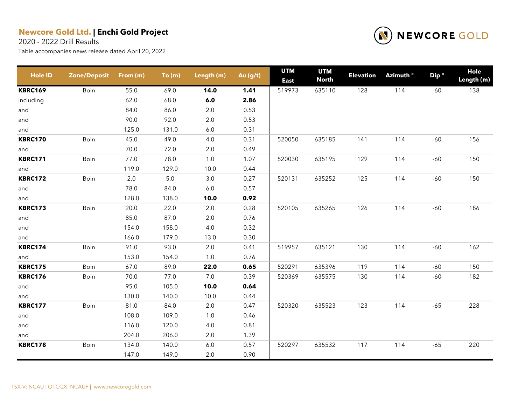2020 - 2022 Drill Results



| <b>Hole ID</b> | <b>Zone/Deposit</b> | From (m) | To(m)   | Length (m) | Au (g/t) | <b>UTM</b><br><b>East</b> | <b>UTM</b><br><b>North</b> | <b>Elevation</b> | Azimuth <sup>o</sup> | Dip <sup>o</sup> | Hole<br>Length (m) |
|----------------|---------------------|----------|---------|------------|----------|---------------------------|----------------------------|------------------|----------------------|------------------|--------------------|
| <b>KBRC169</b> | Boin                | 55.0     | 69.0    | 14.0       | 1.41     | 519973                    | 635110                     | 128              | 114                  | $-60$            | 138                |
| including      |                     | 62.0     | 68.0    | 6.0        | 2.86     |                           |                            |                  |                      |                  |                    |
| and            |                     | 84.0     | 86.0    | $2.0\,$    | 0.53     |                           |                            |                  |                      |                  |                    |
| and            |                     | 90.0     | 92.0    | 2.0        | 0.53     |                           |                            |                  |                      |                  |                    |
| and            |                     | 125.0    | 131.0   | $6.0\,$    | 0.31     |                           |                            |                  |                      |                  |                    |
| <b>KBRC170</b> | Boin                | 45.0     | 49.0    | 4.0        | 0.31     | 520050                    | 635185                     | 141              | 114                  | $-60$            | 156                |
| and            |                     | 70.0     | 72.0    | 2.0        | 0.49     |                           |                            |                  |                      |                  |                    |
| <b>KBRC171</b> | Boin                | 77.0     | 78.0    | 1.0        | 1.07     | 520030                    | 635195                     | 129              | 114                  | $-60$            | 150                |
| and            |                     | 119.0    | 129.0   | 10.0       | 0.44     |                           |                            |                  |                      |                  |                    |
| <b>KBRC172</b> | Boin                | $2.0\,$  | $5.0\,$ | $3.0\,$    | 0.27     | 520131                    | 635252                     | 125              | 114                  | $-60$            | 150                |
| and            |                     | 78.0     | 84.0    | $6.0\,$    | 0.57     |                           |                            |                  |                      |                  |                    |
| and            |                     | 128.0    | 138.0   | 10.0       | 0.92     |                           |                            |                  |                      |                  |                    |
| <b>KBRC173</b> | Boin                | 20.0     | 22.0    | $2.0\,$    | 0.28     | 520105                    | 635265                     | 126              | 114                  | $-60$            | 186                |
| and            |                     | 85.0     | 87.0    | $2.0\,$    | 0.76     |                           |                            |                  |                      |                  |                    |
| and            |                     | 154.0    | 158.0   | 4.0        | 0.32     |                           |                            |                  |                      |                  |                    |
| and            |                     | 166.0    | 179.0   | 13.0       | 0.30     |                           |                            |                  |                      |                  |                    |
| <b>KBRC174</b> | Boin                | 91.0     | 93.0    | $2.0\,$    | 0.41     | 519957                    | 635121                     | 130              | 114                  | $-60$            | 162                |
| and            |                     | 153.0    | 154.0   | 1.0        | 0.76     |                           |                            |                  |                      |                  |                    |
| <b>KBRC175</b> | Boin                | 67.0     | 89.0    | 22.0       | 0.65     | 520291                    | 635396                     | 119              | 114                  | $-60$            | 150                |
| <b>KBRC176</b> | Boin                | 70.0     | 77.0    | 7.0        | 0.39     | 520369                    | 635575                     | 130              | 114                  | $-60$            | 182                |
| and            |                     | 95.0     | 105.0   | 10.0       | 0.64     |                           |                            |                  |                      |                  |                    |
| and            |                     | 130.0    | 140.0   | 10.0       | 0.44     |                           |                            |                  |                      |                  |                    |
| <b>KBRC177</b> | Boin                | 81.0     | 84.0    | 2.0        | 0.47     | 520320                    | 635523                     | 123              | 114                  | $-65$            | 228                |
| and            |                     | 108.0    | 109.0   | $1.0$      | 0.46     |                           |                            |                  |                      |                  |                    |
| and            |                     | 116.0    | 120.0   | 4.0        | 0.81     |                           |                            |                  |                      |                  |                    |
| and            |                     | 204.0    | 206.0   | 2.0        | 1.39     |                           |                            |                  |                      |                  |                    |
| <b>KBRC178</b> | Boin                | 134.0    | 140.0   | 6.0        | 0.57     | 520297                    | 635532                     | 117              | 114                  | $-65$            | 220                |
|                |                     | 147.0    | 149.0   | 2.0        | 0.90     |                           |                            |                  |                      |                  |                    |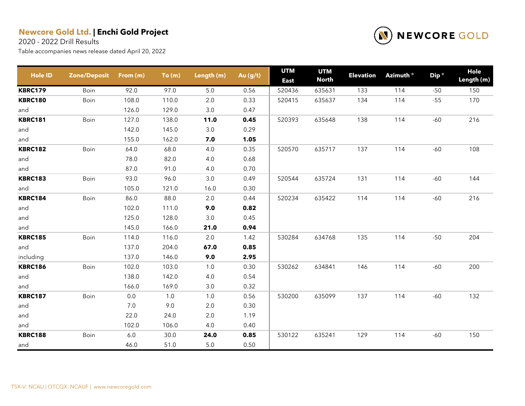2020 - 2022 Drill Results



| <b>Hole ID</b> | <b>Zone/Deposit</b> | From (m) | To(m) | Length (m) | Au (g/t) | <b>UTM</b><br><b>East</b> | <b>UTM</b><br><b>North</b> | <b>Elevation</b> | Azimuth <sup>o</sup> | Dip <sup>o</sup> | Hole<br>Length (m) |
|----------------|---------------------|----------|-------|------------|----------|---------------------------|----------------------------|------------------|----------------------|------------------|--------------------|
| <b>KBRC179</b> | Boin                | 92.0     | 97.0  | 5.0        | 0.56     | 520436                    | 635631                     | 133              | 114                  | $-50$            | 150                |
| <b>KBRC180</b> | Boin                | 108.0    | 110.0 | 2.0        | 0.33     | 520415                    | 635637                     | 134              | 114                  | $-55$            | 170                |
| and            |                     | 126.0    | 129.0 | 3.0        | 0.47     |                           |                            |                  |                      |                  |                    |
| <b>KBRC181</b> | Boin                | 127.0    | 138.0 | 11.0       | 0.45     | 520393                    | 635648                     | 138              | 114                  | $-60$            | 216                |
| and            |                     | 142.0    | 145.0 | $3.0\,$    | 0.29     |                           |                            |                  |                      |                  |                    |
| and            |                     | 155.0    | 162.0 | 7.0        | 1.05     |                           |                            |                  |                      |                  |                    |
| <b>KBRC182</b> | Boin                | 64.0     | 68.0  | 4.0        | 0.35     | 520570                    | 635717                     | 137              | 114                  | $-60$            | 108                |
| and            |                     | 78.0     | 82.0  | $4.0\,$    | 0.68     |                           |                            |                  |                      |                  |                    |
| and            |                     | 87.0     | 91.0  | 4.0        | 0.70     |                           |                            |                  |                      |                  |                    |
| <b>KBRC183</b> | Boin                | 93.0     | 96.0  | 3.0        | 0.49     | 520544                    | 635724                     | 131              | 114                  | $-60$            | 144                |
| and            |                     | 105.0    | 121.0 | 16.0       | 0.30     |                           |                            |                  |                      |                  |                    |
| <b>KBRC184</b> | Boin                | 86.0     | 88.0  | 2.0        | 0.44     | 520234                    | 635422                     | 114              | 114                  | $-60$            | 216                |
| and            |                     | 102.0    | 111.0 | 9.0        | 0.82     |                           |                            |                  |                      |                  |                    |
| and            |                     | 125.0    | 128.0 | 3.0        | 0.45     |                           |                            |                  |                      |                  |                    |
| and            |                     | 145.0    | 166.0 | 21.0       | 0.94     |                           |                            |                  |                      |                  |                    |
| <b>KBRC185</b> | Boin                | 114.0    | 116.0 | 2.0        | 1.42     | 530284                    | 634768                     | 135              | 114                  | $-50$            | 204                |
| and            |                     | 137.0    | 204.0 | 67.0       | 0.85     |                           |                            |                  |                      |                  |                    |
| including      |                     | 137.0    | 146.0 | 9.0        | 2.95     |                           |                            |                  |                      |                  |                    |
| <b>KBRC186</b> | Boin                | 102.0    | 103.0 | 1.0        | 0.30     | 530262                    | 634841                     | 146              | 114                  | $-60$            | 200                |
| and            |                     | 138.0    | 142.0 | 4.0        | 0.54     |                           |                            |                  |                      |                  |                    |
| and            |                     | 166.0    | 169.0 | 3.0        | 0.32     |                           |                            |                  |                      |                  |                    |
| <b>KBRC187</b> | Boin                | 0.0      | 1.0   | 1.0        | 0.56     | 530200                    | 635099                     | 137              | 114                  | $-60$            | 132                |
| and            |                     | 7.0      | 9.0   | 2.0        | 0.30     |                           |                            |                  |                      |                  |                    |
| and            |                     | 22.0     | 24.0  | 2.0        | 1.19     |                           |                            |                  |                      |                  |                    |
| and            |                     | 102.0    | 106.0 | 4.0        | 0.40     |                           |                            |                  |                      |                  |                    |
| <b>KBRC188</b> | Boin                | $6.0\,$  | 30.0  | 24.0       | 0.85     | 530122                    | 635241                     | 129              | 114                  | $-60$            | 150                |
| and            |                     | 46.0     | 51.0  | 5.0        | 0.50     |                           |                            |                  |                      |                  |                    |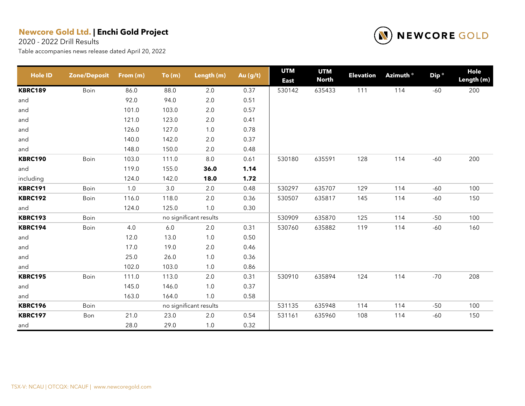2020 - 2022 Drill Results



| <b>Hole ID</b> | <b>Zone/Deposit</b> | From (m) | To(m)   | Length (m)             | Au (g/t) | <b>UTM</b><br><b>East</b> | <b>UTM</b><br><b>North</b> | <b>Elevation</b> | Azimuth <sup>o</sup> | Dip <sup>o</sup> | Hole<br>Length (m) |
|----------------|---------------------|----------|---------|------------------------|----------|---------------------------|----------------------------|------------------|----------------------|------------------|--------------------|
| <b>KBRC189</b> | Boin                | 86.0     | 88.0    | 2.0                    | 0.37     | 530142                    | 635433                     | 111              | 114                  | $-60$            | 200                |
| and            |                     | 92.0     | 94.0    | 2.0                    | 0.51     |                           |                            |                  |                      |                  |                    |
| and            |                     | 101.0    | 103.0   | $2.0\,$                | 0.57     |                           |                            |                  |                      |                  |                    |
| and            |                     | 121.0    | 123.0   | $2.0\,$                | 0.41     |                           |                            |                  |                      |                  |                    |
| and            |                     | 126.0    | 127.0   | $1.0$                  | 0.78     |                           |                            |                  |                      |                  |                    |
| and            |                     | 140.0    | 142.0   | 2.0                    | 0.37     |                           |                            |                  |                      |                  |                    |
| and            |                     | 148.0    | 150.0   | 2.0                    | 0.48     |                           |                            |                  |                      |                  |                    |
| <b>KBRC190</b> | Boin                | 103.0    | 111.0   | $8.0\,$                | 0.61     | 530180                    | 635591                     | 128              | 114                  | $-60$            | 200                |
| and            |                     | 119.0    | 155.0   | 36.0                   | 1.14     |                           |                            |                  |                      |                  |                    |
| including      |                     | 124.0    | 142.0   | 18.0                   | 1.72     |                           |                            |                  |                      |                  |                    |
| <b>KBRC191</b> | Boin                | 1.0      | 3.0     | 2.0                    | 0.48     | 530297                    | 635707                     | 129              | 114                  | $-60$            | 100                |
| <b>KBRC192</b> | Boin                | 116.0    | 118.0   | 2.0                    | 0.36     | 530507                    | 635817                     | 145              | 114                  | $-60$            | 150                |
| and            |                     | 124.0    | 125.0   | 1.0                    | 0.30     |                           |                            |                  |                      |                  |                    |
| <b>KBRC193</b> | Boin                |          |         | no significant results |          | 530909                    | 635870                     | 125              | 114                  | $-50$            | 100                |
| <b>KBRC194</b> | Boin                | 4.0      | $6.0\,$ | 2.0                    | 0.31     | 530760                    | 635882                     | 119              | 114                  | $-60$            | 160                |
| and            |                     | 12.0     | 13.0    | $1.0$                  | 0.50     |                           |                            |                  |                      |                  |                    |
| and            |                     | 17.0     | 19.0    | $2.0\,$                | 0.46     |                           |                            |                  |                      |                  |                    |
| and            |                     | 25.0     | 26.0    | $1.0$                  | 0.36     |                           |                            |                  |                      |                  |                    |
| and            |                     | 102.0    | 103.0   | 1.0                    | 0.86     |                           |                            |                  |                      |                  |                    |
| <b>KBRC195</b> | Boin                | 111.0    | 113.0   | 2.0                    | 0.31     | 530910                    | 635894                     | 124              | 114                  | $-70$            | 208                |
| and            |                     | 145.0    | 146.0   | $1.0$                  | 0.37     |                           |                            |                  |                      |                  |                    |
| and            |                     | 163.0    | 164.0   | 1.0                    | 0.58     |                           |                            |                  |                      |                  |                    |
| <b>KBRC196</b> | Boin                |          |         | no significant results |          | 531135                    | 635948                     | 114              | 114                  | $-50$            | 100                |
| <b>KBRC197</b> | Bon                 | 21.0     | 23.0    | $2.0\,$                | 0.54     | 531161                    | 635960                     | 108              | 114                  | $-60$            | 150                |
| and            |                     | 28.0     | 29.0    | $1.0$                  | 0.32     |                           |                            |                  |                      |                  |                    |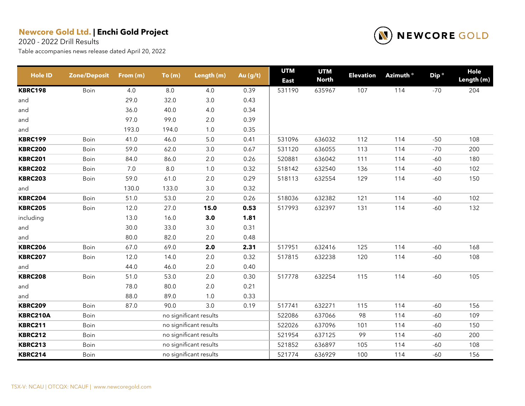2020 - 2022 Drill Results



| <b>Hole ID</b>  | <b>Zone/Deposit</b> | From (m) | To(m)   | Length (m)             | Au (g/t) | <b>UTM</b><br><b>East</b> | <b>UTM</b><br><b>North</b> | <b>Elevation</b> | Azimuth <sup>o</sup> | Dip <sup>o</sup> | Hole<br>Length (m) |
|-----------------|---------------------|----------|---------|------------------------|----------|---------------------------|----------------------------|------------------|----------------------|------------------|--------------------|
| <b>KBRC198</b>  | Boin                | 4.0      | $8.0\,$ | 4.0                    | 0.39     | 531190                    | 635967                     | 107              | 114                  | $-70$            | 204                |
| and             |                     | 29.0     | 32.0    | 3.0                    | 0.43     |                           |                            |                  |                      |                  |                    |
| and             |                     | 36.0     | 40.0    | 4.0                    | 0.34     |                           |                            |                  |                      |                  |                    |
| and             |                     | 97.0     | 99.0    | 2.0                    | 0.39     |                           |                            |                  |                      |                  |                    |
| and             |                     | 193.0    | 194.0   | $1.0$                  | 0.35     |                           |                            |                  |                      |                  |                    |
| <b>KBRC199</b>  | Boin                | 41.0     | 46.0    | $5.0$                  | 0.41     | 531096                    | 636032                     | 112              | 114                  | $-50$            | 108                |
| <b>KBRC200</b>  | Boin                | 59.0     | 62.0    | 3.0                    | 0.67     | 531120                    | 636055                     | 113              | 114                  | $-70$            | 200                |
| <b>KBRC201</b>  | Boin                | 84.0     | 86.0    | 2.0                    | 0.26     | 520881                    | 636042                     | 111              | 114                  | $-60$            | 180                |
| <b>KBRC202</b>  | Boin                | 7.0      | 8.0     | 1.0                    | 0.32     | 518142                    | 632540                     | 136              | 114                  | $-60$            | 102                |
| <b>KBRC203</b>  | Boin                | 59.0     | 61.0    | 2.0                    | 0.29     | 518113                    | 632554                     | 129              | 114                  | $-60$            | 150                |
| and             |                     | 130.0    | 133.0   | 3.0                    | 0.32     |                           |                            |                  |                      |                  |                    |
| <b>KBRC204</b>  | Boin                | 51.0     | 53.0    | 2.0                    | 0.26     | 518036                    | 632382                     | 121              | 114                  | $-60$            | 102                |
| <b>KBRC205</b>  | Boin                | 12.0     | 27.0    | 15.0                   | 0.53     | 517993                    | 632397                     | 131              | 114                  | $-60$            | 132                |
| including       |                     | 13.0     | 16.0    | 3.0                    | 1.81     |                           |                            |                  |                      |                  |                    |
| and             |                     | 30.0     | 33.0    | $3.0\,$                | 0.31     |                           |                            |                  |                      |                  |                    |
| and             |                     | 80.0     | 82.0    | 2.0                    | 0.48     |                           |                            |                  |                      |                  |                    |
| <b>KBRC206</b>  | Boin                | 67.0     | 69.0    | 2.0                    | 2.31     | 517951                    | 632416                     | 125              | 114                  | $-60$            | 168                |
| <b>KBRC207</b>  | Boin                | 12.0     | 14.0    | 2.0                    | 0.32     | 517815                    | 632238                     | 120              | 114                  | $-60$            | 108                |
| and             |                     | 44.0     | 46.0    | 2.0                    | 0.40     |                           |                            |                  |                      |                  |                    |
| <b>KBRC208</b>  | Boin                | 51.0     | 53.0    | 2.0                    | 0.30     | 517778                    | 632254                     | 115              | 114                  | $-60$            | 105                |
| and             |                     | 78.0     | 80.0    | 2.0                    | 0.21     |                           |                            |                  |                      |                  |                    |
| and             |                     | 88.0     | 89.0    | 1.0                    | 0.33     |                           |                            |                  |                      |                  |                    |
| <b>KBRC209</b>  | Boin                | 87.0     | 90.0    | 3.0                    | 0.19     | 517741                    | 632271                     | 115              | 114                  | $-60$            | 156                |
| <b>KBRC210A</b> | Boin                |          |         | no significant results |          | 522086                    | 637066                     | 98               | 114                  | $-60$            | 109                |
| <b>KBRC211</b>  | Boin                |          |         | no significant results |          | 522026                    | 637096                     | 101              | 114                  | $-60$            | 150                |
| <b>KBRC212</b>  | Boin                |          |         | no significant results |          | 521954                    | 637125                     | 99               | 114                  | $-60$            | 200                |
| <b>KBRC213</b>  | Boin                |          |         | no significant results |          | 521852                    | 636897                     | 105              | 114                  | $-60$            | 108                |
| <b>KBRC214</b>  | Boin                |          |         | no significant results |          | 521774                    | 636929                     | 100              | 114                  | $-60$            | 156                |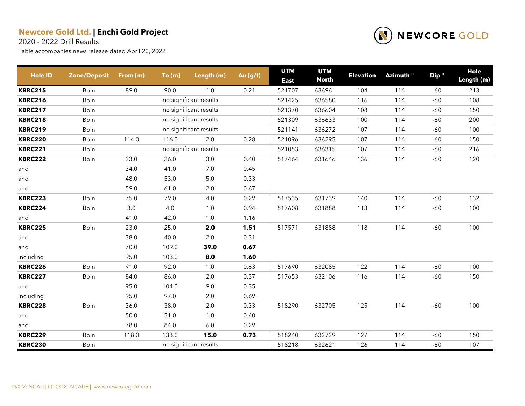2020 - 2022 Drill Results

| <b>Hole ID</b> | <b>Zone/Deposit</b> | From (m) | To(m) | Length (m)             | Au (g/t) | <b>UTM</b><br><b>East</b> | <b>UTM</b><br><b>North</b> | <b>Elevation</b> | Azimuth <sup>o</sup> | Dip <sup>o</sup> | Hole<br>Length (m) |
|----------------|---------------------|----------|-------|------------------------|----------|---------------------------|----------------------------|------------------|----------------------|------------------|--------------------|
| <b>KBRC215</b> | Boin                | 89.0     | 90.0  | 1.0                    | 0.21     | 521707                    | 636961                     | 104              | 114                  | -60              | 213                |
| <b>KBRC216</b> | Boin                |          |       | no significant results |          | 521425                    | 636580                     | 116              | 114                  | $-60$            | 108                |
| <b>KBRC217</b> | Boin                |          |       | no significant results |          | 521370                    | 636604                     | 108              | 114                  | $-60$            | 150                |
| <b>KBRC218</b> | Boin                |          |       | no significant results |          | 521309                    | 636633                     | 100              | 114                  | $-60$            | 200                |
| <b>KBRC219</b> | Boin                |          |       | no significant results |          | 521141                    | 636272                     | 107              | 114                  | $-60$            | 100                |
| <b>KBRC220</b> | Boin                | 114.0    | 116.0 | 2.0                    | 0.28     | 521096                    | 636295                     | 107              | 114                  | $-60$            | 150                |
| <b>KBRC221</b> | Boin                |          |       | no significant results |          | 521053                    | 636315                     | 107              | 114                  | $-60$            | 216                |
| <b>KBRC222</b> | Boin                | 23.0     | 26.0  | 3.0                    | 0.40     | 517464                    | 631646                     | 136              | 114                  | $-60$            | 120                |
| and            |                     | 34.0     | 41.0  | $7.0\,$                | 0.45     |                           |                            |                  |                      |                  |                    |
| and            |                     | 48.0     | 53.0  | $5.0\,$                | 0.33     |                           |                            |                  |                      |                  |                    |
| and            |                     | 59.0     | 61.0  | 2.0                    | 0.67     |                           |                            |                  |                      |                  |                    |
| <b>KBRC223</b> | Boin                | 75.0     | 79.0  | 4.0                    | 0.29     | 517535                    | 631739                     | 140              | 114                  | $-60$            | 132                |
| <b>KBRC224</b> | Boin                | 3.0      | 4.0   | 1.0                    | 0.94     | 517608                    | 631888                     | 113              | 114                  | $-60$            | 100                |
| and            |                     | 41.0     | 42.0  | 1.0                    | 1.16     |                           |                            |                  |                      |                  |                    |
| <b>KBRC225</b> | Boin                | 23.0     | 25.0  | 2.0                    | 1.51     | 517571                    | 631888                     | 118              | 114                  | $-60$            | 100                |
| and            |                     | 38.0     | 40.0  | $2.0\,$                | 0.31     |                           |                            |                  |                      |                  |                    |
| and            |                     | 70.0     | 109.0 | 39.0                   | 0.67     |                           |                            |                  |                      |                  |                    |
| including      |                     | 95.0     | 103.0 | 8.0                    | 1.60     |                           |                            |                  |                      |                  |                    |
| <b>KBRC226</b> | Boin                | 91.0     | 92.0  | 1.0                    | 0.63     | 517690                    | 632085                     | 122              | 114                  | $-60$            | 100                |
| <b>KBRC227</b> | Boin                | 84.0     | 86.0  | 2.0                    | 0.37     | 517653                    | 632106                     | 116              | 114                  | $-60$            | 150                |
| and            |                     | 95.0     | 104.0 | 9.0                    | 0.35     |                           |                            |                  |                      |                  |                    |
| including      |                     | 95.0     | 97.0  | 2.0                    | 0.69     |                           |                            |                  |                      |                  |                    |
| <b>KBRC228</b> | Boin                | 36.0     | 38.0  | $2.0\,$                | 0.33     | 518290                    | 632705                     | 125              | 114                  | $-60$            | 100                |
| and            |                     | 50.0     | 51.0  | 1.0                    | 0.40     |                           |                            |                  |                      |                  |                    |
| and            |                     | 78.0     | 84.0  | $6.0\,$                | 0.29     |                           |                            |                  |                      |                  |                    |
| <b>KBRC229</b> | Boin                | 118.0    | 133.0 | 15.0                   | 0.73     | 518240                    | 632729                     | 127              | 114                  | $-60$            | 150                |
| <b>KBRC230</b> | Boin                |          |       | no significant results |          | 518218                    | 632621                     | 126              | 114                  | $-60$            | 107                |

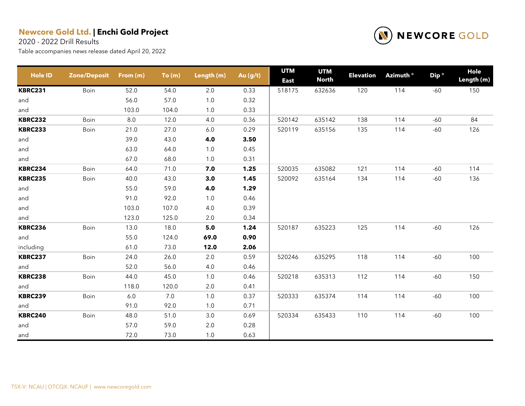2020 - 2022 Drill Results



| <b>Hole ID</b> | <b>Zone/Deposit</b> | From (m) | To(m) | Length (m) | Au $(g/t)$ | <b>UTM</b><br><b>East</b> | <b>UTM</b><br><b>North</b> | <b>Elevation</b> | Azimuth <sup>o</sup> | Dip <sup>o</sup> | <b>Hole</b><br>Length (m) |
|----------------|---------------------|----------|-------|------------|------------|---------------------------|----------------------------|------------------|----------------------|------------------|---------------------------|
| <b>KBRC231</b> | Boin                | 52.0     | 54.0  | 2.0        | 0.33       | 518175                    | 632636                     | 120              | 114                  | $-60$            | 150                       |
| and            |                     | 56.0     | 57.0  | 1.0        | 0.32       |                           |                            |                  |                      |                  |                           |
| and            |                     | 103.0    | 104.0 | 1.0        | 0.33       |                           |                            |                  |                      |                  |                           |
| <b>KBRC232</b> | Boin                | 8.0      | 12.0  | 4.0        | 0.36       | 520142                    | 635142                     | 138              | 114                  | $-60$            | 84                        |
| <b>KBRC233</b> | Boin                | 21.0     | 27.0  | 6.0        | 0.29       | 520119                    | 635156                     | 135              | 114                  | $-60$            | 126                       |
| and            |                     | 39.0     | 43.0  | 4.0        | 3.50       |                           |                            |                  |                      |                  |                           |
| and            |                     | 63.0     | 64.0  | $1.0$      | 0.45       |                           |                            |                  |                      |                  |                           |
| and            |                     | 67.0     | 68.0  | 1.0        | 0.31       |                           |                            |                  |                      |                  |                           |
| <b>KBRC234</b> | Boin                | 64.0     | 71.0  | 7.0        | 1.25       | 520035                    | 635082                     | 121              | 114                  | $-60$            | 114                       |
| <b>KBRC235</b> | Boin                | 40.0     | 43.0  | 3.0        | 1.45       | 520092                    | 635164                     | 134              | 114                  | $-60$            | 136                       |
| and            |                     | 55.0     | 59.0  | 4.0        | 1.29       |                           |                            |                  |                      |                  |                           |
| and            |                     | 91.0     | 92.0  | 1.0        | 0.46       |                           |                            |                  |                      |                  |                           |
| and            |                     | 103.0    | 107.0 | 4.0        | 0.39       |                           |                            |                  |                      |                  |                           |
| and            |                     | 123.0    | 125.0 | 2.0        | 0.34       |                           |                            |                  |                      |                  |                           |
| <b>KBRC236</b> | Boin                | 13.0     | 18.0  | $5.0$      | 1.24       | 520187                    | 635223                     | 125              | 114                  | $-60$            | 126                       |
| and            |                     | 55.0     | 124.0 | 69.0       | 0.90       |                           |                            |                  |                      |                  |                           |
| including      |                     | 61.0     | 73.0  | 12.0       | 2.06       |                           |                            |                  |                      |                  |                           |
| <b>KBRC237</b> | Boin                | 24.0     | 26.0  | $2.0\,$    | 0.59       | 520246                    | 635295                     | 118              | 114                  | $-60$            | 100                       |
| and            |                     | 52.0     | 56.0  | 4.0        | 0.46       |                           |                            |                  |                      |                  |                           |
| <b>KBRC238</b> | Boin                | 44.0     | 45.0  | 1.0        | 0.46       | 520218                    | 635313                     | 112              | 114                  | $-60$            | 150                       |
| and            |                     | 118.0    | 120.0 | 2.0        | 0.41       |                           |                            |                  |                      |                  |                           |
| <b>KBRC239</b> | Boin                | 6.0      | 7.0   | 1.0        | 0.37       | 520333                    | 635374                     | 114              | 114                  | $-60$            | 100                       |
| and            |                     | 91.0     | 92.0  | 1.0        | 0.71       |                           |                            |                  |                      |                  |                           |
| <b>KBRC240</b> | Boin                | 48.0     | 51.0  | 3.0        | 0.69       | 520334                    | 635433                     | 110              | 114                  | $-60$            | 100                       |
| and            |                     | 57.0     | 59.0  | $2.0\,$    | 0.28       |                           |                            |                  |                      |                  |                           |
| and            |                     | 72.0     | 73.0  | $1.0$      | 0.63       |                           |                            |                  |                      |                  |                           |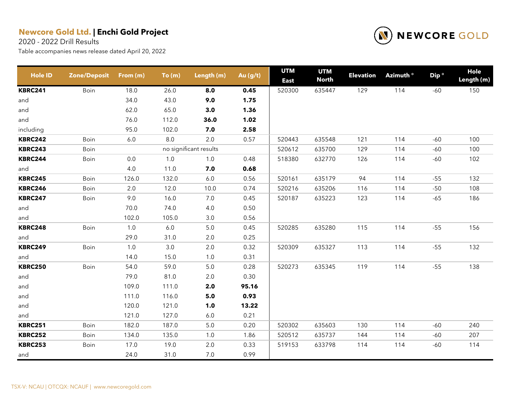2020 - 2022 Drill Results



| <b>Hole ID</b> | <b>Zone/Deposit</b> | From (m) | To(m)   | Length (m)             | Au (g/t) | <b>UTM</b><br><b>East</b> | <b>UTM</b><br><b>North</b> | <b>Elevation</b> | Azimuth <sup>o</sup> | Dip <sup>o</sup> | Hole<br>Length (m) |
|----------------|---------------------|----------|---------|------------------------|----------|---------------------------|----------------------------|------------------|----------------------|------------------|--------------------|
| <b>KBRC241</b> | Boin                | 18.0     | 26.0    | 8.0                    | 0.45     | 520300                    | 635447                     | 129              | 114                  | $-60$            | 150                |
| and            |                     | 34.0     | 43.0    | 9.0                    | 1.75     |                           |                            |                  |                      |                  |                    |
| and            |                     | 62.0     | 65.0    | 3.0                    | 1.36     |                           |                            |                  |                      |                  |                    |
| and            |                     | 76.0     | 112.0   | 36.0                   | 1.02     |                           |                            |                  |                      |                  |                    |
| including      |                     | 95.0     | 102.0   | 7.0                    | 2.58     |                           |                            |                  |                      |                  |                    |
| <b>KBRC242</b> | Boin                | $6.0\,$  | $8.0\,$ | 2.0                    | 0.57     | 520443                    | 635548                     | 121              | 114                  | $-60$            | 100                |
| <b>KBRC243</b> | Boin                |          |         | no significant results |          | 520612                    | 635700                     | 129              | 114                  | $-60$            | 100                |
| <b>KBRC244</b> | Boin                | 0.0      | $1.0\,$ | 1.0                    | 0.48     | 518380                    | 632770                     | 126              | 114                  | $-60$            | 102                |
| and            |                     | 4.0      | 11.0    | 7.0                    | 0.68     |                           |                            |                  |                      |                  |                    |
| <b>KBRC245</b> | Boin                | 126.0    | 132.0   | 6.0                    | 0.56     | 520161                    | 635179                     | 94               | 114                  | $-55$            | 132                |
| <b>KBRC246</b> | Boin                | 2.0      | 12.0    | 10.0                   | 0.74     | 520216                    | 635206                     | 116              | 114                  | $-50$            | 108                |
| <b>KBRC247</b> | Boin                | 9.0      | 16.0    | $7.0\,$                | 0.45     | 520187                    | 635223                     | 123              | 114                  | $-65$            | 186                |
| and            |                     | 70.0     | 74.0    | 4.0                    | 0.50     |                           |                            |                  |                      |                  |                    |
| and            |                     | 102.0    | 105.0   | 3.0                    | 0.56     |                           |                            |                  |                      |                  |                    |
| <b>KBRC248</b> | Boin                | $1.0$    | $6.0\,$ | $5.0\,$                | 0.45     | 520285                    | 635280                     | 115              | 114                  | $-55$            | 156                |
| and            |                     | 29.0     | 31.0    | 2.0                    | 0.25     |                           |                            |                  |                      |                  |                    |
| <b>KBRC249</b> | Boin                | 1.0      | 3.0     | $2.0\,$                | 0.32     | 520309                    | 635327                     | 113              | 114                  | $-55$            | 132                |
| and            |                     | 14.0     | 15.0    | 1.0                    | 0.31     |                           |                            |                  |                      |                  |                    |
| <b>KBRC250</b> | Boin                | 54.0     | 59.0    | $5.0\,$                | 0.28     | 520273                    | 635345                     | 119              | 114                  | $-55$            | 138                |
| and            |                     | 79.0     | 81.0    | $2.0\,$                | 0.30     |                           |                            |                  |                      |                  |                    |
| and            |                     | 109.0    | 111.0   | 2.0                    | 95.16    |                           |                            |                  |                      |                  |                    |
| and            |                     | 111.0    | 116.0   | 5.0                    | 0.93     |                           |                            |                  |                      |                  |                    |
| and            |                     | 120.0    | 121.0   | 1.0                    | 13.22    |                           |                            |                  |                      |                  |                    |
| and            |                     | 121.0    | 127.0   | $6.0\,$                | 0.21     |                           |                            |                  |                      |                  |                    |
| <b>KBRC251</b> | Boin                | 182.0    | 187.0   | $5.0$                  | 0.20     | 520302                    | 635603                     | 130              | 114                  | $-60$            | 240                |
| <b>KBRC252</b> | Boin                | 134.0    | 135.0   | 1.0                    | 1.86     | 520512                    | 635737                     | 144              | 114                  | $-60$            | 207                |
| <b>KBRC253</b> | Boin                | 17.0     | 19.0    | 2.0                    | 0.33     | 519153                    | 633798                     | 114              | 114                  | $-60$            | 114                |
| and            |                     | 24.0     | 31.0    | $7.0\,$                | 0.99     |                           |                            |                  |                      |                  |                    |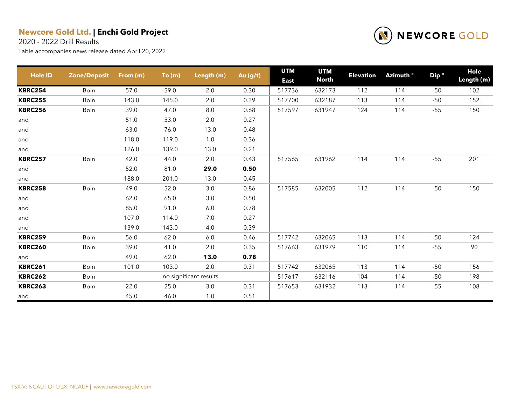2020 - 2022 Drill Results



| <b>Hole ID</b> | <b>Zone/Deposit</b> | From (m) | To(m) | Length (m)             | Au (g/t) | <b>UTM</b><br><b>East</b> | <b>UTM</b><br><b>North</b> | <b>Elevation</b> | Azimuth <sup>o</sup> | Dip <sup>o</sup> | Hole<br>Length (m) |
|----------------|---------------------|----------|-------|------------------------|----------|---------------------------|----------------------------|------------------|----------------------|------------------|--------------------|
| <b>KBRC254</b> | Boin                | 57.0     | 59.0  | 2.0                    | 0.30     | 517736                    | 632173                     | 112              | 114                  | $-50$            | 102                |
| <b>KBRC255</b> | Boin                | 143.0    | 145.0 | 2.0                    | 0.39     | 517700                    | 632187                     | 113              | 114                  | $-50$            | 152                |
| <b>KBRC256</b> | Boin                | 39.0     | 47.0  | $8.0\,$                | 0.68     | 517597                    | 631947                     | 124              | 114                  | $-55$            | 150                |
| and            |                     | 51.0     | 53.0  | $2.0\,$                | 0.27     |                           |                            |                  |                      |                  |                    |
| and            |                     | 63.0     | 76.0  | 13.0                   | 0.48     |                           |                            |                  |                      |                  |                    |
| and            |                     | 118.0    | 119.0 | 1.0                    | 0.36     |                           |                            |                  |                      |                  |                    |
| and            |                     | 126.0    | 139.0 | 13.0                   | 0.21     |                           |                            |                  |                      |                  |                    |
| <b>KBRC257</b> | Boin                | 42.0     | 44.0  | 2.0                    | 0.43     | 517565                    | 631962                     | 114              | 114                  | $-55$            | 201                |
| and            |                     | 52.0     | 81.0  | 29.0                   | 0.50     |                           |                            |                  |                      |                  |                    |
| and            |                     | 188.0    | 201.0 | 13.0                   | 0.45     |                           |                            |                  |                      |                  |                    |
| <b>KBRC258</b> | Boin                | 49.0     | 52.0  | 3.0                    | 0.86     | 517585                    | 632005                     | 112              | 114                  | $-50$            | 150                |
| and            |                     | 62.0     | 65.0  | 3.0                    | 0.50     |                           |                            |                  |                      |                  |                    |
| and            |                     | 85.0     | 91.0  | $6.0\,$                | 0.78     |                           |                            |                  |                      |                  |                    |
| and            |                     | 107.0    | 114.0 | 7.0                    | 0.27     |                           |                            |                  |                      |                  |                    |
| and            |                     | 139.0    | 143.0 | 4.0                    | 0.39     |                           |                            |                  |                      |                  |                    |
| <b>KBRC259</b> | Boin                | 56.0     | 62.0  | 6.0                    | 0.46     | 517742                    | 632065                     | 113              | 114                  | $-50$            | 124                |
| <b>KBRC260</b> | Boin                | 39.0     | 41.0  | 2.0                    | 0.35     | 517663                    | 631979                     | 110              | 114                  | $-55$            | 90                 |
| and            |                     | 49.0     | 62.0  | 13.0                   | 0.78     |                           |                            |                  |                      |                  |                    |
| <b>KBRC261</b> | Boin                | 101.0    | 103.0 | 2.0                    | 0.31     | 517742                    | 632065                     | 113              | 114                  | $-50$            | 156                |
| <b>KBRC262</b> | Boin                |          |       | no significant results |          | 517617                    | 632116                     | 104              | 114                  | $-50$            | 198                |
| <b>KBRC263</b> | Boin                | 22.0     | 25.0  | 3.0                    | 0.31     | 517653                    | 631932                     | 113              | 114                  | $-55$            | 108                |
| and            |                     | 45.0     | 46.0  | 1.0                    | 0.51     |                           |                            |                  |                      |                  |                    |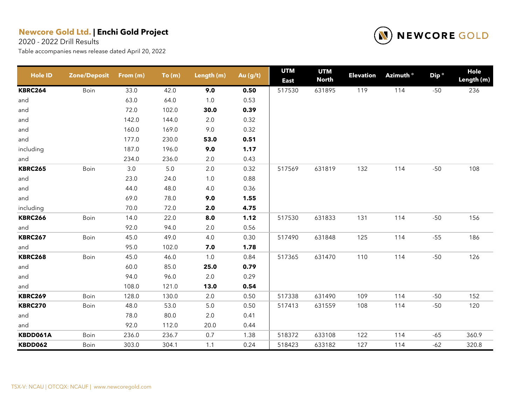2020 - 2022 Drill Results



| <b>Hole ID</b> | <b>Zone/Deposit</b> | From (m) | To(m)   | Length (m) | Au (g/t) | <b>UTM</b><br><b>East</b> | <b>UTM</b><br><b>North</b> | <b>Elevation</b> | Azimuth <sup>o</sup> | Dip <sup>o</sup> | Hole<br>Length (m) |
|----------------|---------------------|----------|---------|------------|----------|---------------------------|----------------------------|------------------|----------------------|------------------|--------------------|
| <b>KBRC264</b> | Boin                | 33.0     | 42.0    | 9.0        | 0.50     | 517530                    | 631895                     | 119              | 114                  | $-50$            | 236                |
| and            |                     | 63.0     | 64.0    | $1.0\,$    | 0.53     |                           |                            |                  |                      |                  |                    |
| and            |                     | 72.0     | 102.0   | 30.0       | 0.39     |                           |                            |                  |                      |                  |                    |
| and            |                     | 142.0    | 144.0   | 2.0        | 0.32     |                           |                            |                  |                      |                  |                    |
| and            |                     | 160.0    | 169.0   | 9.0        | 0.32     |                           |                            |                  |                      |                  |                    |
| and            |                     | 177.0    | 230.0   | 53.0       | 0.51     |                           |                            |                  |                      |                  |                    |
| including      |                     | 187.0    | 196.0   | 9.0        | 1.17     |                           |                            |                  |                      |                  |                    |
| and            |                     | 234.0    | 236.0   | 2.0        | 0.43     |                           |                            |                  |                      |                  |                    |
| <b>KBRC265</b> | Boin                | $3.0\,$  | $5.0\,$ | 2.0        | 0.32     | 517569                    | 631819                     | 132              | 114                  | $-50$            | 108                |
| and            |                     | 23.0     | 24.0    | 1.0        | 0.88     |                           |                            |                  |                      |                  |                    |
| and            |                     | 44.0     | 48.0    | 4.0        | 0.36     |                           |                            |                  |                      |                  |                    |
| and            |                     | 69.0     | 78.0    | 9.0        | 1.55     |                           |                            |                  |                      |                  |                    |
| including      |                     | 70.0     | 72.0    | 2.0        | 4.75     |                           |                            |                  |                      |                  |                    |
| <b>KBRC266</b> | Boin                | 14.0     | 22.0    | 8.0        | 1.12     | 517530                    | 631833                     | 131              | 114                  | $-50$            | 156                |
| and            |                     | 92.0     | 94.0    | 2.0        | 0.56     |                           |                            |                  |                      |                  |                    |
| <b>KBRC267</b> | Boin                | 45.0     | 49.0    | 4.0        | 0.30     | 517490                    | 631848                     | 125              | 114                  | $-55$            | 186                |
| and            |                     | 95.0     | 102.0   | 7.0        | 1.78     |                           |                            |                  |                      |                  |                    |
| <b>KBRC268</b> | Boin                | 45.0     | 46.0    | 1.0        | 0.84     | 517365                    | 631470                     | 110              | 114                  | $-50$            | 126                |
| and            |                     | 60.0     | 85.0    | 25.0       | 0.79     |                           |                            |                  |                      |                  |                    |
| and            |                     | 94.0     | 96.0    | 2.0        | 0.29     |                           |                            |                  |                      |                  |                    |
| and            |                     | 108.0    | 121.0   | 13.0       | 0.54     |                           |                            |                  |                      |                  |                    |
| <b>KBRC269</b> | Boin                | 128.0    | 130.0   | 2.0        | 0.50     | 517338                    | 631490                     | 109              | 114                  | $-50$            | 152                |
| <b>KBRC270</b> | Boin                | 48.0     | 53.0    | 5.0        | 0.50     | 517413                    | 631559                     | 108              | 114                  | $-50$            | 120                |
| and            |                     | 78.0     | 80.0    | 2.0        | 0.41     |                           |                            |                  |                      |                  |                    |
| and            |                     | 92.0     | 112.0   | 20.0       | 0.44     |                           |                            |                  |                      |                  |                    |
| KBDD061A       | Boin                | 236.0    | 236.7   | 0.7        | 1.38     | 518372                    | 633108                     | 122              | 114                  | $-65$            | 360.9              |
| <b>KBDD062</b> | Boin                | 303.0    | 304.1   | 1.1        | 0.24     | 518423                    | 633182                     | 127              | 114                  | $-62$            | 320.8              |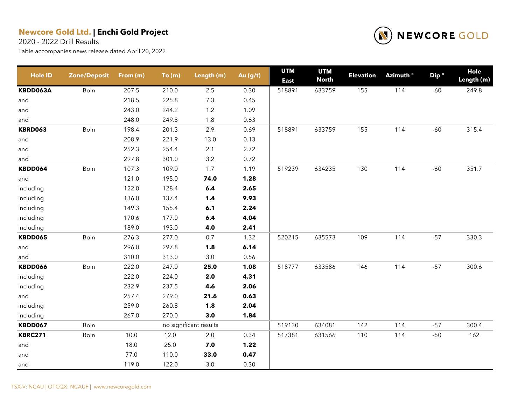2020 - 2022 Drill Results



| <b>Hole ID</b> | <b>Zone/Deposit</b> | From (m) | To(m) | Length (m)             | Au (g/t) | <b>UTM</b><br><b>East</b> | <b>UTM</b><br><b>North</b> | <b>Elevation</b> | Azimuth <sup>o</sup> | Dip <sup>o</sup> | Hole<br>Length (m) |
|----------------|---------------------|----------|-------|------------------------|----------|---------------------------|----------------------------|------------------|----------------------|------------------|--------------------|
| KBDD063A       | Boin                | 207.5    | 210.0 | $2.5\,$                | 0.30     | 518891                    | 633759                     | 155              | 114                  | $-60$            | 249.8              |
| and            |                     | 218.5    | 225.8 | 7.3                    | 0.45     |                           |                            |                  |                      |                  |                    |
| and            |                     | 243.0    | 244.2 | $1.2$                  | 1.09     |                           |                            |                  |                      |                  |                    |
| and            |                     | 248.0    | 249.8 | $1.8$                  | 0.63     |                           |                            |                  |                      |                  |                    |
| <b>KBRD063</b> | Boin                | 198.4    | 201.3 | 2.9                    | 0.69     | 518891                    | 633759                     | 155              | 114                  | $-60$            | 315.4              |
| and            |                     | 208.9    | 221.9 | 13.0                   | 0.13     |                           |                            |                  |                      |                  |                    |
| and            |                     | 252.3    | 254.4 | 2.1                    | 2.72     |                           |                            |                  |                      |                  |                    |
| and            |                     | 297.8    | 301.0 | 3.2                    | 0.72     |                           |                            |                  |                      |                  |                    |
| KBDD064        | Boin                | 107.3    | 109.0 | 1.7                    | 1.19     | 519239                    | 634235                     | 130              | 114                  | $-60$            | 351.7              |
| and            |                     | 121.0    | 195.0 | 74.0                   | 1.28     |                           |                            |                  |                      |                  |                    |
| including      |                     | 122.0    | 128.4 | 6.4                    | 2.65     |                           |                            |                  |                      |                  |                    |
| including      |                     | 136.0    | 137.4 | 1,4                    | 9.93     |                           |                            |                  |                      |                  |                    |
| including      |                     | 149.3    | 155.4 | 6.1                    | 2.24     |                           |                            |                  |                      |                  |                    |
| including      |                     | 170.6    | 177.0 | 6.4                    | 4.04     |                           |                            |                  |                      |                  |                    |
| including      |                     | 189.0    | 193.0 | 4.0                    | 2.41     |                           |                            |                  |                      |                  |                    |
| KBDD065        | Boin                | 276.3    | 277.0 | 0.7                    | 1.32     | 520215                    | 635573                     | 109              | 114                  | $-57$            | 330.3              |
| and            |                     | 296.0    | 297.8 | 1.8                    | 6.14     |                           |                            |                  |                      |                  |                    |
| and            |                     | 310.0    | 313.0 | 3.0                    | 0.56     |                           |                            |                  |                      |                  |                    |
| KBDD066        | Boin                | 222.0    | 247.0 | 25.0                   | 1.08     | 518777                    | 633586                     | 146              | 114                  | $-57$            | 300.6              |
| including      |                     | 222.0    | 224.0 | 2.0                    | 4.31     |                           |                            |                  |                      |                  |                    |
| including      |                     | 232.9    | 237.5 | 4.6                    | 2.06     |                           |                            |                  |                      |                  |                    |
| and            |                     | 257.4    | 279.0 | 21.6                   | 0.63     |                           |                            |                  |                      |                  |                    |
| including      |                     | 259.0    | 260.8 | 1.8                    | 2.04     |                           |                            |                  |                      |                  |                    |
| including      |                     | 267.0    | 270.0 | 3.0                    | 1.84     |                           |                            |                  |                      |                  |                    |
| <b>KBDD067</b> | Boin                |          |       | no significant results |          | 519130                    | 634081                     | 142              | 114                  | $-57$            | 300.4              |
| <b>KBRC271</b> | Boin                | 10.0     | 12.0  | $2.0\,$                | 0.34     | 517381                    | 631566                     | 110              | 114                  | $-50$            | 162                |
| and            |                     | 18.0     | 25.0  | 7.0                    | 1.22     |                           |                            |                  |                      |                  |                    |
| and            |                     | 77.0     | 110.0 | 33.0                   | 0.47     |                           |                            |                  |                      |                  |                    |
| and            |                     | 119.0    | 122.0 | 3.0                    | 0.30     |                           |                            |                  |                      |                  |                    |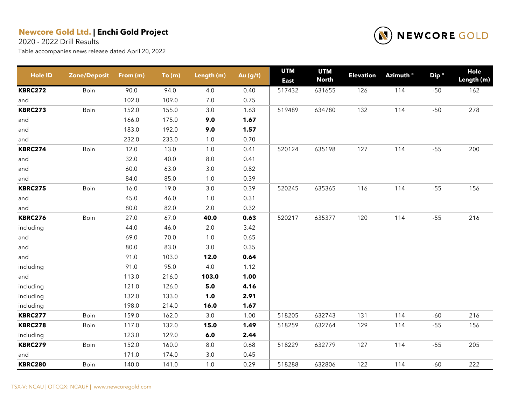2020 - 2022 Drill Results



| <b>Hole ID</b> | <b>Zone/Deposit</b> | From (m) | To(m) | Length (m) | Au (g/t) | <b>UTM</b><br><b>East</b> | <b>UTM</b><br><b>North</b> | <b>Elevation</b> | Azimuth <sup>o</sup> | Dip <sup>o</sup> | <b>Hole</b><br>Length (m) |
|----------------|---------------------|----------|-------|------------|----------|---------------------------|----------------------------|------------------|----------------------|------------------|---------------------------|
| <b>KBRC272</b> | Boin                | 90.0     | 94.0  | 4.0        | 0.40     | 517432                    | 631655                     | 126              | 114                  | $-50$            | 162                       |
| and            |                     | 102.0    | 109.0 | 7.0        | 0.75     |                           |                            |                  |                      |                  |                           |
| <b>KBRC273</b> | Boin                | 152.0    | 155.0 | $3.0\,$    | 1.63     | 519489                    | 634780                     | 132              | 114                  | $-50$            | 278                       |
| and            |                     | 166.0    | 175.0 | 9.0        | 1.67     |                           |                            |                  |                      |                  |                           |
| and            |                     | 183.0    | 192.0 | 9.0        | 1.57     |                           |                            |                  |                      |                  |                           |
| and            |                     | 232.0    | 233.0 | $1.0$      | 0.70     |                           |                            |                  |                      |                  |                           |
| <b>KBRC274</b> | Boin                | 12.0     | 13.0  | 1.0        | 0.41     | 520124                    | 635198                     | 127              | 114                  | $-55$            | 200                       |
| and            |                     | 32.0     | 40.0  | $8.0\,$    | 0.41     |                           |                            |                  |                      |                  |                           |
| and            |                     | 60.0     | 63.0  | $3.0\,$    | 0.82     |                           |                            |                  |                      |                  |                           |
| and            |                     | 84.0     | 85.0  | $1.0$      | 0.39     |                           |                            |                  |                      |                  |                           |
| <b>KBRC275</b> | Boin                | 16.0     | 19.0  | 3.0        | 0.39     | 520245                    | 635365                     | 116              | 114                  | $-55$            | 156                       |
| and            |                     | 45.0     | 46.0  | $1.0\,$    | 0.31     |                           |                            |                  |                      |                  |                           |
| and            |                     | 80.0     | 82.0  | 2.0        | 0.32     |                           |                            |                  |                      |                  |                           |
| <b>KBRC276</b> | Boin                | 27.0     | 67.0  | 40.0       | 0.63     | 520217                    | 635377                     | 120              | 114                  | $-55$            | 216                       |
| including      |                     | 44.0     | 46.0  | $2.0\,$    | 3.42     |                           |                            |                  |                      |                  |                           |
| and            |                     | 69.0     | 70.0  | $1.0\,$    | 0.65     |                           |                            |                  |                      |                  |                           |
| and            |                     | 80.0     | 83.0  | $3.0\,$    | 0.35     |                           |                            |                  |                      |                  |                           |
| and            |                     | 91.0     | 103.0 | 12.0       | 0.64     |                           |                            |                  |                      |                  |                           |
| including      |                     | 91.0     | 95.0  | $4.0\,$    | 1.12     |                           |                            |                  |                      |                  |                           |
| and            |                     | 113.0    | 216.0 | 103.0      | 1.00     |                           |                            |                  |                      |                  |                           |
| including      |                     | 121.0    | 126.0 | 5.0        | 4.16     |                           |                            |                  |                      |                  |                           |
| including      |                     | 132.0    | 133.0 | 1.0        | 2.91     |                           |                            |                  |                      |                  |                           |
| including      |                     | 198.0    | 214.0 | 16.0       | 1.67     |                           |                            |                  |                      |                  |                           |
| <b>KBRC277</b> | Boin                | 159.0    | 162.0 | 3.0        | 1.00     | 518205                    | 632743                     | 131              | 114                  | $-60$            | 216                       |
| <b>KBRC278</b> | Boin                | 117.0    | 132.0 | 15.0       | 1.49     | 518259                    | 632764                     | 129              | 114                  | $-55$            | 156                       |
| including      |                     | 123.0    | 129.0 | 6.0        | 2.44     |                           |                            |                  |                      |                  |                           |
| <b>KBRC279</b> | Boin                | 152.0    | 160.0 | $8.0\,$    | 0.68     | 518229                    | 632779                     | 127              | 114                  | $-55$            | 205                       |
| and            |                     | 171.0    | 174.0 | $3.0\,$    | 0.45     |                           |                            |                  |                      |                  |                           |
| <b>KBRC280</b> | Boin                | 140.0    | 141.0 | 1.0        | 0.29     | 518288                    | 632806                     | 122              | 114                  | $-60$            | 222                       |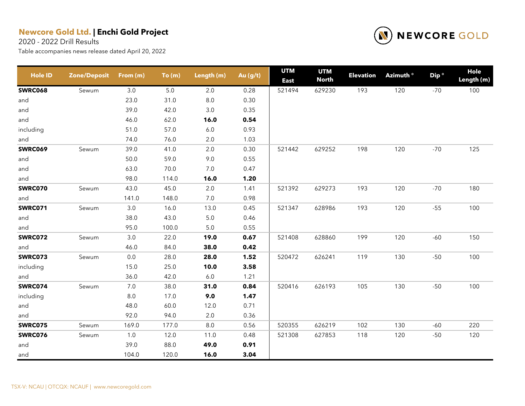2020 - 2022 Drill Results



| <b>Hole ID</b> | <b>Zone/Deposit</b> | From (m) | To(m) | Length (m) | Au (g/t) | <b>UTM</b><br><b>East</b> | <b>UTM</b><br><b>North</b> | <b>Elevation</b> | Azimuth ° | Dip <sup>o</sup> | Hole<br>Length (m) |
|----------------|---------------------|----------|-------|------------|----------|---------------------------|----------------------------|------------------|-----------|------------------|--------------------|
| <b>SWRC068</b> | Sewum               | 3.0      | 5.0   | 2.0        | 0.28     | 521494                    | 629230                     | 193              | 120       | $-70$            | 100                |
| and            |                     | 23.0     | 31.0  | 8.0        | 0.30     |                           |                            |                  |           |                  |                    |
| and            |                     | 39.0     | 42.0  | $3.0\,$    | 0.35     |                           |                            |                  |           |                  |                    |
| and            |                     | 46.0     | 62.0  | 16.0       | 0.54     |                           |                            |                  |           |                  |                    |
| including      |                     | 51.0     | 57.0  | $6.0\,$    | 0.93     |                           |                            |                  |           |                  |                    |
| and            |                     | 74.0     | 76.0  | 2.0        | 1.03     |                           |                            |                  |           |                  |                    |
| <b>SWRC069</b> | Sewum               | 39.0     | 41.0  | $2.0\,$    | 0.30     | 521442                    | 629252                     | 198              | 120       | $-70$            | 125                |
| and            |                     | 50.0     | 59.0  | 9.0        | 0.55     |                           |                            |                  |           |                  |                    |
| and            |                     | 63.0     | 70.0  | 7.0        | 0.47     |                           |                            |                  |           |                  |                    |
| and            |                     | 98.0     | 114.0 | 16.0       | 1.20     |                           |                            |                  |           |                  |                    |
| SWRC070        | Sewum               | 43.0     | 45.0  | 2.0        | 1.41     | 521392                    | 629273                     | 193              | 120       | $-70$            | 180                |
| and            |                     | 141.0    | 148.0 | 7.0        | 0.98     |                           |                            |                  |           |                  |                    |
| <b>SWRC071</b> | Sewum               | 3.0      | 16.0  | 13.0       | 0.45     | 521347                    | 628986                     | 193              | 120       | $-55$            | 100                |
| and            |                     | 38.0     | 43.0  | $5.0\,$    | 0.46     |                           |                            |                  |           |                  |                    |
| and            |                     | 95.0     | 100.0 | 5.0        | 0.55     |                           |                            |                  |           |                  |                    |
| <b>SWRC072</b> | Sewum               | $3.0\,$  | 22.0  | 19.0       | 0.67     | 521408                    | 628860                     | 199              | 120       | $-60$            | 150                |
| and            |                     | 46.0     | 84.0  | 38.0       | 0.42     |                           |                            |                  |           |                  |                    |
| SWRC073        | Sewum               | $0.0\,$  | 28.0  | 28.0       | 1.52     | 520472                    | 626241                     | 119              | 130       | $-50$            | 100                |
| including      |                     | 15.0     | 25.0  | 10.0       | 3.58     |                           |                            |                  |           |                  |                    |
| and            |                     | 36.0     | 42.0  | $6.0\,$    | 1.21     |                           |                            |                  |           |                  |                    |
| SWRC074        | Sewum               | 7.0      | 38.0  | 31.0       | 0.84     | 520416                    | 626193                     | 105              | 130       | $-50$            | 100                |
| including      |                     | $8.0\,$  | 17.0  | 9.0        | 1.47     |                           |                            |                  |           |                  |                    |
| and            |                     | 48.0     | 60.0  | 12.0       | 0.71     |                           |                            |                  |           |                  |                    |
| and            |                     | 92.0     | 94.0  | 2.0        | 0.36     |                           |                            |                  |           |                  |                    |
| <b>SWRC075</b> | Sewum               | 169.0    | 177.0 | 8.0        | 0.56     | 520355                    | 626219                     | 102              | 130       | $-60$            | 220                |
| <b>SWRC076</b> | Sewum               | 1.0      | 12.0  | 11.0       | 0.48     | 521308                    | 627853                     | 118              | 120       | $-50$            | 120                |
| and            |                     | 39.0     | 88.0  | 49.0       | 0.91     |                           |                            |                  |           |                  |                    |
| and            |                     | 104.0    | 120.0 | 16.0       | 3.04     |                           |                            |                  |           |                  |                    |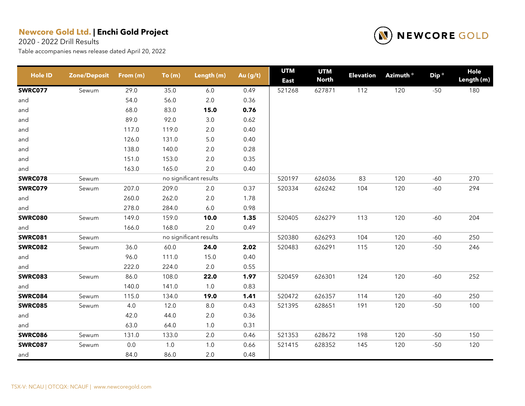2020 - 2022 Drill Results



| <b>Hole ID</b> | <b>Zone/Deposit</b> | From (m) | To(m) | Length (m)             | Au (g/t) | <b>UTM</b><br><b>East</b> | <b>UTM</b><br><b>North</b> | <b>Elevation</b> | Azimuth <sup>o</sup> | Dip <sup>o</sup> | Hole<br>Length (m) |
|----------------|---------------------|----------|-------|------------------------|----------|---------------------------|----------------------------|------------------|----------------------|------------------|--------------------|
| <b>SWRC077</b> | Sewum               | 29.0     | 35.0  | $6.0\,$                | 0.49     | 521268                    | 627871                     | 112              | 120                  | $-50$            | 180                |
| and            |                     | 54.0     | 56.0  | 2.0                    | 0.36     |                           |                            |                  |                      |                  |                    |
| and            |                     | 68.0     | 83.0  | 15.0                   | 0.76     |                           |                            |                  |                      |                  |                    |
| and            |                     | 89.0     | 92.0  | 3.0                    | 0.62     |                           |                            |                  |                      |                  |                    |
| and            |                     | 117.0    | 119.0 | $2.0\,$                | 0.40     |                           |                            |                  |                      |                  |                    |
| and            |                     | 126.0    | 131.0 | $5.0\,$                | 0.40     |                           |                            |                  |                      |                  |                    |
| and            |                     | 138.0    | 140.0 | $2.0\,$                | 0.28     |                           |                            |                  |                      |                  |                    |
| and            |                     | 151.0    | 153.0 | $2.0\,$                | 0.35     |                           |                            |                  |                      |                  |                    |
| and            |                     | 163.0    | 165.0 | 2.0                    | 0.40     |                           |                            |                  |                      |                  |                    |
| <b>SWRC078</b> | Sewum               |          |       | no significant results |          | 520197                    | 626036                     | 83               | 120                  | $-60$            | 270                |
| <b>SWRC079</b> | Sewum               | 207.0    | 209.0 | 2.0                    | 0.37     | 520334                    | 626242                     | 104              | 120                  | $-60$            | 294                |
| and            |                     | 260.0    | 262.0 | $2.0\,$                | 1.78     |                           |                            |                  |                      |                  |                    |
| and            |                     | 278.0    | 284.0 | $6.0\,$                | 0.98     |                           |                            |                  |                      |                  |                    |
| <b>SWRC080</b> | Sewum               | 149.0    | 159.0 | 10.0                   | 1.35     | 520405                    | 626279                     | 113              | 120                  | $-60$            | 204                |
| and            |                     | 166.0    | 168.0 | $2.0\,$                | 0.49     |                           |                            |                  |                      |                  |                    |
| <b>SWRC081</b> | Sewum               |          |       | no significant results |          | 520380                    | 626293                     | 104              | 120                  | $-60$            | 250                |
| <b>SWRC082</b> | Sewum               | 36.0     | 60.0  | 24.0                   | 2.02     | 520483                    | 626291                     | 115              | 120                  | $-50$            | 246                |
| and            |                     | 96.0     | 111.0 | 15.0                   | 0.40     |                           |                            |                  |                      |                  |                    |
| and            |                     | 222.0    | 224.0 | $2.0\,$                | 0.55     |                           |                            |                  |                      |                  |                    |
| <b>SWRC083</b> | Sewum               | 86.0     | 108.0 | 22.0                   | 1.97     | 520459                    | 626301                     | 124              | 120                  | $-60$            | 252                |
| and            |                     | 140.0    | 141.0 | $1.0\,$                | 0.83     |                           |                            |                  |                      |                  |                    |
| <b>SWRC084</b> | Sewum               | 115.0    | 134.0 | 19.0                   | 1.41     | 520472                    | 626357                     | 114              | 120                  | $-60$            | 250                |
| <b>SWRC085</b> | Sewum               | 4.0      | 12.0  | $8.0\,$                | 0.43     | 521395                    | 628651                     | 191              | 120                  | $-50$            | 100                |
| and            |                     | 42.0     | 44.0  | $2.0\,$                | 0.36     |                           |                            |                  |                      |                  |                    |
| and            |                     | 63.0     | 64.0  | 1.0                    | 0.31     |                           |                            |                  |                      |                  |                    |
| <b>SWRC086</b> | Sewum               | 131.0    | 133.0 | $2.0\,$                | 0.46     | 521353                    | 628672                     | 198              | 120                  | $-50$            | 150                |
| <b>SWRC087</b> | Sewum               | 0.0      | $1.0$ | $1.0$                  | 0.66     | 521415                    | 628352                     | 145              | 120                  | $-50$            | 120                |
| and            |                     | 84.0     | 86.0  | $2.0\,$                | 0.48     |                           |                            |                  |                      |                  |                    |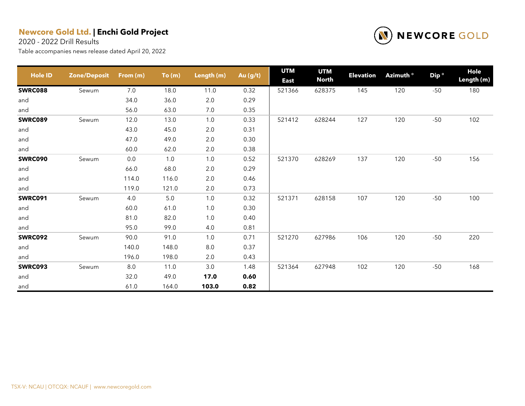2020 - 2022 Drill Results



| <b>Hole ID</b> | <b>Zone/Deposit</b> | From (m) | To(m) | Length (m) | Au (g/t) | <b>UTM</b><br><b>East</b> | <b>UTM</b><br><b>North</b> | <b>Elevation</b> | Azimuth <sup>o</sup> | Dip <sup>o</sup> | Hole<br>Length (m) |
|----------------|---------------------|----------|-------|------------|----------|---------------------------|----------------------------|------------------|----------------------|------------------|--------------------|
| <b>SWRC088</b> | Sewum               | 7.0      | 18.0  | 11.0       | 0.32     | 521366                    | 628375                     | 145              | 120                  | $-50$            | 180                |
| and            |                     | 34.0     | 36.0  | $2.0\,$    | 0.29     |                           |                            |                  |                      |                  |                    |
| and            |                     | 56.0     | 63.0  | 7.0        | 0.35     |                           |                            |                  |                      |                  |                    |
| <b>SWRC089</b> | Sewum               | 12.0     | 13.0  | 1.0        | 0.33     | 521412                    | 628244                     | 127              | 120                  | $-50$            | 102                |
| and            |                     | 43.0     | 45.0  | 2.0        | 0.31     |                           |                            |                  |                      |                  |                    |
| and            |                     | 47.0     | 49.0  | 2.0        | 0.30     |                           |                            |                  |                      |                  |                    |
| and            |                     | 60.0     | 62.0  | $2.0\,$    | 0.38     |                           |                            |                  |                      |                  |                    |
| <b>SWRC090</b> | Sewum               | 0.0      | $1.0$ | 1.0        | 0.52     | 521370                    | 628269                     | 137              | 120                  | $-50$            | 156                |
| and            |                     | 66.0     | 68.0  | 2.0        | 0.29     |                           |                            |                  |                      |                  |                    |
| and            |                     | 114.0    | 116.0 | 2.0        | 0.46     |                           |                            |                  |                      |                  |                    |
| and            |                     | 119.0    | 121.0 | $2.0\,$    | 0.73     |                           |                            |                  |                      |                  |                    |
| <b>SWRC091</b> | Sewum               | 4.0      | $5.0$ | 1.0        | 0.32     | 521371                    | 628158                     | 107              | 120                  | $-50$            | 100                |
| and            |                     | 60.0     | 61.0  | 1.0        | 0.30     |                           |                            |                  |                      |                  |                    |
| and            |                     | 81.0     | 82.0  | $1.0$      | 0.40     |                           |                            |                  |                      |                  |                    |
| and            |                     | 95.0     | 99.0  | 4.0        | 0.81     |                           |                            |                  |                      |                  |                    |
| <b>SWRC092</b> | Sewum               | 90.0     | 91.0  | 1.0        | 0.71     | 521270                    | 627986                     | 106              | 120                  | $-50$            | 220                |
| and            |                     | 140.0    | 148.0 | $8.0\,$    | 0.37     |                           |                            |                  |                      |                  |                    |
| and            |                     | 196.0    | 198.0 | 2.0        | 0.43     |                           |                            |                  |                      |                  |                    |
| <b>SWRC093</b> | Sewum               | 8.0      | 11.0  | 3.0        | 1.48     | 521364                    | 627948                     | 102              | 120                  | $-50$            | 168                |
| and            |                     | 32.0     | 49.0  | 17.0       | 0.60     |                           |                            |                  |                      |                  |                    |
| and            |                     | 61.0     | 164.0 | 103.0      | 0.82     |                           |                            |                  |                      |                  |                    |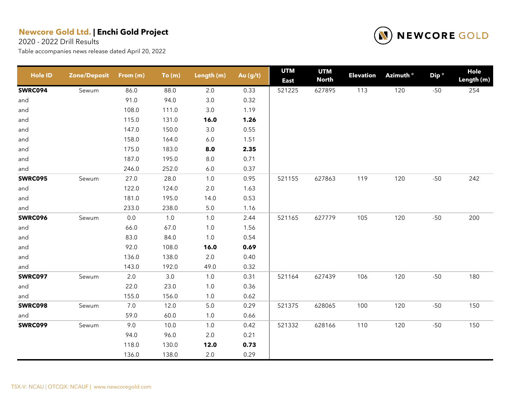2020 - 2022 Drill Results



| <b>Hole ID</b> | <b>Zone/Deposit</b> | From (m) | To(m) | Length (m) | Au (g/t) | <b>UTM</b><br><b>East</b> | <b>UTM</b><br><b>North</b> | <b>Elevation</b> | Azimuth <sup>o</sup> | Dip <sup>o</sup> | Hole<br>Length (m) |
|----------------|---------------------|----------|-------|------------|----------|---------------------------|----------------------------|------------------|----------------------|------------------|--------------------|
| <b>SWRC094</b> | Sewum               | 86.0     | 88.0  | $2.0\,$    | 0.33     | 521225                    | 627895                     | 113              | 120                  | $-50$            | 254                |
| and            |                     | 91.0     | 94.0  | 3.0        | 0.32     |                           |                            |                  |                      |                  |                    |
| and            |                     | 108.0    | 111.0 | $3.0\,$    | 1.19     |                           |                            |                  |                      |                  |                    |
| and            |                     | 115.0    | 131.0 | 16.0       | 1.26     |                           |                            |                  |                      |                  |                    |
| and            |                     | 147.0    | 150.0 | $3.0\,$    | 0.55     |                           |                            |                  |                      |                  |                    |
| and            |                     | 158.0    | 164.0 | $6.0\,$    | 1.51     |                           |                            |                  |                      |                  |                    |
| and            |                     | 175.0    | 183.0 | 8.0        | 2.35     |                           |                            |                  |                      |                  |                    |
| and            |                     | 187.0    | 195.0 | $8.0\,$    | 0.71     |                           |                            |                  |                      |                  |                    |
| and            |                     | 246.0    | 252.0 | $6.0\,$    | 0.37     |                           |                            |                  |                      |                  |                    |
| <b>SWRC095</b> | Sewum               | 27.0     | 28.0  | $1.0$      | 0.95     | 521155                    | 627863                     | 119              | 120                  | $-50$            | 242                |
| and            |                     | 122.0    | 124.0 | $2.0\,$    | 1.63     |                           |                            |                  |                      |                  |                    |
| and            |                     | 181.0    | 195.0 | 14.0       | 0.53     |                           |                            |                  |                      |                  |                    |
| and            |                     | 233.0    | 238.0 | $5.0\,$    | 1.16     |                           |                            |                  |                      |                  |                    |
| <b>SWRC096</b> | Sewum               | $0.0\,$  | $1.0$ | $1.0$      | 2.44     | 521165                    | 627779                     | 105              | 120                  | $-50$            | 200                |
| and            |                     | 66.0     | 67.0  | $1.0$      | 1.56     |                           |                            |                  |                      |                  |                    |
| and            |                     | 83.0     | 84.0  | $1.0$      | 0.54     |                           |                            |                  |                      |                  |                    |
| and            |                     | 92.0     | 108.0 | 16.0       | 0.69     |                           |                            |                  |                      |                  |                    |
| and            |                     | 136.0    | 138.0 | $2.0\,$    | 0.40     |                           |                            |                  |                      |                  |                    |
| and            |                     | 143.0    | 192.0 | 49.0       | 0.32     |                           |                            |                  |                      |                  |                    |
| <b>SWRC097</b> | Sewum               | 2.0      | 3.0   | 1.0        | 0.31     | 521164                    | 627439                     | 106              | 120                  | $-50$            | 180                |
| and            |                     | 22.0     | 23.0  | $1.0\,$    | 0.36     |                           |                            |                  |                      |                  |                    |
| and            |                     | 155.0    | 156.0 | $1.0$      | 0.62     |                           |                            |                  |                      |                  |                    |
| <b>SWRC098</b> | Sewum               | 7.0      | 12.0  | $5.0\,$    | 0.29     | 521375                    | 628065                     | 100              | 120                  | $-50$            | 150                |
| and            |                     | 59.0     | 60.0  | $1.0$      | 0.66     |                           |                            |                  |                      |                  |                    |
| <b>SWRC099</b> | Sewum               | 9.0      | 10.0  | $1.0$      | 0.42     | 521332                    | 628166                     | 110              | 120                  | $-50$            | 150                |
|                |                     | 94.0     | 96.0  | $2.0\,$    | 0.21     |                           |                            |                  |                      |                  |                    |
|                |                     | 118.0    | 130.0 | 12.0       | 0.73     |                           |                            |                  |                      |                  |                    |
|                |                     | 136.0    | 138.0 | $2.0\,$    | 0.29     |                           |                            |                  |                      |                  |                    |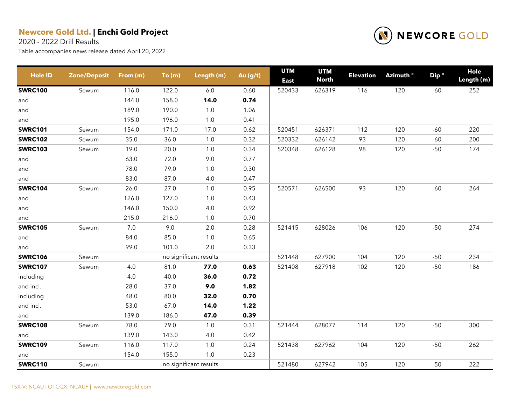2020 - 2022 Drill Results



| <b>Hole ID</b> | <b>Zone/Deposit</b> | From (m) | To(m) | Length (m)             | Au (g/t) | <b>UTM</b><br><b>East</b> | <b>UTM</b><br><b>North</b> | <b>Elevation</b> | Azimuth <sup>o</sup> | Dip <sup>o</sup> | Hole<br>Length (m) |
|----------------|---------------------|----------|-------|------------------------|----------|---------------------------|----------------------------|------------------|----------------------|------------------|--------------------|
| <b>SWRC100</b> | Sewum               | 116.0    | 122.0 | $6.0\,$                | 0.60     | 520433                    | 626319                     | 116              | 120                  | $-60$            | 252                |
| and            |                     | 144.0    | 158.0 | 14.0                   | 0.74     |                           |                            |                  |                      |                  |                    |
| and            |                     | 189.0    | 190.0 | $1.0$                  | 1.06     |                           |                            |                  |                      |                  |                    |
| and            |                     | 195.0    | 196.0 | 1.0                    | 0.41     |                           |                            |                  |                      |                  |                    |
| <b>SWRC101</b> | Sewum               | 154.0    | 171.0 | 17.0                   | 0.62     | 520451                    | 626371                     | 112              | 120                  | $-60$            | 220                |
| <b>SWRC102</b> | Sewum               | 35.0     | 36.0  | 1.0                    | 0.32     | 520332                    | 626142                     | 93               | 120                  | $-60$            | 200                |
| <b>SWRC103</b> | Sewum               | 19.0     | 20.0  | 1.0                    | 0.34     | 520348                    | 626128                     | 98               | 120                  | $-50$            | 174                |
| and            |                     | 63.0     | 72.0  | 9.0                    | 0.77     |                           |                            |                  |                      |                  |                    |
| and            |                     | 78.0     | 79.0  | $1.0\,$                | 0.30     |                           |                            |                  |                      |                  |                    |
| and            |                     | 83.0     | 87.0  | 4.0                    | 0.47     |                           |                            |                  |                      |                  |                    |
| <b>SWRC104</b> | Sewum               | 26.0     | 27.0  | $1.0$                  | 0.95     | 520571                    | 626500                     | 93               | 120                  | $-60$            | 264                |
| and            |                     | 126.0    | 127.0 | $1.0\,$                | 0.43     |                           |                            |                  |                      |                  |                    |
| and            |                     | 146.0    | 150.0 | 4.0                    | 0.92     |                           |                            |                  |                      |                  |                    |
| and            |                     | 215.0    | 216.0 | 1.0                    | 0.70     |                           |                            |                  |                      |                  |                    |
| <b>SWRC105</b> | Sewum               | $7.0\,$  | 9.0   | $2.0\,$                | 0.28     | 521415                    | 628026                     | 106              | 120                  | $-50$            | 274                |
| and            |                     | 84.0     | 85.0  | $1.0$                  | 0.65     |                           |                            |                  |                      |                  |                    |
| and            |                     | 99.0     | 101.0 | 2.0                    | 0.33     |                           |                            |                  |                      |                  |                    |
| <b>SWRC106</b> | Sewum               |          |       | no significant results |          | 521448                    | 627900                     | 104              | 120                  | $-50$            | 234                |
| <b>SWRC107</b> | Sewum               | $4.0\,$  | 81.0  | 77.0                   | 0.63     | 521408                    | 627918                     | 102              | 120                  | $-50$            | 186                |
| including      |                     | 4.0      | 40.0  | 36.0                   | 0.72     |                           |                            |                  |                      |                  |                    |
| and incl.      |                     | 28.0     | 37.0  | 9.0                    | 1.82     |                           |                            |                  |                      |                  |                    |
| including      |                     | 48.0     | 80.0  | 32.0                   | 0.70     |                           |                            |                  |                      |                  |                    |
| and incl.      |                     | 53.0     | 67.0  | 14.0                   | 1.22     |                           |                            |                  |                      |                  |                    |
| and            |                     | 139.0    | 186.0 | 47.0                   | 0.39     |                           |                            |                  |                      |                  |                    |
| <b>SWRC108</b> | Sewum               | 78.0     | 79.0  | $1.0$                  | 0.31     | 521444                    | 628077                     | 114              | 120                  | $-50$            | 300                |
| and            |                     | 139.0    | 143.0 | 4.0                    | 0.42     |                           |                            |                  |                      |                  |                    |
| <b>SWRC109</b> | Sewum               | 116.0    | 117.0 | $1.0$                  | 0.24     | 521438                    | 627962                     | 104              | 120                  | $-50$            | 262                |
| and            |                     | 154.0    | 155.0 | 1.0                    | 0.23     |                           |                            |                  |                      |                  |                    |
| <b>SWRC110</b> | Sewum               |          |       | no significant results |          | 521480                    | 627942                     | 105              | 120                  | $-50$            | 222                |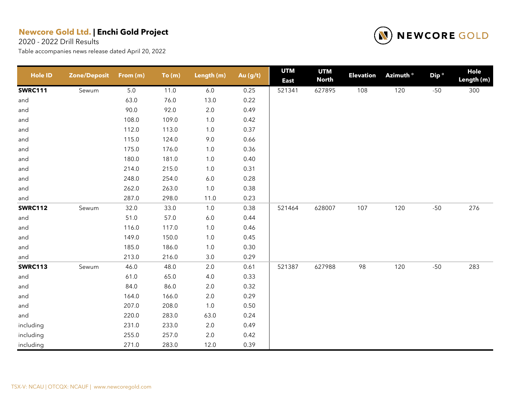2020 - 2022 Drill Results



| <b>Hole ID</b> | <b>Zone/Deposit</b> | From (m) | To(m) | Length (m) | Au (g/t) | <b>UTM</b><br><b>East</b> | <b>UTM</b><br><b>North</b> | <b>Elevation</b> | Azimuth <sup>o</sup> | Dip <sup>o</sup> | <b>Hole</b><br>Length (m) |
|----------------|---------------------|----------|-------|------------|----------|---------------------------|----------------------------|------------------|----------------------|------------------|---------------------------|
| <b>SWRC111</b> | Sewum               | $5.0\,$  | 11.0  | 6.0        | 0.25     | 521341                    | 627895                     | 108              | 120                  | $-50$            | 300                       |
| and            |                     | 63.0     | 76.0  | 13.0       | 0.22     |                           |                            |                  |                      |                  |                           |
| and            |                     | 90.0     | 92.0  | $2.0\,$    | 0.49     |                           |                            |                  |                      |                  |                           |
| and            |                     | 108.0    | 109.0 | $1.0\,$    | 0.42     |                           |                            |                  |                      |                  |                           |
| and            |                     | 112.0    | 113.0 | $1.0\,$    | 0.37     |                           |                            |                  |                      |                  |                           |
| and            |                     | 115.0    | 124.0 | 9.0        | 0.66     |                           |                            |                  |                      |                  |                           |
| and            |                     | 175.0    | 176.0 | $1.0\,$    | 0.36     |                           |                            |                  |                      |                  |                           |
| and            |                     | 180.0    | 181.0 | $1.0$      | 0.40     |                           |                            |                  |                      |                  |                           |
| and            |                     | 214.0    | 215.0 | $1.0\,$    | 0.31     |                           |                            |                  |                      |                  |                           |
| and            |                     | 248.0    | 254.0 | $6.0\,$    | 0.28     |                           |                            |                  |                      |                  |                           |
| and            |                     | 262.0    | 263.0 | $1.0$      | 0.38     |                           |                            |                  |                      |                  |                           |
| and            |                     | 287.0    | 298.0 | 11.0       | 0.23     |                           |                            |                  |                      |                  |                           |
| <b>SWRC112</b> | Sewum               | 32.0     | 33.0  | 1.0        | 0.38     | 521464                    | 628007                     | 107              | 120                  | $-50$            | 276                       |
| and            |                     | 51.0     | 57.0  | $6.0\,$    | 0.44     |                           |                            |                  |                      |                  |                           |
| and            |                     | 116.0    | 117.0 | $1.0\,$    | 0.46     |                           |                            |                  |                      |                  |                           |
| and            |                     | 149.0    | 150.0 | $1.0\,$    | 0.45     |                           |                            |                  |                      |                  |                           |
| and            |                     | 185.0    | 186.0 | $1.0$      | 0.30     |                           |                            |                  |                      |                  |                           |
| and            |                     | 213.0    | 216.0 | 3.0        | 0.29     |                           |                            |                  |                      |                  |                           |
| <b>SWRC113</b> | Sewum               | 46.0     | 48.0  | 2.0        | 0.61     | 521387                    | 627988                     | 98               | 120                  | $-50$            | 283                       |
| and            |                     | 61.0     | 65.0  | 4.0        | 0.33     |                           |                            |                  |                      |                  |                           |
| and            |                     | 84.0     | 86.0  | 2.0        | 0.32     |                           |                            |                  |                      |                  |                           |
| and            |                     | 164.0    | 166.0 | $2.0\,$    | 0.29     |                           |                            |                  |                      |                  |                           |
| and            |                     | 207.0    | 208.0 | $1.0\,$    | 0.50     |                           |                            |                  |                      |                  |                           |
| and            |                     | 220.0    | 283.0 | 63.0       | 0.24     |                           |                            |                  |                      |                  |                           |
| including      |                     | 231.0    | 233.0 | $2.0\,$    | 0.49     |                           |                            |                  |                      |                  |                           |
| including      |                     | 255.0    | 257.0 | 2.0        | 0.42     |                           |                            |                  |                      |                  |                           |
| including      |                     | 271.0    | 283.0 | 12.0       | 0.39     |                           |                            |                  |                      |                  |                           |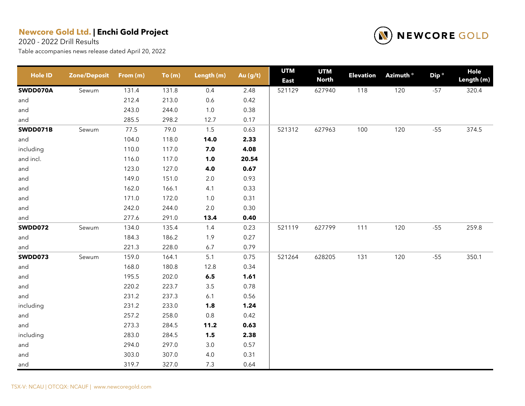2020 - 2022 Drill Results



| <b>Hole ID</b> | <b>Zone/Deposit</b> | From (m) | To(m) | Length (m) | Au (g/t) | <b>UTM</b><br><b>East</b> | <b>UTM</b><br><b>North</b> | <b>Elevation</b> | Azimuth ° | Dip <sup>o</sup> | <b>Hole</b><br>Length (m) |
|----------------|---------------------|----------|-------|------------|----------|---------------------------|----------------------------|------------------|-----------|------------------|---------------------------|
| SWDD070A       | Sewum               | 131.4    | 131.8 | 0.4        | 2.48     | 521129                    | 627940                     | 118              | 120       | $-57$            | 320.4                     |
| and            |                     | 212.4    | 213.0 | 0.6        | 0.42     |                           |                            |                  |           |                  |                           |
| and            |                     | 243.0    | 244.0 | $1.0$      | 0.38     |                           |                            |                  |           |                  |                           |
| and            |                     | 285.5    | 298.2 | 12.7       | 0.17     |                           |                            |                  |           |                  |                           |
| SWDD071B       | Sewum               | 77.5     | 79.0  | $1.5$      | 0.63     | 521312                    | 627963                     | 100              | 120       | $-55$            | 374.5                     |
| and            |                     | 104.0    | 118.0 | 14.0       | 2.33     |                           |                            |                  |           |                  |                           |
| including      |                     | 110.0    | 117.0 | 7.0        | 4.08     |                           |                            |                  |           |                  |                           |
| and incl.      |                     | 116.0    | 117.0 | $1.0$      | 20.54    |                           |                            |                  |           |                  |                           |
| and            |                     | 123.0    | 127.0 | 4.0        | 0.67     |                           |                            |                  |           |                  |                           |
| and            |                     | 149.0    | 151.0 | $2.0\,$    | 0.93     |                           |                            |                  |           |                  |                           |
| and            |                     | 162.0    | 166.1 | 4.1        | 0.33     |                           |                            |                  |           |                  |                           |
| and            |                     | 171.0    | 172.0 | $1.0\,$    | 0.31     |                           |                            |                  |           |                  |                           |
| and            |                     | 242.0    | 244.0 | $2.0\,$    | 0.30     |                           |                            |                  |           |                  |                           |
| and            |                     | 277.6    | 291.0 | 13.4       | 0.40     |                           |                            |                  |           |                  |                           |
| <b>SWDD072</b> | Sewum               | 134.0    | 135.4 | 1.4        | 0.23     | 521119                    | 627799                     | 111              | 120       | $-55$            | 259.8                     |
| and            |                     | 184.3    | 186.2 | 1.9        | 0.27     |                           |                            |                  |           |                  |                           |
| and            |                     | 221.3    | 228.0 | 6.7        | 0.79     |                           |                            |                  |           |                  |                           |
| <b>SWDD073</b> | Sewum               | 159.0    | 164.1 | 5.1        | 0.75     | 521264                    | 628205                     | 131              | 120       | $-55$            | 350.1                     |
| and            |                     | 168.0    | 180.8 | 12.8       | 0.34     |                           |                            |                  |           |                  |                           |
| and            |                     | 195.5    | 202.0 | $\bf 6.5$  | 1.61     |                           |                            |                  |           |                  |                           |
| and            |                     | 220.2    | 223.7 | $3.5\,$    | 0.78     |                           |                            |                  |           |                  |                           |
| and            |                     | 231.2    | 237.3 | $6.1$      | 0.56     |                           |                            |                  |           |                  |                           |
| including      |                     | 231.2    | 233.0 | 1.8        | 1.24     |                           |                            |                  |           |                  |                           |
| and            |                     | 257.2    | 258.0 | $0.8\,$    | 0.42     |                           |                            |                  |           |                  |                           |
| and            |                     | 273.3    | 284.5 | 11.2       | 0.63     |                           |                            |                  |           |                  |                           |
| including      |                     | 283.0    | 284.5 | 1.5        | 2.38     |                           |                            |                  |           |                  |                           |
| and            |                     | 294.0    | 297.0 | $3.0\,$    | 0.57     |                           |                            |                  |           |                  |                           |
| and            |                     | 303.0    | 307.0 | $4.0$      | 0.31     |                           |                            |                  |           |                  |                           |
| and            |                     | 319.7    | 327.0 | 7.3        | 0.64     |                           |                            |                  |           |                  |                           |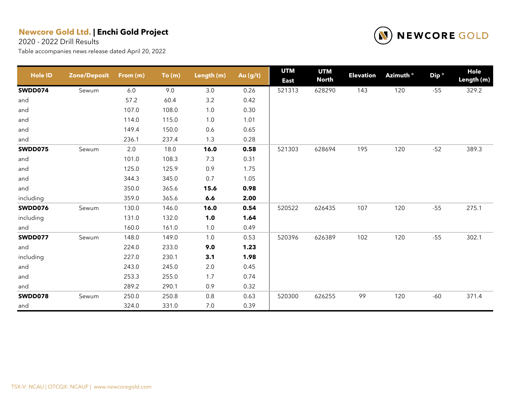2020 - 2022 Drill Results



| <b>Hole ID</b> | <b>Zone/Deposit</b> | From (m) | To(m) | Length (m) | Au (g/t) | <b>UTM</b><br><b>East</b> | <b>UTM</b><br><b>North</b> | <b>Elevation</b> | Azimuth <sup>o</sup> | Dip <sup>o</sup> | Hole<br>Length (m) |
|----------------|---------------------|----------|-------|------------|----------|---------------------------|----------------------------|------------------|----------------------|------------------|--------------------|
| SWDD074        | Sewum               | 6.0      | 9.0   | 3.0        | 0.26     | 521313                    | 628290                     | 143              | 120                  | $-55$            | 329.2              |
| and            |                     | 57.2     | 60.4  | $3.2\,$    | 0.42     |                           |                            |                  |                      |                  |                    |
| and            |                     | 107.0    | 108.0 | $1.0$      | 0.30     |                           |                            |                  |                      |                  |                    |
| and            |                     | 114.0    | 115.0 | 1.0        | 1.01     |                           |                            |                  |                      |                  |                    |
| and            |                     | 149.4    | 150.0 | 0.6        | 0.65     |                           |                            |                  |                      |                  |                    |
| and            |                     | 236.1    | 237.4 | 1.3        | 0.28     |                           |                            |                  |                      |                  |                    |
| <b>SWDD075</b> | Sewum               | 2.0      | 18.0  | 16.0       | 0.58     | 521303                    | 628694                     | 195              | 120                  | $-52$            | 389.3              |
| and            |                     | 101.0    | 108.3 | 7.3        | 0.31     |                           |                            |                  |                      |                  |                    |
| and            |                     | 125.0    | 125.9 | 0.9        | 1.75     |                           |                            |                  |                      |                  |                    |
| and            |                     | 344.3    | 345.0 | 0.7        | 1.05     |                           |                            |                  |                      |                  |                    |
| and            |                     | 350.0    | 365.6 | 15.6       | 0.98     |                           |                            |                  |                      |                  |                    |
| including      |                     | 359.0    | 365.6 | 6.6        | 2.00     |                           |                            |                  |                      |                  |                    |
| SWDD076        | Sewum               | 130.0    | 146.0 | 16.0       | 0.54     | 520522                    | 626435                     | 107              | 120                  | $-55$            | 275.1              |
| including      |                     | 131.0    | 132.0 | 1.0        | 1.64     |                           |                            |                  |                      |                  |                    |
| and            |                     | 160.0    | 161.0 | $1.0$      | 0.49     |                           |                            |                  |                      |                  |                    |
| SWDD077        | Sewum               | 148.0    | 149.0 | 1.0        | 0.53     | 520396                    | 626389                     | 102              | 120                  | $-55$            | 302.1              |
| and            |                     | 224.0    | 233.0 | 9.0        | 1.23     |                           |                            |                  |                      |                  |                    |
| including      |                     | 227.0    | 230.1 | 3.1        | 1.98     |                           |                            |                  |                      |                  |                    |
| and            |                     | 243.0    | 245.0 | 2.0        | 0.45     |                           |                            |                  |                      |                  |                    |
| and            |                     | 253.3    | 255.0 | 1.7        | 0.74     |                           |                            |                  |                      |                  |                    |
| and            |                     | 289.2    | 290.1 | 0.9        | 0.32     |                           |                            |                  |                      |                  |                    |
| SWDD078        | Sewum               | 250.0    | 250.8 | 0.8        | 0.63     | 520300                    | 626255                     | 99               | 120                  | $-60$            | 371.4              |
| and            |                     | 324.0    | 331.0 | 7.0        | 0.39     |                           |                            |                  |                      |                  |                    |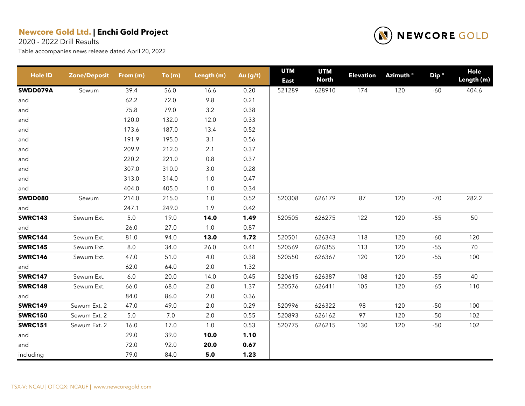2020 - 2022 Drill Results



| <b>Hole ID</b> | <b>Zone/Deposit</b> | From (m) | To(m) | Length (m) | Au (g/t) | <b>UTM</b><br><b>East</b> | <b>UTM</b><br><b>North</b> | <b>Elevation</b> | Azimuth <sup>o</sup> | Dip <sup>o</sup> | <b>Hole</b><br>Length (m) |
|----------------|---------------------|----------|-------|------------|----------|---------------------------|----------------------------|------------------|----------------------|------------------|---------------------------|
| SWDD079A       | Sewum               | 39.4     | 56.0  | 16.6       | 0.20     | 521289                    | 628910                     | 174              | 120                  | $-60$            | 404.6                     |
| and            |                     | 62.2     | 72.0  | 9.8        | 0.21     |                           |                            |                  |                      |                  |                           |
| and            |                     | 75.8     | 79.0  | 3.2        | 0.38     |                           |                            |                  |                      |                  |                           |
| and            |                     | 120.0    | 132.0 | 12.0       | 0.33     |                           |                            |                  |                      |                  |                           |
| and            |                     | 173.6    | 187.0 | 13.4       | 0.52     |                           |                            |                  |                      |                  |                           |
| and            |                     | 191.9    | 195.0 | 3.1        | 0.56     |                           |                            |                  |                      |                  |                           |
| and            |                     | 209.9    | 212.0 | 2.1        | 0.37     |                           |                            |                  |                      |                  |                           |
| and            |                     | 220.2    | 221.0 | 0.8        | 0.37     |                           |                            |                  |                      |                  |                           |
| and            |                     | 307.0    | 310.0 | $3.0\,$    | 0.28     |                           |                            |                  |                      |                  |                           |
| and            |                     | 313.0    | 314.0 | 1.0        | 0.47     |                           |                            |                  |                      |                  |                           |
| and            |                     | 404.0    | 405.0 | 1.0        | 0.34     |                           |                            |                  |                      |                  |                           |
| <b>SWDD080</b> | Sewum               | 214.0    | 215.0 | $1.0$      | 0.52     | 520308                    | 626179                     | 87               | 120                  | $-70$            | 282.2                     |
| and            |                     | 247.1    | 249.0 | 1.9        | 0.42     |                           |                            |                  |                      |                  |                           |
| <b>SWRC143</b> | Sewum Ext.          | $5.0\,$  | 19.0  | 14.0       | 1.49     | 520505                    | 626275                     | 122              | 120                  | $-55$            | 50                        |
| and            |                     | 26.0     | 27.0  | 1.0        | 0.87     |                           |                            |                  |                      |                  |                           |
| <b>SWRC144</b> | Sewum Ext.          | 81.0     | 94.0  | 13.0       | 1.72     | 520501                    | 626343                     | 118              | 120                  | $-60$            | 120                       |
| <b>SWRC145</b> | Sewum Ext.          | 8.0      | 34.0  | 26.0       | 0.41     | 520569                    | 626355                     | 113              | 120                  | $-55$            | 70                        |
| <b>SWRC146</b> | Sewum Ext.          | 47.0     | 51.0  | 4.0        | 0.38     | 520550                    | 626367                     | 120              | 120                  | $-55$            | 100                       |
| and            |                     | 62.0     | 64.0  | 2.0        | 1.32     |                           |                            |                  |                      |                  |                           |
| <b>SWRC147</b> | Sewum Ext.          | 6.0      | 20.0  | 14.0       | 0.45     | 520615                    | 626387                     | 108              | 120                  | $-55$            | 40                        |
| <b>SWRC148</b> | Sewum Ext.          | 66.0     | 68.0  | $2.0\,$    | 1.37     | 520576                    | 626411                     | 105              | 120                  | $-65$            | 110                       |
| and            |                     | 84.0     | 86.0  | 2.0        | 0.36     |                           |                            |                  |                      |                  |                           |
| <b>SWRC149</b> | Sewum Ext. 2        | 47.0     | 49.0  | 2.0        | 0.29     | 520996                    | 626322                     | 98               | 120                  | $-50$            | 100                       |
| <b>SWRC150</b> | Sewum Ext. 2        | 5.0      | 7.0   | 2.0        | 0.55     | 520893                    | 626162                     | 97               | 120                  | $-50$            | 102                       |
| <b>SWRC151</b> | Sewum Ext. 2        | 16.0     | 17.0  | 1.0        | 0.53     | 520775                    | 626215                     | 130              | 120                  | $-50$            | 102                       |
| and            |                     | 29.0     | 39.0  | 10.0       | 1.10     |                           |                            |                  |                      |                  |                           |
| and            |                     | 72.0     | 92.0  | 20.0       | 0.67     |                           |                            |                  |                      |                  |                           |
| including      |                     | 79.0     | 84.0  | 5.0        | 1.23     |                           |                            |                  |                      |                  |                           |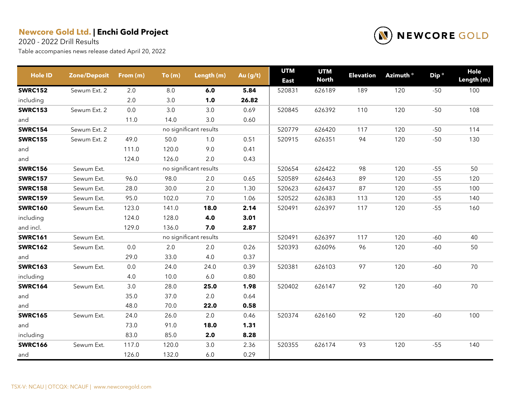2020 - 2022 Drill Results



| <b>Hole ID</b> | Zone/Deposit | From (m) | To(m)   | Length (m)             | Au (g/t) | <b>UTM</b><br><b>East</b> | <b>UTM</b><br><b>North</b> | <b>Elevation</b> | Azimuth <sup>o</sup> | Dip <sup>o</sup> | Hole<br>Length (m) |
|----------------|--------------|----------|---------|------------------------|----------|---------------------------|----------------------------|------------------|----------------------|------------------|--------------------|
| <b>SWRC152</b> | Sewum Ext. 2 | 2.0      | $8.0\,$ | 6.0                    | 5.84     | 520831                    | 626189                     | 189              | 120                  | $-50$            | 100                |
| including      |              | 2.0      | 3.0     | 1.0                    | 26.82    |                           |                            |                  |                      |                  |                    |
| <b>SWRC153</b> | Sewum Ext. 2 | 0.0      | 3.0     | 3.0                    | 0.69     | 520845                    | 626392                     | 110              | 120                  | $-50$            | 108                |
| and            |              | 11.0     | 14.0    | 3.0                    | 0.60     |                           |                            |                  |                      |                  |                    |
| <b>SWRC154</b> | Sewum Ext. 2 |          |         | no significant results |          | 520779                    | 626420                     | 117              | 120                  | $-50$            | 114                |
| <b>SWRC155</b> | Sewum Ext. 2 | 49.0     | 50.0    | 1.0                    | 0.51     | 520915                    | 626351                     | 94               | 120                  | $-50$            | 130                |
| and            |              | 111.0    | 120.0   | 9.0                    | 0.41     |                           |                            |                  |                      |                  |                    |
| and            |              | 124.0    | 126.0   | 2.0                    | 0.43     |                           |                            |                  |                      |                  |                    |
| <b>SWRC156</b> | Sewum Ext.   |          |         | no significant results |          | 520654                    | 626422                     | 98               | 120                  | $-55$            | 50                 |
| <b>SWRC157</b> | Sewum Ext.   | 96.0     | 98.0    | 2.0                    | 0.65     | 520589                    | 626463                     | 89               | 120                  | $-55$            | 120                |
| <b>SWRC158</b> | Sewum Ext.   | 28.0     | 30.0    | 2.0                    | 1.30     | 520623                    | 626437                     | 87               | 120                  | $-55$            | 100                |
| <b>SWRC159</b> | Sewum Ext.   | 95.0     | 102.0   | 7.0                    | 1.06     | 520522                    | 626383                     | 113              | 120                  | $-55$            | 140                |
| <b>SWRC160</b> | Sewum Ext.   | 123.0    | 141.0   | 18.0                   | 2.14     | 520491                    | 626397                     | 117              | 120                  | $-55$            | 160                |
| including      |              | 124.0    | 128.0   | 4.0                    | 3.01     |                           |                            |                  |                      |                  |                    |
| and incl.      |              | 129.0    | 136.0   | 7.0                    | 2.87     |                           |                            |                  |                      |                  |                    |
| <b>SWRC161</b> | Sewum Ext.   |          |         | no significant results |          | 520491                    | 626397                     | 117              | 120                  | $-60$            | 40                 |
| <b>SWRC162</b> | Sewum Ext.   | 0.0      | 2.0     | 2.0                    | 0.26     | 520393                    | 626096                     | 96               | 120                  | -60              | 50                 |
| and            |              | 29.0     | 33.0    | 4.0                    | 0.37     |                           |                            |                  |                      |                  |                    |
| <b>SWRC163</b> | Sewum Ext.   | 0.0      | 24.0    | 24.0                   | 0.39     | 520381                    | 626103                     | 97               | 120                  | $-60$            | 70                 |
| including      |              | 4.0      | 10.0    | 6.0                    | 0.80     |                           |                            |                  |                      |                  |                    |
| <b>SWRC164</b> | Sewum Ext.   | 3.0      | 28.0    | 25.0                   | 1.98     | 520402                    | 626147                     | 92               | 120                  | $-60$            | 70                 |
| and            |              | 35.0     | 37.0    | 2.0                    | 0.64     |                           |                            |                  |                      |                  |                    |
| and            |              | 48.0     | 70.0    | 22.0                   | 0.58     |                           |                            |                  |                      |                  |                    |
| <b>SWRC165</b> | Sewum Ext.   | 24.0     | 26.0    | 2.0                    | 0.46     | 520374                    | 626160                     | 92               | 120                  | $-60$            | 100                |
| and            |              | 73.0     | 91.0    | 18.0                   | 1.31     |                           |                            |                  |                      |                  |                    |
| including      |              | 83.0     | 85.0    | 2.0                    | 8.28     |                           |                            |                  |                      |                  |                    |
| <b>SWRC166</b> | Sewum Ext.   | 117.0    | 120.0   | 3.0                    | 2.36     | 520355                    | 626174                     | 93               | 120                  | $-55$            | 140                |
| and            |              | 126.0    | 132.0   | $6.0\,$                | 0.29     |                           |                            |                  |                      |                  |                    |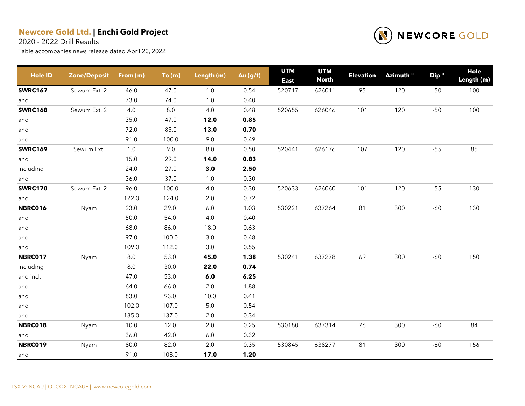2020 - 2022 Drill Results



| <b>Hole ID</b> | <b>Zone/Deposit</b> | From (m) | To(m) | Length (m) | Au (g/t) | <b>UTM</b><br><b>East</b> | <b>UTM</b><br><b>North</b> | <b>Elevation</b> | Azimuth <sup>o</sup> | Dip <sup>o</sup> | Hole<br>Length (m) |
|----------------|---------------------|----------|-------|------------|----------|---------------------------|----------------------------|------------------|----------------------|------------------|--------------------|
| <b>SWRC167</b> | Sewum Ext. 2        | 46.0     | 47.0  | 1.0        | 0.54     | 520717                    | 626011                     | 95               | 120                  | $-50$            | 100                |
| and            |                     | 73.0     | 74.0  | $1.0$      | 0.40     |                           |                            |                  |                      |                  |                    |
| <b>SWRC168</b> | Sewum Ext. 2        | 4.0      | 8.0   | 4.0        | 0.48     | 520655                    | 626046                     | 101              | 120                  | $-50$            | 100                |
| and            |                     | 35.0     | 47.0  | 12.0       | 0.85     |                           |                            |                  |                      |                  |                    |
| and            |                     | 72.0     | 85.0  | 13.0       | 0.70     |                           |                            |                  |                      |                  |                    |
| and            |                     | 91.0     | 100.0 | 9.0        | 0.49     |                           |                            |                  |                      |                  |                    |
| <b>SWRC169</b> | Sewum Ext.          | 1.0      | 9.0   | $8.0\,$    | 0.50     | 520441                    | 626176                     | 107              | 120                  | $-55$            | 85                 |
| and            |                     | 15.0     | 29.0  | 14.0       | 0.83     |                           |                            |                  |                      |                  |                    |
| including      |                     | 24.0     | 27.0  | 3.0        | 2.50     |                           |                            |                  |                      |                  |                    |
| and            |                     | 36.0     | 37.0  | $1.0$      | 0.30     |                           |                            |                  |                      |                  |                    |
| <b>SWRC170</b> | Sewum Ext. 2        | 96.0     | 100.0 | 4.0        | 0.30     | 520633                    | 626060                     | 101              | 120                  | $-55$            | 130                |
| and            |                     | 122.0    | 124.0 | 2.0        | 0.72     |                           |                            |                  |                      |                  |                    |
| <b>NBRC016</b> | Nyam                | 23.0     | 29.0  | $6.0\,$    | 1.03     | 530221                    | 637264                     | 81               | 300                  | $-60$            | 130                |
| and            |                     | 50.0     | 54.0  | 4.0        | 0.40     |                           |                            |                  |                      |                  |                    |
| and            |                     | 68.0     | 86.0  | 18.0       | 0.63     |                           |                            |                  |                      |                  |                    |
| and            |                     | 97.0     | 100.0 | $3.0\,$    | 0.48     |                           |                            |                  |                      |                  |                    |
| and            |                     | 109.0    | 112.0 | $3.0\,$    | 0.55     |                           |                            |                  |                      |                  |                    |
| <b>NBRC017</b> | Nyam                | $8.0\,$  | 53.0  | 45.0       | 1.38     | 530241                    | 637278                     | 69               | 300                  | $-60$            | 150                |
| including      |                     | $8.0\,$  | 30.0  | 22.0       | 0.74     |                           |                            |                  |                      |                  |                    |
| and incl.      |                     | 47.0     | 53.0  | $6.0\,$    | 6.25     |                           |                            |                  |                      |                  |                    |
| and            |                     | 64.0     | 66.0  | 2.0        | 1.88     |                           |                            |                  |                      |                  |                    |
| and            |                     | 83.0     | 93.0  | 10.0       | 0.41     |                           |                            |                  |                      |                  |                    |
| and            |                     | 102.0    | 107.0 | $5.0\,$    | 0.54     |                           |                            |                  |                      |                  |                    |
| and            |                     | 135.0    | 137.0 | 2.0        | 0.34     |                           |                            |                  |                      |                  |                    |
| NBRC018        | Nyam                | 10.0     | 12.0  | $2.0\,$    | 0.25     | 530180                    | 637314                     | 76               | 300                  | $-60$            | 84                 |
| and            |                     | 36.0     | 42.0  | $6.0\,$    | 0.32     |                           |                            |                  |                      |                  |                    |
| <b>NBRC019</b> | Nyam                | 80.0     | 82.0  | 2.0        | 0.35     | 530845                    | 638277                     | 81               | 300                  | $-60$            | 156                |
| and            |                     | 91.0     | 108.0 | 17.0       | 1.20     |                           |                            |                  |                      |                  |                    |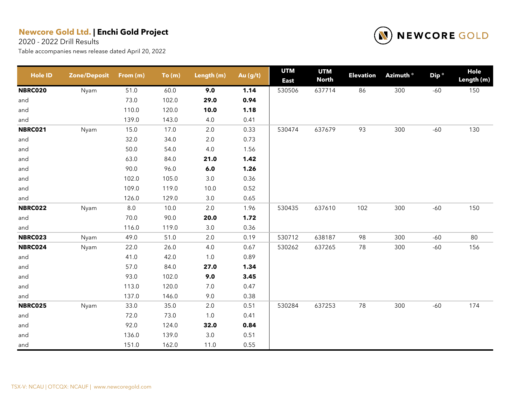2020 - 2022 Drill Results



| <b>Hole ID</b> | <b>Zone/Deposit</b> | From (m) | To(m) | Length (m) | Au (g/t) | <b>UTM</b><br><b>East</b> | <b>UTM</b><br><b>North</b> | <b>Elevation</b> | Azimuth <sup>o</sup> | Dip <sup>o</sup> | <b>Hole</b><br>Length (m) |
|----------------|---------------------|----------|-------|------------|----------|---------------------------|----------------------------|------------------|----------------------|------------------|---------------------------|
| <b>NBRC020</b> | Nyam                | 51.0     | 60.0  | 9.0        | 1.14     | 530506                    | 637714                     | 86               | 300                  | $-60$            | 150                       |
| and            |                     | 73.0     | 102.0 | 29.0       | 0.94     |                           |                            |                  |                      |                  |                           |
| and            |                     | 110.0    | 120.0 | 10.0       | 1.18     |                           |                            |                  |                      |                  |                           |
| and            |                     | 139.0    | 143.0 | 4.0        | 0.41     |                           |                            |                  |                      |                  |                           |
| <b>NBRC021</b> | Nyam                | 15.0     | 17.0  | $2.0\,$    | 0.33     | 530474                    | 637679                     | 93               | 300                  | $-60$            | 130                       |
| and            |                     | 32.0     | 34.0  | $2.0\,$    | 0.73     |                           |                            |                  |                      |                  |                           |
| and            |                     | 50.0     | 54.0  | 4.0        | 1.56     |                           |                            |                  |                      |                  |                           |
| and            |                     | 63.0     | 84.0  | 21.0       | 1.42     |                           |                            |                  |                      |                  |                           |
| and            |                     | 90.0     | 96.0  | $6.0\,$    | 1.26     |                           |                            |                  |                      |                  |                           |
| and            |                     | 102.0    | 105.0 | $3.0\,$    | 0.36     |                           |                            |                  |                      |                  |                           |
| and            |                     | 109.0    | 119.0 | 10.0       | 0.52     |                           |                            |                  |                      |                  |                           |
| and            |                     | 126.0    | 129.0 | $3.0\,$    | 0.65     |                           |                            |                  |                      |                  |                           |
| <b>NBRC022</b> | Nyam                | $8.0\,$  | 10.0  | 2.0        | 1.96     | 530435                    | 637610                     | 102              | 300                  | $-60$            | 150                       |
| and            |                     | 70.0     | 90.0  | 20.0       | 1.72     |                           |                            |                  |                      |                  |                           |
| and            |                     | 116.0    | 119.0 | 3.0        | 0.36     |                           |                            |                  |                      |                  |                           |
| NBRC023        | Nyam                | 49.0     | 51.0  | 2.0        | 0.19     | 530712                    | 638187                     | 98               | 300                  | $-60$            | 80                        |
| NBRC024        | Nyam                | 22.0     | 26.0  | 4.0        | 0.67     | 530262                    | 637265                     | 78               | 300                  | $-60$            | 156                       |
| and            |                     | 41.0     | 42.0  | 1.0        | 0.89     |                           |                            |                  |                      |                  |                           |
| and            |                     | 57.0     | 84.0  | 27.0       | 1.34     |                           |                            |                  |                      |                  |                           |
| and            |                     | 93.0     | 102.0 | 9.0        | 3.45     |                           |                            |                  |                      |                  |                           |
| and            |                     | 113.0    | 120.0 | $7.0\,$    | 0.47     |                           |                            |                  |                      |                  |                           |
| and            |                     | 137.0    | 146.0 | 9.0        | 0.38     |                           |                            |                  |                      |                  |                           |
| <b>NBRC025</b> | Nyam                | 33.0     | 35.0  | 2.0        | 0.51     | 530284                    | 637253                     | 78               | 300                  | $-60$            | 174                       |
| and            |                     | 72.0     | 73.0  | 1.0        | 0.41     |                           |                            |                  |                      |                  |                           |
| and            |                     | 92.0     | 124.0 | 32.0       | 0.84     |                           |                            |                  |                      |                  |                           |
| and            |                     | 136.0    | 139.0 | $3.0\,$    | 0.51     |                           |                            |                  |                      |                  |                           |
| and            |                     | 151.0    | 162.0 | 11.0       | 0.55     |                           |                            |                  |                      |                  |                           |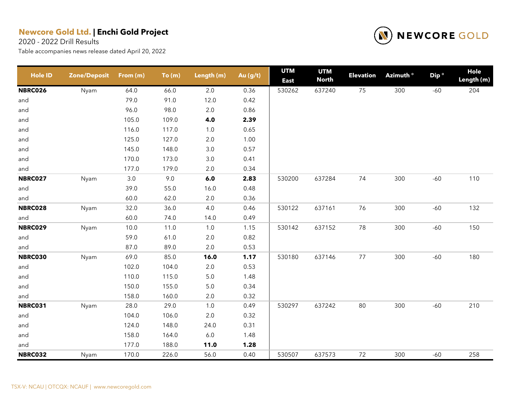2020 - 2022 Drill Results



| <b>Hole ID</b> | <b>Zone/Deposit</b> | From (m) | To(m) | Length (m) | Au (g/t) | <b>UTM</b><br><b>East</b> | <b>UTM</b><br><b>North</b> | <b>Elevation</b> | Azimuth <sup>o</sup> | Dip <sup>o</sup> | <b>Hole</b><br>Length (m) |
|----------------|---------------------|----------|-------|------------|----------|---------------------------|----------------------------|------------------|----------------------|------------------|---------------------------|
| <b>NBRC026</b> | Nyam                | 64.0     | 66.0  | 2.0        | 0.36     | 530262                    | 637240                     | 75               | 300                  | $-60$            | 204                       |
| and            |                     | 79.0     | 91.0  | 12.0       | 0.42     |                           |                            |                  |                      |                  |                           |
| and            |                     | 96.0     | 98.0  | $2.0\,$    | 0.86     |                           |                            |                  |                      |                  |                           |
| and            |                     | 105.0    | 109.0 | 4.0        | 2.39     |                           |                            |                  |                      |                  |                           |
| and            |                     | 116.0    | 117.0 | $1.0$      | 0.65     |                           |                            |                  |                      |                  |                           |
| and            |                     | 125.0    | 127.0 | $2.0\,$    | 1.00     |                           |                            |                  |                      |                  |                           |
| and            |                     | 145.0    | 148.0 | $3.0\,$    | 0.57     |                           |                            |                  |                      |                  |                           |
| and            |                     | 170.0    | 173.0 | 3.0        | 0.41     |                           |                            |                  |                      |                  |                           |
| and            |                     | 177.0    | 179.0 | $2.0\,$    | 0.34     |                           |                            |                  |                      |                  |                           |
| <b>NBRC027</b> | Nyam                | 3.0      | 9.0   | $6.0$      | 2.83     | 530200                    | 637284                     | 74               | 300                  | $-60$            | 110                       |
| and            |                     | 39.0     | 55.0  | 16.0       | 0.48     |                           |                            |                  |                      |                  |                           |
| and            |                     | 60.0     | 62.0  | $2.0\,$    | 0.36     |                           |                            |                  |                      |                  |                           |
| NBRC028        | Nyam                | 32.0     | 36.0  | 4.0        | 0.46     | 530122                    | 637161                     | 76               | 300                  | $-60$            | 132                       |
| and            |                     | 60.0     | 74.0  | 14.0       | 0.49     |                           |                            |                  |                      |                  |                           |
| <b>NBRC029</b> | Nyam                | 10.0     | 11.0  | $1.0$      | 1.15     | 530142                    | 637152                     | 78               | 300                  | $-60$            | 150                       |
| and            |                     | 59.0     | 61.0  | $2.0\,$    | 0.82     |                           |                            |                  |                      |                  |                           |
| and            |                     | 87.0     | 89.0  | $2.0\,$    | 0.53     |                           |                            |                  |                      |                  |                           |
| <b>NBRC030</b> | Nyam                | 69.0     | 85.0  | 16.0       | 1.17     | 530180                    | 637146                     | $77 \,$          | 300                  | $-60$            | 180                       |
| and            |                     | 102.0    | 104.0 | $2.0\,$    | 0.53     |                           |                            |                  |                      |                  |                           |
| and            |                     | 110.0    | 115.0 | $5.0\,$    | 1.48     |                           |                            |                  |                      |                  |                           |
| and            |                     | 150.0    | 155.0 | $5.0\,$    | 0.34     |                           |                            |                  |                      |                  |                           |
| and            |                     | 158.0    | 160.0 | 2.0        | 0.32     |                           |                            |                  |                      |                  |                           |
| <b>NBRC031</b> | Nyam                | 28.0     | 29.0  | $1.0$      | 0.49     | 530297                    | 637242                     | 80               | 300                  | $-60$            | 210                       |
| and            |                     | 104.0    | 106.0 | $2.0\,$    | 0.32     |                           |                            |                  |                      |                  |                           |
| and            |                     | 124.0    | 148.0 | 24.0       | 0.31     |                           |                            |                  |                      |                  |                           |
| and            |                     | 158.0    | 164.0 | $6.0\,$    | 1.48     |                           |                            |                  |                      |                  |                           |
| and            |                     | 177.0    | 188.0 | 11.0       | 1.28     |                           |                            |                  |                      |                  |                           |
| <b>NBRC032</b> | Nyam                | 170.0    | 226.0 | 56.0       | 0.40     | 530507                    | 637573                     | 72               | 300                  | $-60$            | 258                       |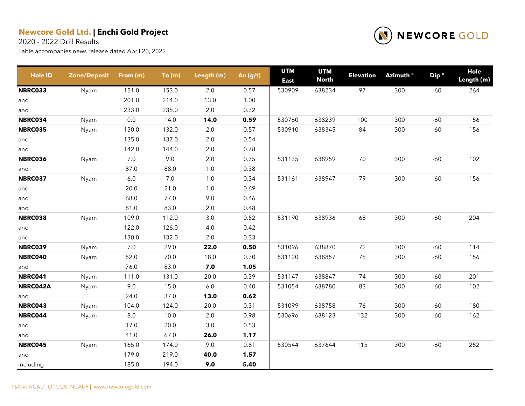2020 - 2022 Drill Results



| <b>Hole ID</b> | <b>Zone/Deposit</b> | From (m) | To(m)   | Length (m) | Au (g/t) | <b>UTM</b><br><b>East</b> | <b>UTM</b><br><b>North</b> | <b>Elevation</b> | Azimuth <sup>o</sup> | Dip <sup>o</sup> | Hole<br>Length (m) |
|----------------|---------------------|----------|---------|------------|----------|---------------------------|----------------------------|------------------|----------------------|------------------|--------------------|
| NBRC033        | Nyam                | 151.0    | 153.0   | 2.0        | 0.57     | 530909                    | 638234                     | 97               | 300                  | $-60$            | 264                |
| and            |                     | 201.0    | 214.0   | 13.0       | 1.00     |                           |                            |                  |                      |                  |                    |
| and            |                     | 233.0    | 235.0   | 2.0        | 0.32     |                           |                            |                  |                      |                  |                    |
| NBRC034        | Nyam                | 0.0      | 14.0    | 14.0       | 0.59     | 530760                    | 638239                     | 100              | 300                  | $-60$            | 156                |
| <b>NBRC035</b> | Nyam                | 130.0    | 132.0   | 2.0        | 0.57     | 530910                    | 638345                     | 84               | 300                  | $-60$            | 156                |
| and            |                     | 135.0    | 137.0   | $2.0\,$    | 0.54     |                           |                            |                  |                      |                  |                    |
| and            |                     | 142.0    | 144.0   | $2.0\,$    | 0.78     |                           |                            |                  |                      |                  |                    |
| NBRC036        | Nyam                | 7.0      | 9.0     | 2.0        | 0.75     | 531135                    | 638959                     | 70               | 300                  | $-60$            | 102                |
| and            |                     | 87.0     | 88.0    | 1.0        | 0.38     |                           |                            |                  |                      |                  |                    |
| NBRC037        | Nyam                | $6.0\,$  | $7.0\,$ | $1.0$      | 0.34     | 531161                    | 638947                     | 79               | 300                  | $-60$            | 156                |
| and            |                     | 20.0     | 21.0    | 1.0        | 0.69     |                           |                            |                  |                      |                  |                    |
| and            |                     | 68.0     | 77.0    | 9.0        | 0.46     |                           |                            |                  |                      |                  |                    |
| and            |                     | 81.0     | 83.0    | $2.0\,$    | 0.48     |                           |                            |                  |                      |                  |                    |
| NBRC038        | Nyam                | 109.0    | 112.0   | 3.0        | 0.52     | 531190                    | 638936                     | 68               | 300                  | $-60$            | 204                |
| and            |                     | 122.0    | 126.0   | 4.0        | 0.42     |                           |                            |                  |                      |                  |                    |
| and            |                     | 130.0    | 132.0   | 2.0        | 0.33     |                           |                            |                  |                      |                  |                    |
| <b>NBRC039</b> | Nyam                | 7.0      | 29.0    | 22.0       | 0.50     | 531096                    | 638870                     | 72               | 300                  | $-60$            | 114                |
| NBRC040        | Nyam                | 52.0     | 70.0    | 18.0       | 0.30     | 531120                    | 638857                     | 75               | 300                  | $-60$            | 156                |
| and            |                     | 76.0     | 83.0    | 7.0        | 1.05     |                           |                            |                  |                      |                  |                    |
| NBRC041        | Nyam                | 111.0    | 131.0   | 20.0       | 0.39     | 531147                    | 638847                     | 74               | 300                  | $-60$            | 201                |
| NBRC042A       | Nyam                | 9.0      | 15.0    | $6.0\,$    | 0.40     | 531054                    | 638780                     | 83               | 300                  | $-60$            | 102                |
| and            |                     | 24.0     | 37.0    | 13.0       | 0.62     |                           |                            |                  |                      |                  |                    |
| NBRC043        | Nyam                | 104.0    | 124.0   | 20.0       | 0.31     | 531099                    | 638758                     | 76               | 300                  | $-60$            | 180                |
| NBRC044        | Nyam                | 8.0      | 10.0    | 2.0        | 0.98     | 530696                    | 638123                     | 132              | 300                  | $-60$            | 162                |
| and            |                     | 17.0     | 20.0    | 3.0        | 0.53     |                           |                            |                  |                      |                  |                    |
| and            |                     | 41.0     | 67.0    | 26.0       | 1.17     |                           |                            |                  |                      |                  |                    |
| NBRC045        | Nyam                | 165.0    | 174.0   | 9.0        | 0.81     | 530544                    | 637644                     | 115              | 300                  | $-60$            | 252                |
| and            |                     | 179.0    | 219.0   | 40.0       | 1.57     |                           |                            |                  |                      |                  |                    |
| including      |                     | 185.0    | 194.0   | 9.0        | 5.40     |                           |                            |                  |                      |                  |                    |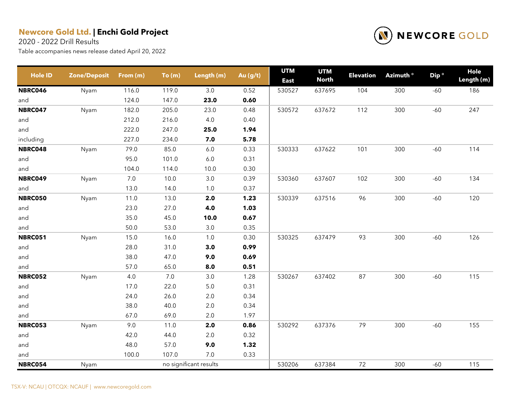2020 - 2022 Drill Results



| <b>Hole ID</b> | <b>Zone/Deposit</b> | From (m) | To(m) | Length (m)             | Au (g/t) | <b>UTM</b><br><b>East</b> | <b>UTM</b><br><b>North</b> | <b>Elevation</b> | Azimuth <sup>o</sup> | Dip <sup>o</sup> | Hole<br>Length (m) |
|----------------|---------------------|----------|-------|------------------------|----------|---------------------------|----------------------------|------------------|----------------------|------------------|--------------------|
| <b>NBRC046</b> | Nyam                | 116.0    | 119.0 | 3.0                    | 0.52     | 530527                    | 637695                     | 104              | 300                  | $-60$            | 186                |
| and            |                     | 124.0    | 147.0 | 23.0                   | 0.60     |                           |                            |                  |                      |                  |                    |
| <b>NBRC047</b> | Nyam                | 182.0    | 205.0 | 23.0                   | 0.48     | 530572                    | 637672                     | 112              | 300                  | $-60$            | 247                |
| and            |                     | 212.0    | 216.0 | 4.0                    | 0.40     |                           |                            |                  |                      |                  |                    |
| and            |                     | 222.0    | 247.0 | 25.0                   | 1.94     |                           |                            |                  |                      |                  |                    |
| including      |                     | 227.0    | 234.0 | 7.0                    | 5.78     |                           |                            |                  |                      |                  |                    |
| NBRC048        | Nyam                | 79.0     | 85.0  | $6.0\,$                | 0.33     | 530333                    | 637622                     | 101              | 300                  | $-60$            | 114                |
| and            |                     | 95.0     | 101.0 | $6.0\,$                | 0.31     |                           |                            |                  |                      |                  |                    |
| and            |                     | 104.0    | 114.0 | 10.0                   | 0.30     |                           |                            |                  |                      |                  |                    |
| NBRC049        | Nyam                | $7.0$    | 10.0  | 3.0                    | 0.39     | 530360                    | 637607                     | 102              | 300                  | $-60$            | 134                |
| and            |                     | 13.0     | 14.0  | 1.0                    | 0.37     |                           |                            |                  |                      |                  |                    |
| <b>NBRC050</b> | Nyam                | 11.0     | 13.0  | 2.0                    | 1.23     | 530339                    | 637516                     | 96               | 300                  | $-60$            | 120                |
| and            |                     | 23.0     | 27.0  | 4.0                    | 1.03     |                           |                            |                  |                      |                  |                    |
| and            |                     | 35.0     | 45.0  | 10.0                   | 0.67     |                           |                            |                  |                      |                  |                    |
| and            |                     | 50.0     | 53.0  | 3.0                    | 0.35     |                           |                            |                  |                      |                  |                    |
| <b>NBRC051</b> | Nyam                | 15.0     | 16.0  | 1.0                    | 0.30     | 530325                    | 637479                     | 93               | 300                  | $-60$            | 126                |
| and            |                     | 28.0     | 31.0  | 3.0                    | 0.99     |                           |                            |                  |                      |                  |                    |
| and            |                     | 38.0     | 47.0  | 9.0                    | 0.69     |                           |                            |                  |                      |                  |                    |
| and            |                     | 57.0     | 65.0  | 8.0                    | 0.51     |                           |                            |                  |                      |                  |                    |
| <b>NBRC052</b> | Nyam                | 4.0      | 7.0   | 3.0                    | 1.28     | 530267                    | 637402                     | 87               | 300                  | $-60$            | 115                |
| and            |                     | 17.0     | 22.0  | $5.0\,$                | 0.31     |                           |                            |                  |                      |                  |                    |
| and            |                     | 24.0     | 26.0  | 2.0                    | 0.34     |                           |                            |                  |                      |                  |                    |
| and            |                     | 38.0     | 40.0  | $2.0\,$                | 0.34     |                           |                            |                  |                      |                  |                    |
| and            |                     | 67.0     | 69.0  | 2.0                    | 1.97     |                           |                            |                  |                      |                  |                    |
| <b>NBRC053</b> | Nyam                | 9.0      | 11.0  | 2.0                    | 0.86     | 530292                    | 637376                     | 79               | 300                  | $-60$            | 155                |
| and            |                     | 42.0     | 44.0  | 2.0                    | 0.32     |                           |                            |                  |                      |                  |                    |
| and            |                     | 48.0     | 57.0  | 9.0                    | 1.32     |                           |                            |                  |                      |                  |                    |
| and            |                     | 100.0    | 107.0 | 7.0                    | 0.33     |                           |                            |                  |                      |                  |                    |
| <b>NBRC054</b> | Nyam                |          |       | no significant results |          | 530206                    | 637384                     | 72               | 300                  | $-60$            | 115                |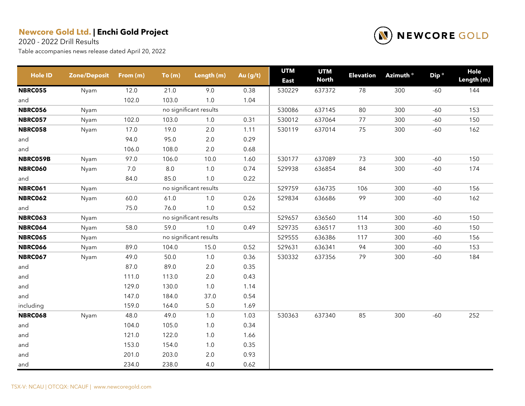2020 - 2022 Drill Results



| <b>Hole ID</b> | <b>Zone/Deposit</b> | From (m) | To(m) | Length (m)             | Au $(g/t)$ | <b>UTM</b><br><b>East</b> | <b>UTM</b><br><b>North</b> | <b>Elevation</b> | Azimuth ° | Dip <sup>o</sup> | Hole<br>Length (m) |
|----------------|---------------------|----------|-------|------------------------|------------|---------------------------|----------------------------|------------------|-----------|------------------|--------------------|
| <b>NBRC055</b> | Nyam                | 12.0     | 21.0  | 9.0                    | 0.38       | 530229                    | 637372                     | 78               | 300       | $-60$            | 144                |
| and            |                     | 102.0    | 103.0 | 1.0                    | 1.04       |                           |                            |                  |           |                  |                    |
| <b>NBRC056</b> | Nyam                |          |       | no significant results |            | 530086                    | 637145                     | 80               | 300       | $-60$            | 153                |
| <b>NBRC057</b> | Nyam                | 102.0    | 103.0 | 1.0                    | 0.31       | 530012                    | 637064                     | 77               | 300       | $-60$            | 150                |
| <b>NBRC058</b> | Nyam                | 17.0     | 19.0  | $2.0\,$                | 1.11       | 530119                    | 637014                     | 75               | 300       | $-60$            | 162                |
| and            |                     | 94.0     | 95.0  | $2.0\,$                | 0.29       |                           |                            |                  |           |                  |                    |
| and            |                     | 106.0    | 108.0 | 2.0                    | 0.68       |                           |                            |                  |           |                  |                    |
| NBRC059B       | Nyam                | 97.0     | 106.0 | 10.0                   | 1.60       | 530177                    | 637089                     | 73               | 300       | $-60$            | 150                |
| <b>NBRC060</b> | Nyam                | 7.0      | 8.0   | 1.0                    | 0.74       | 529938                    | 636854                     | 84               | 300       | $-60$            | 174                |
| and            |                     | 84.0     | 85.0  | $1.0\,$                | 0.22       |                           |                            |                  |           |                  |                    |
| <b>NBRC061</b> | Nyam                |          |       | no significant results |            | 529759                    | 636735                     | 106              | 300       | $-60$            | 156                |
| <b>NBRC062</b> | Nyam                | 60.0     | 61.0  | 1.0                    | 0.26       | 529834                    | 636686                     | 99               | 300       | $-60$            | 162                |
| and            |                     | 75.0     | 76.0  | $1.0\,$                | 0.52       |                           |                            |                  |           |                  |                    |
| <b>NBRC063</b> | Nyam                |          |       | no significant results |            | 529657                    | 636560                     | 114              | 300       | $-60$            | 150                |
| <b>NBRC064</b> | Nyam                | 58.0     | 59.0  | $1.0\,$                | 0.49       | 529735                    | 636517                     | 113              | 300       | $-60$            | 150                |
| <b>NBRC065</b> | Nyam                |          |       | no significant results |            | 529555                    | 636386                     | 117              | 300       | $-60$            | 156                |
| <b>NBRC066</b> | Nyam                | 89.0     | 104.0 | 15.0                   | 0.52       | 529631                    | 636341                     | 94               | 300       | $-60$            | 153                |
| <b>NBRC067</b> | Nyam                | 49.0     | 50.0  | $1.0$                  | 0.36       | 530332                    | 637356                     | 79               | 300       | $-60$            | 184                |
| and            |                     | 87.0     | 89.0  | 2.0                    | 0.35       |                           |                            |                  |           |                  |                    |
| and            |                     | 111.0    | 113.0 | $2.0\,$                | 0.43       |                           |                            |                  |           |                  |                    |
| and            |                     | 129.0    | 130.0 | $1.0$                  | 1.14       |                           |                            |                  |           |                  |                    |
| and            |                     | 147.0    | 184.0 | 37.0                   | 0.54       |                           |                            |                  |           |                  |                    |
| including      |                     | 159.0    | 164.0 | $5.0\,$                | 1.69       |                           |                            |                  |           |                  |                    |
| <b>NBRC068</b> | Nyam                | 48.0     | 49.0  | $1.0$                  | 1.03       | 530363                    | 637340                     | 85               | 300       | $-60$            | 252                |
| and            |                     | 104.0    | 105.0 | 1.0                    | 0.34       |                           |                            |                  |           |                  |                    |
| and            |                     | 121.0    | 122.0 | 1.0                    | 1.66       |                           |                            |                  |           |                  |                    |
| and            |                     | 153.0    | 154.0 | $1.0$                  | 0.35       |                           |                            |                  |           |                  |                    |
| and            |                     | 201.0    | 203.0 | $2.0\,$                | 0.93       |                           |                            |                  |           |                  |                    |
| and            |                     | 234.0    | 238.0 | 4.0                    | 0.62       |                           |                            |                  |           |                  |                    |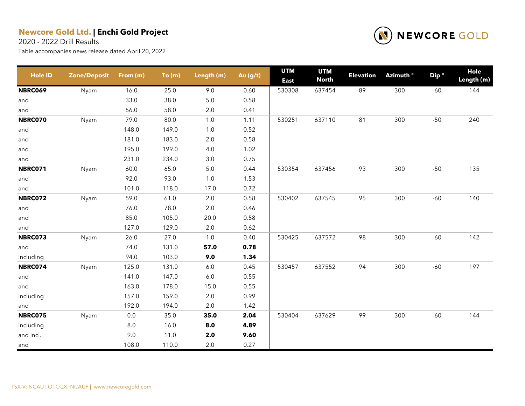2020 - 2022 Drill Results



| <b>Hole ID</b> | <b>Zone/Deposit</b> | From (m) | To(m) | Length (m) | Au (g/t) | <b>UTM</b><br><b>East</b> | <b>UTM</b><br><b>North</b> | <b>Elevation</b> | Azimuth <sup>o</sup> | Dip <sup>o</sup> | Hole<br>Length (m) |
|----------------|---------------------|----------|-------|------------|----------|---------------------------|----------------------------|------------------|----------------------|------------------|--------------------|
| <b>NBRC069</b> | Nyam                | 16.0     | 25.0  | 9.0        | 0.60     | 530308                    | 637454                     | 89               | 300                  | $-60$            | 144                |
| and            |                     | 33.0     | 38.0  | $5.0$      | 0.58     |                           |                            |                  |                      |                  |                    |
| and            |                     | 56.0     | 58.0  | $2.0\,$    | 0.41     |                           |                            |                  |                      |                  |                    |
| NBRC070        | Nyam                | 79.0     | 80.0  | 1.0        | 1.11     | 530251                    | 637110                     | 81               | 300                  | $-50$            | 240                |
| and            |                     | 148.0    | 149.0 | 1.0        | 0.52     |                           |                            |                  |                      |                  |                    |
| and            |                     | 181.0    | 183.0 | 2.0        | 0.58     |                           |                            |                  |                      |                  |                    |
| and            |                     | 195.0    | 199.0 | 4.0        | 1.02     |                           |                            |                  |                      |                  |                    |
| and            |                     | 231.0    | 234.0 | 3.0        | 0.75     |                           |                            |                  |                      |                  |                    |
| <b>NBRC071</b> | Nyam                | 60.0     | 65.0  | $5.0$      | 0.44     | 530354                    | 637456                     | 93               | 300                  | $-50$            | 135                |
| and            |                     | 92.0     | 93.0  | 1.0        | 1.53     |                           |                            |                  |                      |                  |                    |
| and            |                     | 101.0    | 118.0 | 17.0       | 0.72     |                           |                            |                  |                      |                  |                    |
| <b>NBRC072</b> | Nyam                | 59.0     | 61.0  | $2.0\,$    | 0.58     | 530402                    | 637545                     | 95               | 300                  | $-60$            | 140                |
| and            |                     | 76.0     | 78.0  | $2.0\,$    | 0.46     |                           |                            |                  |                      |                  |                    |
| and            |                     | 85.0     | 105.0 | 20.0       | 0.58     |                           |                            |                  |                      |                  |                    |
| and            |                     | 127.0    | 129.0 | $2.0\,$    | 0.62     |                           |                            |                  |                      |                  |                    |
| NBRC073        | Nyam                | 26.0     | 27.0  | 1.0        | 0.40     | 530425                    | 637572                     | 98               | 300                  | $-60$            | 142                |
| and            |                     | 74.0     | 131.0 | 57.0       | 0.78     |                           |                            |                  |                      |                  |                    |
| including      |                     | 94.0     | 103.0 | 9.0        | 1.34     |                           |                            |                  |                      |                  |                    |
| NBRC074        | Nyam                | 125.0    | 131.0 | $6.0\,$    | 0.45     | 530457                    | 637552                     | 94               | 300                  | $-60$            | 197                |
| and            |                     | 141.0    | 147.0 | $6.0$      | 0.55     |                           |                            |                  |                      |                  |                    |
| and            |                     | 163.0    | 178.0 | 15.0       | 0.55     |                           |                            |                  |                      |                  |                    |
| including      |                     | 157.0    | 159.0 | $2.0\,$    | 0.99     |                           |                            |                  |                      |                  |                    |
| and            |                     | 192.0    | 194.0 | $2.0\,$    | 1.42     |                           |                            |                  |                      |                  |                    |
| <b>NBRC075</b> | Nyam                | $0.0\,$  | 35.0  | 35.0       | 2.04     | 530404                    | 637629                     | 99               | 300                  | $-60$            | 144                |
| including      |                     | $8.0\,$  | 16.0  | 8.0        | 4.89     |                           |                            |                  |                      |                  |                    |
| and incl.      |                     | 9.0      | 11.0  | $2.0\,$    | 9.60     |                           |                            |                  |                      |                  |                    |
| and            |                     | 108.0    | 110.0 | 2.0        | 0.27     |                           |                            |                  |                      |                  |                    |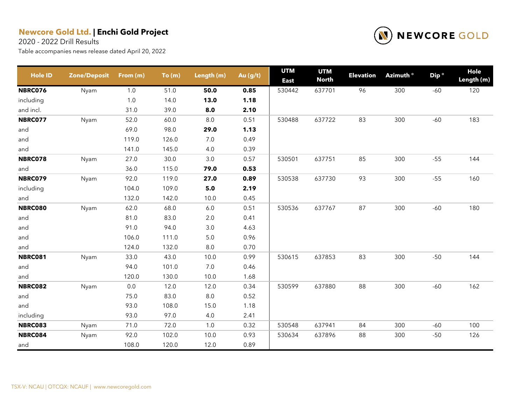2020 - 2022 Drill Results



| <b>Hole ID</b> | <b>Zone/Deposit</b> | From (m) | To(m) | Length (m) | Au (g/t) | <b>UTM</b><br><b>East</b> | <b>UTM</b><br><b>North</b> | <b>Elevation</b> | Azimuth <sup>o</sup> | Dip <sup>o</sup> | Hole<br>Length (m) |
|----------------|---------------------|----------|-------|------------|----------|---------------------------|----------------------------|------------------|----------------------|------------------|--------------------|
| <b>NBRC076</b> | Nyam                | 1.0      | 51.0  | 50.0       | 0.85     | 530442                    | 637701                     | 96               | 300                  | $-60$            | 120                |
| including      |                     | 1.0      | 14.0  | 13.0       | 1.18     |                           |                            |                  |                      |                  |                    |
| and incl.      |                     | 31.0     | 39.0  | 8.0        | 2.10     |                           |                            |                  |                      |                  |                    |
| <b>NBRC077</b> | Nyam                | 52.0     | 60.0  | $8.0\,$    | 0.51     | 530488                    | 637722                     | 83               | 300                  | $-60$            | 183                |
| and            |                     | 69.0     | 98.0  | 29.0       | 1.13     |                           |                            |                  |                      |                  |                    |
| and            |                     | 119.0    | 126.0 | $7.0\,$    | 0.49     |                           |                            |                  |                      |                  |                    |
| and            |                     | 141.0    | 145.0 | 4.0        | 0.39     |                           |                            |                  |                      |                  |                    |
| NBRC078        | Nyam                | 27.0     | 30.0  | 3.0        | 0.57     | 530501                    | 637751                     | 85               | 300                  | $-55$            | 144                |
| and            |                     | 36.0     | 115.0 | 79.0       | 0.53     |                           |                            |                  |                      |                  |                    |
| <b>NBRC079</b> | Nyam                | 92.0     | 119.0 | 27.0       | 0.89     | 530538                    | 637730                     | 93               | 300                  | $-55$            | 160                |
| including      |                     | 104.0    | 109.0 | 5.0        | 2.19     |                           |                            |                  |                      |                  |                    |
| and            |                     | 132.0    | 142.0 | 10.0       | 0.45     |                           |                            |                  |                      |                  |                    |
| <b>NBRC080</b> | Nyam                | 62.0     | 68.0  | 6.0        | 0.51     | 530536                    | 637767                     | 87               | 300                  | $-60$            | 180                |
| and            |                     | 81.0     | 83.0  | $2.0\,$    | 0.41     |                           |                            |                  |                      |                  |                    |
| and            |                     | 91.0     | 94.0  | 3.0        | 4.63     |                           |                            |                  |                      |                  |                    |
| and            |                     | 106.0    | 111.0 | $5.0\,$    | 0.96     |                           |                            |                  |                      |                  |                    |
| and            |                     | 124.0    | 132.0 | 8.0        | 0.70     |                           |                            |                  |                      |                  |                    |
| <b>NBRC081</b> | Nyam                | 33.0     | 43.0  | 10.0       | 0.99     | 530615                    | 637853                     | 83               | 300                  | $-50$            | 144                |
| and            |                     | 94.0     | 101.0 | $7.0\,$    | 0.46     |                           |                            |                  |                      |                  |                    |
| and            |                     | 120.0    | 130.0 | 10.0       | 1.68     |                           |                            |                  |                      |                  |                    |
| <b>NBRC082</b> | Nyam                | 0.0      | 12.0  | 12.0       | 0.34     | 530599                    | 637880                     | 88               | 300                  | $-60$            | 162                |
| and            |                     | 75.0     | 83.0  | $8.0\,$    | 0.52     |                           |                            |                  |                      |                  |                    |
| and            |                     | 93.0     | 108.0 | 15.0       | 1.18     |                           |                            |                  |                      |                  |                    |
| including      |                     | 93.0     | 97.0  | 4.0        | 2.41     |                           |                            |                  |                      |                  |                    |
| NBRC083        | Nyam                | 71.0     | 72.0  | $1.0$      | 0.32     | 530548                    | 637941                     | 84               | 300                  | $-60$            | 100                |
| NBRC084        | Nyam                | 92.0     | 102.0 | 10.0       | 0.93     | 530634                    | 637896                     | 88               | 300                  | $-50$            | 126                |
| and            |                     | 108.0    | 120.0 | 12.0       | 0.89     |                           |                            |                  |                      |                  |                    |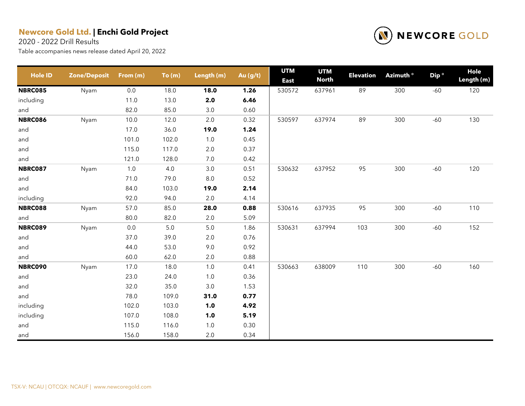2020 - 2022 Drill Results



| <b>Hole ID</b> | <b>Zone/Deposit</b> | From (m) | To(m) | Length (m) | Au (g/t) | <b>UTM</b><br><b>East</b> | <b>UTM</b><br><b>North</b> | <b>Elevation</b> | Azimuth <sup>o</sup> | Dip <sup>o</sup> | <b>Hole</b><br>Length (m) |
|----------------|---------------------|----------|-------|------------|----------|---------------------------|----------------------------|------------------|----------------------|------------------|---------------------------|
| <b>NBRC085</b> | Nyam                | 0.0      | 18.0  | 18.0       | 1.26     | 530572                    | 637961                     | 89               | 300                  | $-60$            | 120                       |
| including      |                     | 11.0     | 13.0  | 2.0        | 6.46     |                           |                            |                  |                      |                  |                           |
| and            |                     | 82.0     | 85.0  | 3.0        | 0.60     |                           |                            |                  |                      |                  |                           |
| <b>NBRC086</b> | Nyam                | 10.0     | 12.0  | $2.0\,$    | 0.32     | 530597                    | 637974                     | 89               | 300                  | $-60$            | 130                       |
| and            |                     | 17.0     | 36.0  | 19.0       | 1.24     |                           |                            |                  |                      |                  |                           |
| and            |                     | 101.0    | 102.0 | $1.0$      | 0.45     |                           |                            |                  |                      |                  |                           |
| and            |                     | 115.0    | 117.0 | $2.0\,$    | 0.37     |                           |                            |                  |                      |                  |                           |
| and            |                     | 121.0    | 128.0 | $7.0\,$    | 0.42     |                           |                            |                  |                      |                  |                           |
| <b>NBRC087</b> | Nyam                | 1.0      | 4.0   | 3.0        | 0.51     | 530632                    | 637952                     | 95               | 300                  | $-60$            | 120                       |
| and            |                     | 71.0     | 79.0  | $8.0\,$    | 0.52     |                           |                            |                  |                      |                  |                           |
| and            |                     | 84.0     | 103.0 | 19.0       | 2.14     |                           |                            |                  |                      |                  |                           |
| including      |                     | 92.0     | 94.0  | 2.0        | 4.14     |                           |                            |                  |                      |                  |                           |
| NBRC088        | Nyam                | 57.0     | 85.0  | 28.0       | 0.88     | 530616                    | 637935                     | 95               | 300                  | $-60$            | 110                       |
| and            |                     | 80.0     | 82.0  | 2.0        | 5.09     |                           |                            |                  |                      |                  |                           |
| <b>NBRC089</b> | Nyam                | $0.0\,$  | $5.0$ | $5.0\,$    | 1.86     | 530631                    | 637994                     | 103              | 300                  | $-60$            | 152                       |
| and            |                     | 37.0     | 39.0  | $2.0\,$    | 0.76     |                           |                            |                  |                      |                  |                           |
| and            |                     | 44.0     | 53.0  | 9.0        | 0.92     |                           |                            |                  |                      |                  |                           |
| and            |                     | 60.0     | 62.0  | $2.0\,$    | 0.88     |                           |                            |                  |                      |                  |                           |
| <b>NBRC090</b> | Nyam                | 17.0     | 18.0  | $1.0$      | 0.41     | 530663                    | 638009                     | 110              | 300                  | $-60$            | 160                       |
| and            |                     | 23.0     | 24.0  | $1.0\,$    | 0.36     |                           |                            |                  |                      |                  |                           |
| and            |                     | 32.0     | 35.0  | 3.0        | 1.53     |                           |                            |                  |                      |                  |                           |
| and            |                     | 78.0     | 109.0 | 31.0       | 0.77     |                           |                            |                  |                      |                  |                           |
| including      |                     | 102.0    | 103.0 | 1.0        | 4.92     |                           |                            |                  |                      |                  |                           |
| including      |                     | 107.0    | 108.0 | 1.0        | 5.19     |                           |                            |                  |                      |                  |                           |
| and            |                     | 115.0    | 116.0 | $1.0\,$    | 0.30     |                           |                            |                  |                      |                  |                           |
| and            |                     | 156.0    | 158.0 | 2.0        | 0.34     |                           |                            |                  |                      |                  |                           |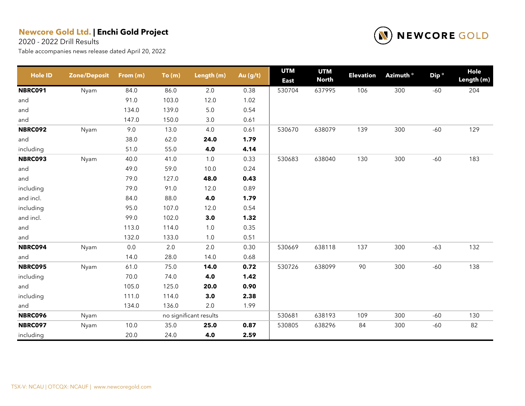2020 - 2022 Drill Results



| <b>Hole ID</b> | <b>Zone/Deposit</b> | From (m) | To(m) | Length (m)             | Au (g/t) | <b>UTM</b><br><b>East</b> | <b>UTM</b><br><b>North</b> | <b>Elevation</b> | Azimuth <sup>o</sup> | Dip <sup>o</sup> | Hole<br>Length (m) |
|----------------|---------------------|----------|-------|------------------------|----------|---------------------------|----------------------------|------------------|----------------------|------------------|--------------------|
| <b>NBRC091</b> | Nyam                | 84.0     | 86.0  | $2.0\,$                | 0.38     | 530704                    | 637995                     | 106              | 300                  | $-60$            | 204                |
| and            |                     | 91.0     | 103.0 | 12.0                   | 1.02     |                           |                            |                  |                      |                  |                    |
| and            |                     | 134.0    | 139.0 | $5.0\,$                | 0.54     |                           |                            |                  |                      |                  |                    |
| and            |                     | 147.0    | 150.0 | $3.0\,$                | 0.61     |                           |                            |                  |                      |                  |                    |
| <b>NBRC092</b> | Nyam                | 9.0      | 13.0  | 4.0                    | 0.61     | 530670                    | 638079                     | 139              | 300                  | $-60$            | 129                |
| and            |                     | 38.0     | 62.0  | 24.0                   | 1.79     |                           |                            |                  |                      |                  |                    |
| including      |                     | 51.0     | 55.0  | 4.0                    | 4.14     |                           |                            |                  |                      |                  |                    |
| <b>NBRC093</b> | Nyam                | 40.0     | 41.0  | 1.0                    | 0.33     | 530683                    | 638040                     | 130              | 300                  | $-60$            | 183                |
| and            |                     | 49.0     | 59.0  | 10.0                   | 0.24     |                           |                            |                  |                      |                  |                    |
| and            |                     | 79.0     | 127.0 | 48.0                   | 0.43     |                           |                            |                  |                      |                  |                    |
| including      |                     | 79.0     | 91.0  | 12.0                   | 0.89     |                           |                            |                  |                      |                  |                    |
| and incl.      |                     | 84.0     | 88.0  | 4.0                    | 1.79     |                           |                            |                  |                      |                  |                    |
| including      |                     | 95.0     | 107.0 | 12.0                   | 0.54     |                           |                            |                  |                      |                  |                    |
| and incl.      |                     | 99.0     | 102.0 | 3.0                    | 1.32     |                           |                            |                  |                      |                  |                    |
| and            |                     | 113.0    | 114.0 | $1.0$                  | 0.35     |                           |                            |                  |                      |                  |                    |
| and            |                     | 132.0    | 133.0 | 1.0                    | 0.51     |                           |                            |                  |                      |                  |                    |
| <b>NBRC094</b> | Nyam                | $0.0\,$  | 2.0   | 2.0                    | 0.30     | 530669                    | 638118                     | 137              | 300                  | $-63$            | 132                |
| and            |                     | 14.0     | 28.0  | 14.0                   | 0.68     |                           |                            |                  |                      |                  |                    |
| <b>NBRC095</b> | Nyam                | 61.0     | 75.0  | 14.0                   | 0.72     | 530726                    | 638099                     | 90               | 300                  | $-60$            | 138                |
| including      |                     | 70.0     | 74.0  | 4.0                    | 1.42     |                           |                            |                  |                      |                  |                    |
| and            |                     | 105.0    | 125.0 | 20.0                   | 0.90     |                           |                            |                  |                      |                  |                    |
| including      |                     | 111.0    | 114.0 | 3.0                    | 2.38     |                           |                            |                  |                      |                  |                    |
| and            |                     | 134.0    | 136.0 | 2.0                    | 1.99     |                           |                            |                  |                      |                  |                    |
| <b>NBRC096</b> | Nyam                |          |       | no significant results |          | 530681                    | 638193                     | 109              | 300                  | $-60$            | 130                |
| <b>NBRC097</b> | Nyam                | 10.0     | 35.0  | 25.0                   | 0.87     | 530805                    | 638296                     | 84               | 300                  | $-60$            | 82                 |
| including      |                     | 20.0     | 24.0  | 4.0                    | 2.59     |                           |                            |                  |                      |                  |                    |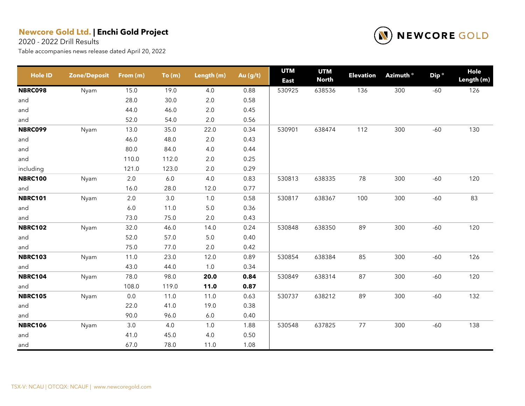2020 - 2022 Drill Results



| <b>Hole ID</b> | <b>Zone/Deposit</b> | From (m) | To(m)   | Length (m) | Au (g/t) | <b>UTM</b><br><b>East</b> | <b>UTM</b><br><b>North</b> | <b>Elevation</b> | Azimuth <sup>o</sup> | Dip <sup>o</sup> | Hole<br>Length (m) |
|----------------|---------------------|----------|---------|------------|----------|---------------------------|----------------------------|------------------|----------------------|------------------|--------------------|
| <b>NBRC098</b> | Nyam                | 15.0     | 19.0    | 4.0        | 0.88     | 530925                    | 638536                     | 136              | 300                  | $-60$            | 126                |
| and            |                     | 28.0     | 30.0    | $2.0\,$    | 0.58     |                           |                            |                  |                      |                  |                    |
| and            |                     | 44.0     | 46.0    | $2.0\,$    | 0.45     |                           |                            |                  |                      |                  |                    |
| and            |                     | 52.0     | 54.0    | $2.0\,$    | 0.56     |                           |                            |                  |                      |                  |                    |
| <b>NBRC099</b> | Nyam                | 13.0     | 35.0    | 22.0       | 0.34     | 530901                    | 638474                     | 112              | 300                  | $-60$            | 130                |
| and            |                     | 46.0     | 48.0    | 2.0        | 0.43     |                           |                            |                  |                      |                  |                    |
| and            |                     | 80.0     | 84.0    | 4.0        | 0.44     |                           |                            |                  |                      |                  |                    |
| and            |                     | 110.0    | 112.0   | $2.0\,$    | 0.25     |                           |                            |                  |                      |                  |                    |
| including      |                     | 121.0    | 123.0   | 2.0        | 0.29     |                           |                            |                  |                      |                  |                    |
| <b>NBRC100</b> | Nyam                | 2.0      | $6.0\,$ | 4.0        | 0.83     | 530813                    | 638335                     | 78               | 300                  | $-60$            | 120                |
| and            |                     | 16.0     | 28.0    | 12.0       | 0.77     |                           |                            |                  |                      |                  |                    |
| <b>NBRC101</b> | Nyam                | $2.0\,$  | $3.0\,$ | $1.0$      | 0.58     | 530817                    | 638367                     | 100              | 300                  | $-60$            | 83                 |
| and            |                     | $6.0\,$  | 11.0    | $5.0\,$    | 0.36     |                           |                            |                  |                      |                  |                    |
| and            |                     | 73.0     | 75.0    | $2.0\,$    | 0.43     |                           |                            |                  |                      |                  |                    |
| <b>NBRC102</b> | Nyam                | 32.0     | 46.0    | 14.0       | 0.24     | 530848                    | 638350                     | 89               | 300                  | $-60$            | 120                |
| and            |                     | 52.0     | 57.0    | $5.0\,$    | 0.40     |                           |                            |                  |                      |                  |                    |
| and            |                     | 75.0     | 77.0    | $2.0\,$    | 0.42     |                           |                            |                  |                      |                  |                    |
| <b>NBRC103</b> | Nyam                | 11.0     | 23.0    | 12.0       | 0.89     | 530854                    | 638384                     | 85               | 300                  | $-60$            | 126                |
| and            |                     | 43.0     | 44.0    | $1.0$      | 0.34     |                           |                            |                  |                      |                  |                    |
| <b>NBRC104</b> | Nyam                | 78.0     | 98.0    | 20.0       | 0.84     | 530849                    | 638314                     | 87               | 300                  | $-60$            | 120                |
| and            |                     | 108.0    | 119.0   | 11.0       | 0.87     |                           |                            |                  |                      |                  |                    |
| <b>NBRC105</b> | Nyam                | $0.0\,$  | 11.0    | 11.0       | 0.63     | 530737                    | 638212                     | 89               | 300                  | $-60$            | 132                |
| and            |                     | 22.0     | 41.0    | 19.0       | 0.38     |                           |                            |                  |                      |                  |                    |
| and            |                     | 90.0     | 96.0    | $6.0\,$    | 0.40     |                           |                            |                  |                      |                  |                    |
| <b>NBRC106</b> | Nyam                | 3.0      | 4.0     | $1.0$      | 1.88     | 530548                    | 637825                     | 77               | 300                  | $-60$            | 138                |
| and            |                     | 41.0     | 45.0    | 4.0        | 0.50     |                           |                            |                  |                      |                  |                    |
| and            |                     | 67.0     | 78.0    | 11.0       | 1.08     |                           |                            |                  |                      |                  |                    |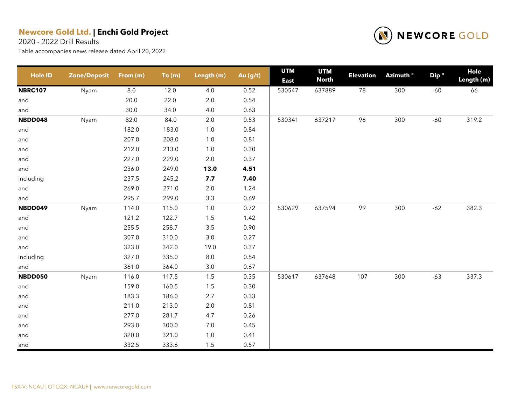2020 - 2022 Drill Results



| <b>Hole ID</b> | <b>Zone/Deposit</b> | From (m) | To(m) | Length (m) | Au (g/t) | <b>UTM</b><br><b>East</b> | <b>UTM</b><br><b>North</b> | <b>Elevation</b> | Azimuth <sup>o</sup> | Dip ° | Hole<br>Length (m) |
|----------------|---------------------|----------|-------|------------|----------|---------------------------|----------------------------|------------------|----------------------|-------|--------------------|
| <b>NBRC107</b> | Nyam                | 8.0      | 12.0  | 4.0        | 0.52     | 530547                    | 637889                     | 78               | 300                  | $-60$ | 66                 |
| and            |                     | 20.0     | 22.0  | $2.0\,$    | 0.54     |                           |                            |                  |                      |       |                    |
| and            |                     | 30.0     | 34.0  | 4.0        | 0.63     |                           |                            |                  |                      |       |                    |
| NBDD048        | Nyam                | 82.0     | 84.0  | $2.0\,$    | 0.53     | 530341                    | 637217                     | 96               | 300                  | $-60$ | 319.2              |
| and            |                     | 182.0    | 183.0 | $1.0$      | 0.84     |                           |                            |                  |                      |       |                    |
| and            |                     | 207.0    | 208.0 | $1.0$      | 0.81     |                           |                            |                  |                      |       |                    |
| and            |                     | 212.0    | 213.0 | $1.0$      | 0.30     |                           |                            |                  |                      |       |                    |
| and            |                     | 227.0    | 229.0 | $2.0\,$    | 0.37     |                           |                            |                  |                      |       |                    |
| and            |                     | 236.0    | 249.0 | 13.0       | 4.51     |                           |                            |                  |                      |       |                    |
| including      |                     | 237.5    | 245.2 | 7.7        | 7.40     |                           |                            |                  |                      |       |                    |
| and            |                     | 269.0    | 271.0 | $2.0\,$    | 1.24     |                           |                            |                  |                      |       |                    |
| and            |                     | 295.7    | 299.0 | $3.3\,$    | 0.69     |                           |                            |                  |                      |       |                    |
| NBDD049        | Nyam                | 114.0    | 115.0 | 1.0        | 0.72     | 530629                    | 637594                     | 99               | 300                  | $-62$ | 382.3              |
| and            |                     | 121.2    | 122.7 | 1.5        | 1.42     |                           |                            |                  |                      |       |                    |
| and            |                     | 255.5    | 258.7 | $3.5\,$    | 0.90     |                           |                            |                  |                      |       |                    |
| and            |                     | 307.0    | 310.0 | $3.0\,$    | 0.27     |                           |                            |                  |                      |       |                    |
| and            |                     | 323.0    | 342.0 | 19.0       | 0.37     |                           |                            |                  |                      |       |                    |
| including      |                     | 327.0    | 335.0 | $8.0\,$    | 0.54     |                           |                            |                  |                      |       |                    |
| and            |                     | 361.0    | 364.0 | $3.0\,$    | 0.67     |                           |                            |                  |                      |       |                    |
| NBDD050        | Nyam                | 116.0    | 117.5 | 1.5        | 0.35     | 530617                    | 637648                     | 107              | 300                  | $-63$ | 337.3              |
| and            |                     | 159.0    | 160.5 | $1.5$      | 0.30     |                           |                            |                  |                      |       |                    |
| and            |                     | 183.3    | 186.0 | 2.7        | 0.33     |                           |                            |                  |                      |       |                    |
| and            |                     | 211.0    | 213.0 | $2.0\,$    | 0.81     |                           |                            |                  |                      |       |                    |
| and            |                     | 277.0    | 281.7 | 4.7        | 0.26     |                           |                            |                  |                      |       |                    |
| and            |                     | 293.0    | 300.0 | $7.0\,$    | 0.45     |                           |                            |                  |                      |       |                    |
| and            |                     | 320.0    | 321.0 | $1.0$      | 0.41     |                           |                            |                  |                      |       |                    |
| and            |                     | 332.5    | 333.6 | 1.5        | 0.57     |                           |                            |                  |                      |       |                    |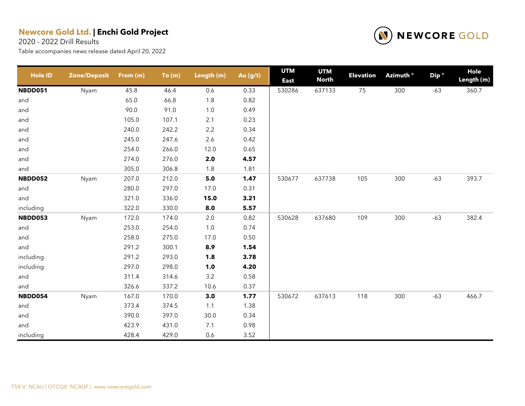2020 - 2022 Drill Results



| <b>Hole ID</b> | <b>Zone/Deposit</b> | From (m) | To(m) | Length (m) | Au (g/t) | <b>UTM</b><br><b>East</b> | <b>UTM</b><br><b>North</b> | <b>Elevation</b> | Azimuth ° | Dip <sup>o</sup> | <b>Hole</b><br>Length (m) |
|----------------|---------------------|----------|-------|------------|----------|---------------------------|----------------------------|------------------|-----------|------------------|---------------------------|
| NBDD051        | Nyam                | 45.8     | 46.4  | 0.6        | 0.33     | 530286                    | 637133                     | 75               | 300       | $-63$            | 360.7                     |
| and            |                     | 65.0     | 66.8  | $1.8$      | 0.82     |                           |                            |                  |           |                  |                           |
| and            |                     | 90.0     | 91.0  | $1.0$      | 0.49     |                           |                            |                  |           |                  |                           |
| and            |                     | 105.0    | 107.1 | 2.1        | 0.23     |                           |                            |                  |           |                  |                           |
| and            |                     | 240.0    | 242.2 | 2.2        | 0.34     |                           |                            |                  |           |                  |                           |
| and            |                     | 245.0    | 247.6 | 2.6        | 0.42     |                           |                            |                  |           |                  |                           |
| and            |                     | 254.0    | 266.0 | 12.0       | 0.65     |                           |                            |                  |           |                  |                           |
| and            |                     | 274.0    | 276.0 | $2.0\,$    | 4.57     |                           |                            |                  |           |                  |                           |
| and            |                     | 305.0    | 306.8 | 1.8        | 1.81     |                           |                            |                  |           |                  |                           |
| NBDD052        | Nyam                | 207.0    | 212.0 | 5.0        | 1.47     | 530677                    | 637738                     | 105              | 300       | $-63$            | 393.7                     |
| and            |                     | 280.0    | 297.0 | 17.0       | 0.31     |                           |                            |                  |           |                  |                           |
| and            |                     | 321.0    | 336.0 | 15.0       | 3.21     |                           |                            |                  |           |                  |                           |
| including      |                     | 322.0    | 330.0 | 8.0        | 5.57     |                           |                            |                  |           |                  |                           |
| NBDD053        | Nyam                | 172.0    | 174.0 | $2.0\,$    | 0.82     | 530628                    | 637680                     | 109              | 300       | $-63$            | 382.4                     |
| and            |                     | 253.0    | 254.0 | $1.0$      | 0.74     |                           |                            |                  |           |                  |                           |
| and            |                     | 258.0    | 275.0 | 17.0       | 0.50     |                           |                            |                  |           |                  |                           |
| and            |                     | 291.2    | 300.1 | 8.9        | 1.54     |                           |                            |                  |           |                  |                           |
| including      |                     | 291.2    | 293.0 | 1.8        | 3.78     |                           |                            |                  |           |                  |                           |
| including      |                     | 297.0    | 298.0 | $1.0$      | 4.20     |                           |                            |                  |           |                  |                           |
| and            |                     | 311.4    | 314.6 | $3.2\,$    | 0.58     |                           |                            |                  |           |                  |                           |
| and            |                     | 326.6    | 337.2 | 10.6       | 0.37     |                           |                            |                  |           |                  |                           |
| NBDD054        | Nyam                | 167.0    | 170.0 | 3.0        | 1.77     | 530672                    | 637613                     | 118              | 300       | $-63$            | 466.7                     |
| and            |                     | 373.4    | 374.5 | 1.1        | 1.38     |                           |                            |                  |           |                  |                           |
| and            |                     | 390.0    | 397.0 | 30.0       | 0.34     |                           |                            |                  |           |                  |                           |
| and            |                     | 423.9    | 431.0 | 7.1        | 0.98     |                           |                            |                  |           |                  |                           |
| including      |                     | 428.4    | 429.0 | 0.6        | 3.52     |                           |                            |                  |           |                  |                           |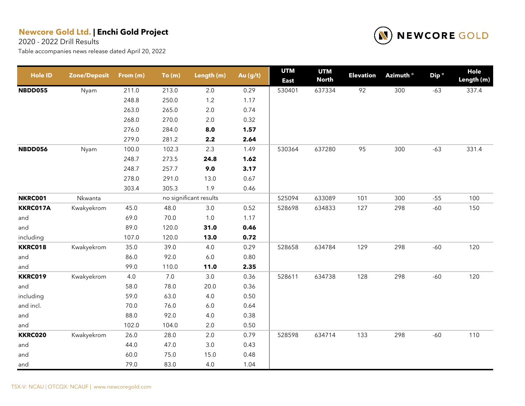2020 - 2022 Drill Results



| <b>Hole ID</b> | <b>Zone/Deposit</b> | From (m) | To(m) | Length (m)             | Au (g/t) | <b>UTM</b><br><b>East</b> | <b>UTM</b><br><b>North</b> | <b>Elevation</b> | Azimuth <sup>o</sup> | Dip <sup>o</sup> | Hole<br>Length (m) |
|----------------|---------------------|----------|-------|------------------------|----------|---------------------------|----------------------------|------------------|----------------------|------------------|--------------------|
| NBDD055        | Nyam                | 211.0    | 213.0 | $2.0\,$                | 0.29     | 530401                    | 637334                     | 92               | 300                  | $-63$            | 337.4              |
|                |                     | 248.8    | 250.0 | 1.2                    | 1.17     |                           |                            |                  |                      |                  |                    |
|                |                     | 263.0    | 265.0 | $2.0\,$                | 0.74     |                           |                            |                  |                      |                  |                    |
|                |                     | 268.0    | 270.0 | $2.0\,$                | 0.32     |                           |                            |                  |                      |                  |                    |
|                |                     | 276.0    | 284.0 | 8.0                    | 1.57     |                           |                            |                  |                      |                  |                    |
|                |                     | 279.0    | 281.2 | 2.2                    | 2.64     |                           |                            |                  |                      |                  |                    |
| NBDD056        | Nyam                | 100.0    | 102.3 | 2.3                    | 1.49     | 530364                    | 637280                     | 95               | 300                  | $-63$            | 331.4              |
|                |                     | 248.7    | 273.5 | 24.8                   | 1.62     |                           |                            |                  |                      |                  |                    |
|                |                     | 248.7    | 257.7 | 9.0                    | 3.17     |                           |                            |                  |                      |                  |                    |
|                |                     | 278.0    | 291.0 | 13.0                   | 0.67     |                           |                            |                  |                      |                  |                    |
|                |                     | 303.4    | 305.3 | 1.9                    | 0.46     |                           |                            |                  |                      |                  |                    |
| <b>NKRC001</b> | Nkwanta             |          |       | no significant results |          | 525094                    | 633089                     | 101              | 300                  | $-55$            | 100                |
| KKRC017A       | Kwakyekrom          | 45.0     | 48.0  | $3.0\,$                | 0.52     | 528698                    | 634833                     | 127              | 298                  | $-60$            | 150                |
| and            |                     | 69.0     | 70.0  | $1.0$                  | 1.17     |                           |                            |                  |                      |                  |                    |
| and            |                     | 89.0     | 120.0 | 31.0                   | 0.46     |                           |                            |                  |                      |                  |                    |
| including      |                     | 107.0    | 120.0 | 13.0                   | 0.72     |                           |                            |                  |                      |                  |                    |
| <b>KKRC018</b> | Kwakyekrom          | 35.0     | 39.0  | 4.0                    | 0.29     | 528658                    | 634784                     | 129              | 298                  | $-60$            | 120                |
| and            |                     | 86.0     | 92.0  | $6.0\,$                | 0.80     |                           |                            |                  |                      |                  |                    |
| and            |                     | 99.0     | 110.0 | 11.0                   | 2.35     |                           |                            |                  |                      |                  |                    |
| <b>KKRC019</b> | Kwakyekrom          | 4.0      | $7.0$ | $3.0\,$                | 0.36     | 528611                    | 634738                     | 128              | 298                  | $-60$            | 120                |
| and            |                     | 58.0     | 78.0  | 20.0                   | 0.36     |                           |                            |                  |                      |                  |                    |
| including      |                     | 59.0     | 63.0  | $4.0\,$                | 0.50     |                           |                            |                  |                      |                  |                    |
| and incl.      |                     | 70.0     | 76.0  | $6.0\,$                | 0.64     |                           |                            |                  |                      |                  |                    |
| and            |                     | 88.0     | 92.0  | 4.0                    | 0.38     |                           |                            |                  |                      |                  |                    |
| and            |                     | 102.0    | 104.0 | 2.0                    | 0.50     |                           |                            |                  |                      |                  |                    |
| <b>KKRC020</b> | Kwakyekrom          | 26.0     | 28.0  | 2.0                    | 0.79     | 528598                    | 634714                     | 133              | 298                  | $-60$            | 110                |
| and            |                     | 44.0     | 47.0  | $3.0\,$                | 0.43     |                           |                            |                  |                      |                  |                    |
| and            |                     | 60.0     | 75.0  | 15.0                   | 0.48     |                           |                            |                  |                      |                  |                    |
| and            |                     | 79.0     | 83.0  | 4.0                    | 1.04     |                           |                            |                  |                      |                  |                    |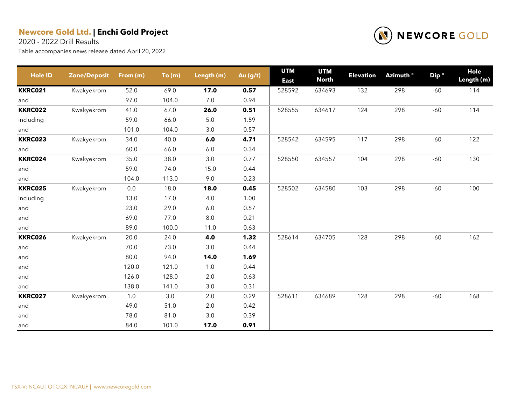2020 - 2022 Drill Results



| Hole ID        | <b>Zone/Deposit</b> | From (m) | To(m) | Length (m) | Au (g/t) | <b>UTM</b><br><b>East</b> | <b>UTM</b><br><b>North</b> | <b>Elevation</b> | Azimuth <sup>o</sup> | Dip <sup>o</sup> | Hole<br>Length (m) |
|----------------|---------------------|----------|-------|------------|----------|---------------------------|----------------------------|------------------|----------------------|------------------|--------------------|
| <b>KKRC021</b> | Kwakyekrom          | 52.0     | 69.0  | 17.0       | 0.57     | 528592                    | 634693                     | 132              | 298                  | $-60$            | 114                |
| and            |                     | 97.0     | 104.0 | 7.0        | 0.94     |                           |                            |                  |                      |                  |                    |
| <b>KKRC022</b> | Kwakyekrom          | 41.0     | 67.0  | 26.0       | 0.51     | 528555                    | 634617                     | 124              | 298                  | $-60$            | 114                |
| including      |                     | 59.0     | 66.0  | $5.0\,$    | 1.59     |                           |                            |                  |                      |                  |                    |
| and            |                     | 101.0    | 104.0 | 3.0        | 0.57     |                           |                            |                  |                      |                  |                    |
| <b>KKRC023</b> | Kwakyekrom          | 34.0     | 40.0  | 6.0        | 4.71     | 528542                    | 634595                     | 117              | 298                  | $-60$            | 122                |
| and            |                     | 60.0     | 66.0  | 6.0        | 0.34     |                           |                            |                  |                      |                  |                    |
| <b>KKRC024</b> | Kwakyekrom          | 35.0     | 38.0  | 3.0        | 0.77     | 528550                    | 634557                     | 104              | 298                  | $-60$            | 130                |
| and            |                     | 59.0     | 74.0  | 15.0       | 0.44     |                           |                            |                  |                      |                  |                    |
| and            |                     | 104.0    | 113.0 | 9.0        | 0.23     |                           |                            |                  |                      |                  |                    |
| <b>KKRC025</b> | Kwakyekrom          | $0.0\,$  | 18.0  | 18.0       | 0.45     | 528502                    | 634580                     | 103              | 298                  | $-60$            | 100                |
| including      |                     | 13.0     | 17.0  | 4.0        | 1.00     |                           |                            |                  |                      |                  |                    |
| and            |                     | 23.0     | 29.0  | 6.0        | 0.57     |                           |                            |                  |                      |                  |                    |
| and            |                     | 69.0     | 77.0  | $8.0\,$    | 0.21     |                           |                            |                  |                      |                  |                    |
| and            |                     | 89.0     | 100.0 | 11.0       | 0.63     |                           |                            |                  |                      |                  |                    |
| <b>KKRC026</b> | Kwakyekrom          | 20.0     | 24.0  | 4.0        | 1.32     | 528614                    | 634705                     | 128              | 298                  | $-60$            | 162                |
| and            |                     | 70.0     | 73.0  | 3.0        | 0.44     |                           |                            |                  |                      |                  |                    |
| and            |                     | 80.0     | 94.0  | 14.0       | 1.69     |                           |                            |                  |                      |                  |                    |
| and            |                     | 120.0    | 121.0 | $1.0\,$    | 0.44     |                           |                            |                  |                      |                  |                    |
| and            |                     | 126.0    | 128.0 | 2.0        | 0.63     |                           |                            |                  |                      |                  |                    |
| and            |                     | 138.0    | 141.0 | 3.0        | 0.31     |                           |                            |                  |                      |                  |                    |
| <b>KKRC027</b> | Kwakyekrom          | 1.0      | 3.0   | 2.0        | 0.29     | 528611                    | 634689                     | 128              | 298                  | $-60$            | 168                |
| and            |                     | 49.0     | 51.0  | 2.0        | 0.42     |                           |                            |                  |                      |                  |                    |
| and            |                     | 78.0     | 81.0  | $3.0\,$    | 0.39     |                           |                            |                  |                      |                  |                    |
| and            |                     | 84.0     | 101.0 | 17.0       | 0.91     |                           |                            |                  |                      |                  |                    |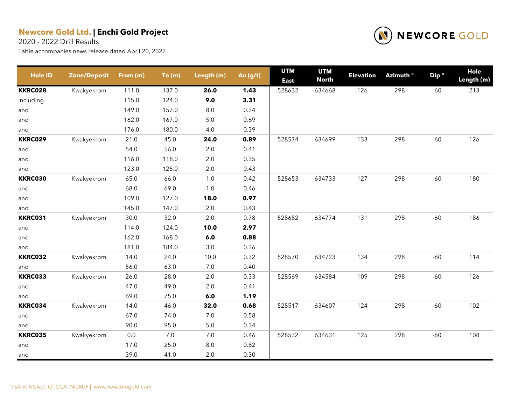2020 - 2022 Drill Results



| <b>Hole ID</b> | <b>Zone/Deposit</b> | From (m) | To(m) | Length (m) | Au (g/t) | <b>UTM</b><br><b>East</b> | <b>UTM</b><br><b>North</b> | <b>Elevation</b> | Azimuth <sup>o</sup> | Dip <sup>o</sup> | Hole<br>Length (m) |
|----------------|---------------------|----------|-------|------------|----------|---------------------------|----------------------------|------------------|----------------------|------------------|--------------------|
| <b>KKRC028</b> | Kwakyekrom          | 111.0    | 137.0 | 26.0       | 1.43     | 528632                    | 634668                     | 126              | 298                  | $-60$            | 213                |
| including      |                     | 115.0    | 124.0 | 9.0        | 3.31     |                           |                            |                  |                      |                  |                    |
| and            |                     | 149.0    | 157.0 | 8.0        | 0.34     |                           |                            |                  |                      |                  |                    |
| and            |                     | 162.0    | 167.0 | $5.0$      | 0.69     |                           |                            |                  |                      |                  |                    |
| and            |                     | 176.0    | 180.0 | 4.0        | 0.39     |                           |                            |                  |                      |                  |                    |
| <b>KKRC029</b> | Kwakyekrom          | 21.0     | 45.0  | 24.0       | 0.89     | 528574                    | 634699                     | 133              | 298                  | $-60$            | 126                |
| and            |                     | 54.0     | 56.0  | $2.0\,$    | 0.41     |                           |                            |                  |                      |                  |                    |
| and            |                     | 116.0    | 118.0 | 2.0        | 0.35     |                           |                            |                  |                      |                  |                    |
| and            |                     | 123.0    | 125.0 | 2.0        | 0.43     |                           |                            |                  |                      |                  |                    |
| <b>KKRC030</b> | Kwakyekrom          | 65.0     | 66.0  | 1.0        | 0.42     | 528653                    | 634733                     | 127              | 298                  | $-60$            | 180                |
| and            |                     | 68.0     | 69.0  | 1.0        | 0.46     |                           |                            |                  |                      |                  |                    |
| and            |                     | 109.0    | 127.0 | 18.0       | 0.97     |                           |                            |                  |                      |                  |                    |
| and            |                     | 145.0    | 147.0 | 2.0        | 0.43     |                           |                            |                  |                      |                  |                    |
| <b>KKRC031</b> | Kwakyekrom          | 30.0     | 32.0  | 2.0        | 0.78     | 528682                    | 634774                     | 131              | 298                  | $-60$            | 186                |
| and            |                     | 114.0    | 124.0 | 10.0       | 2.97     |                           |                            |                  |                      |                  |                    |
| and            |                     | 162.0    | 168.0 | 6.0        | 0.88     |                           |                            |                  |                      |                  |                    |
| and            |                     | 181.0    | 184.0 | $3.0\,$    | 0.36     |                           |                            |                  |                      |                  |                    |
| <b>KKRC032</b> | Kwakyekrom          | 14.0     | 24.0  | 10.0       | 0.32     | 528570                    | 634723                     | 134              | 298                  | $-60$            | 114                |
| and            |                     | 56.0     | 63.0  | $7.0\,$    | 0.40     |                           |                            |                  |                      |                  |                    |
| <b>KKRC033</b> | Kwakyekrom          | 26.0     | 28.0  | 2.0        | 0.33     | 528569                    | 634584                     | 109              | 298                  | $-60$            | 126                |
| and            |                     | 47.0     | 49.0  | 2.0        | 0.41     |                           |                            |                  |                      |                  |                    |
| and            |                     | 69.0     | 75.0  | 6.0        | 1.19     |                           |                            |                  |                      |                  |                    |
| KKRC034        | Kwakyekrom          | 14.0     | 46.0  | 32.0       | 0.68     | 528517                    | 634607                     | 124              | 298                  | $-60$            | 102                |
| and            |                     | 67.0     | 74.0  | 7.0        | 0.58     |                           |                            |                  |                      |                  |                    |
| and            |                     | 90.0     | 95.0  | 5.0        | 0.34     |                           |                            |                  |                      |                  |                    |
| <b>KKRC035</b> | Kwakyekrom          | 0.0      | 7.0   | 7.0        | 0.46     | 528532                    | 634631                     | 125              | 298                  | $-60$            | 108                |
| and            |                     | 17.0     | 25.0  | 8.0        | 0.82     |                           |                            |                  |                      |                  |                    |
| and            |                     | 39.0     | 41.0  | 2.0        | 0.30     |                           |                            |                  |                      |                  |                    |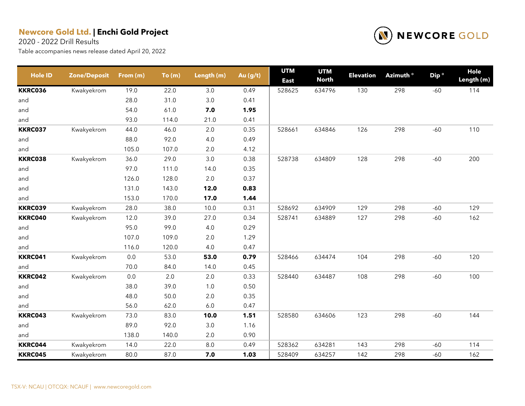2020 - 2022 Drill Results



| <b>Hole ID</b> | <b>Zone/Deposit</b> | From (m) | To(m) | Length (m) | Au (g/t) | <b>UTM</b><br><b>East</b> | <b>UTM</b><br><b>North</b> | <b>Elevation</b> | Azimuth <sup>o</sup> | Dip <sup>o</sup> | Hole<br>Length (m) |
|----------------|---------------------|----------|-------|------------|----------|---------------------------|----------------------------|------------------|----------------------|------------------|--------------------|
| <b>KKRC036</b> | Kwakyekrom          | 19.0     | 22.0  | 3.0        | 0.49     | 528625                    | 634796                     | 130              | 298                  | $-60$            | 114                |
| and            |                     | 28.0     | 31.0  | 3.0        | 0.41     |                           |                            |                  |                      |                  |                    |
| and            |                     | 54.0     | 61.0  | 7.0        | 1.95     |                           |                            |                  |                      |                  |                    |
| and            |                     | 93.0     | 114.0 | 21.0       | 0.41     |                           |                            |                  |                      |                  |                    |
| <b>KKRC037</b> | Kwakyekrom          | 44.0     | 46.0  | 2.0        | 0.35     | 528661                    | 634846                     | 126              | 298                  | $-60$            | 110                |
| and            |                     | 88.0     | 92.0  | 4.0        | 0.49     |                           |                            |                  |                      |                  |                    |
| and            |                     | 105.0    | 107.0 | 2.0        | 4.12     |                           |                            |                  |                      |                  |                    |
| <b>KKRC038</b> | Kwakyekrom          | 36.0     | 29.0  | 3.0        | 0.38     | 528738                    | 634809                     | 128              | 298                  | $-60$            | 200                |
| and            |                     | 97.0     | 111.0 | 14.0       | 0.35     |                           |                            |                  |                      |                  |                    |
| and            |                     | 126.0    | 128.0 | 2.0        | 0.37     |                           |                            |                  |                      |                  |                    |
| and            |                     | 131.0    | 143.0 | 12.0       | 0.83     |                           |                            |                  |                      |                  |                    |
| and            |                     | 153.0    | 170.0 | 17.0       | 1.44     |                           |                            |                  |                      |                  |                    |
| KKRC039        | Kwakyekrom          | 28.0     | 38.0  | 10.0       | 0.31     | 528692                    | 634909                     | 129              | 298                  | $-60$            | 129                |
| <b>KKRC040</b> | Kwakyekrom          | 12.0     | 39.0  | 27.0       | 0.34     | 528741                    | 634889                     | 127              | 298                  | $-60$            | 162                |
| and            |                     | 95.0     | 99.0  | 4.0        | 0.29     |                           |                            |                  |                      |                  |                    |
| and            |                     | 107.0    | 109.0 | 2.0        | 1.29     |                           |                            |                  |                      |                  |                    |
| and            |                     | 116.0    | 120.0 | 4.0        | 0.47     |                           |                            |                  |                      |                  |                    |
| KKRC041        | Kwakyekrom          | 0.0      | 53.0  | 53.0       | 0.79     | 528466                    | 634474                     | 104              | 298                  | $-60$            | 120                |
| and            |                     | 70.0     | 84.0  | 14.0       | 0.45     |                           |                            |                  |                      |                  |                    |
| <b>KKRC042</b> | Kwakyekrom          | 0.0      | 2.0   | 2.0        | 0.33     | 528440                    | 634487                     | 108              | 298                  | $-60$            | 100                |
| and            |                     | 38.0     | 39.0  | 1.0        | 0.50     |                           |                            |                  |                      |                  |                    |
| and            |                     | 48.0     | 50.0  | 2.0        | 0.35     |                           |                            |                  |                      |                  |                    |
| and            |                     | 56.0     | 62.0  | 6.0        | 0.47     |                           |                            |                  |                      |                  |                    |
| KKRC043        | Kwakyekrom          | 73.0     | 83.0  | 10.0       | 1.51     | 528580                    | 634606                     | 123              | 298                  | $-60$            | 144                |
| and            |                     | 89.0     | 92.0  | 3.0        | 1.16     |                           |                            |                  |                      |                  |                    |
| and            |                     | 138.0    | 140.0 | 2.0        | 0.90     |                           |                            |                  |                      |                  |                    |
| KKRC044        | Kwakyekrom          | 14.0     | 22.0  | 8.0        | 0.49     | 528362                    | 634281                     | 143              | 298                  | $-60$            | 114                |
| <b>KKRC045</b> | Kwakyekrom          | 80.0     | 87.0  | 7.0        | 1.03     | 528409                    | 634257                     | 142              | 298                  | $-60$            | 162                |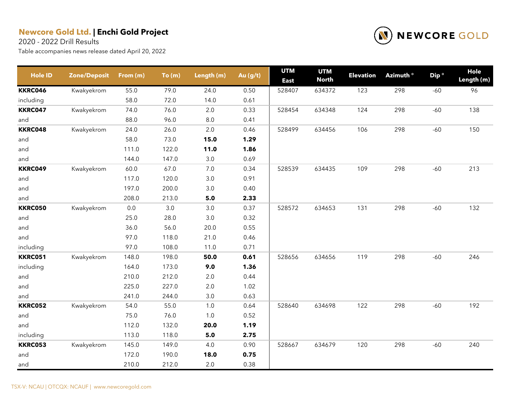2020 - 2022 Drill Results



| <b>Hole ID</b> | <b>Zone/Deposit</b> | From (m) | To(m) | Length (m) | Au $(g/t)$ | <b>UTM</b><br><b>East</b> | <b>UTM</b><br><b>North</b> | <b>Elevation</b> | Azimuth <sup>o</sup> | Dip <sup>o</sup> | Hole<br>Length (m) |
|----------------|---------------------|----------|-------|------------|------------|---------------------------|----------------------------|------------------|----------------------|------------------|--------------------|
| <b>KKRC046</b> | Kwakyekrom          | 55.0     | 79.0  | 24.0       | 0.50       | 528407                    | 634372                     | 123              | 298                  | $-60$            | 96                 |
| including      |                     | 58.0     | 72.0  | 14.0       | 0.61       |                           |                            |                  |                      |                  |                    |
| <b>KKRC047</b> | Kwakyekrom          | 74.0     | 76.0  | $2.0\,$    | 0.33       | 528454                    | 634348                     | 124              | 298                  | $-60$            | 138                |
| and            |                     | 88.0     | 96.0  | $8.0\,$    | 0.41       |                           |                            |                  |                      |                  |                    |
| <b>KKRC048</b> | Kwakyekrom          | 24.0     | 26.0  | 2.0        | 0.46       | 528499                    | 634456                     | 106              | 298                  | $-60$            | 150                |
| and            |                     | 58.0     | 73.0  | 15.0       | 1.29       |                           |                            |                  |                      |                  |                    |
| and            |                     | 111.0    | 122.0 | 11.0       | 1.86       |                           |                            |                  |                      |                  |                    |
| and            |                     | 144.0    | 147.0 | 3.0        | 0.69       |                           |                            |                  |                      |                  |                    |
| <b>KKRC049</b> | Kwakyekrom          | 60.0     | 67.0  | 7.0        | 0.34       | 528539                    | 634435                     | 109              | 298                  | $-60$            | 213                |
| and            |                     | 117.0    | 120.0 | 3.0        | 0.91       |                           |                            |                  |                      |                  |                    |
| and            |                     | 197.0    | 200.0 | 3.0        | 0.40       |                           |                            |                  |                      |                  |                    |
| and            |                     | 208.0    | 213.0 | 5.0        | 2.33       |                           |                            |                  |                      |                  |                    |
| <b>KKRC050</b> | Kwakyekrom          | $0.0\,$  | 3.0   | $3.0\,$    | 0.37       | 528572                    | 634653                     | 131              | 298                  | $-60$            | 132                |
| and            |                     | 25.0     | 28.0  | $3.0\,$    | 0.32       |                           |                            |                  |                      |                  |                    |
| and            |                     | 36.0     | 56.0  | 20.0       | 0.55       |                           |                            |                  |                      |                  |                    |
| and            |                     | 97.0     | 118.0 | 21.0       | 0.46       |                           |                            |                  |                      |                  |                    |
| including      |                     | 97.0     | 108.0 | 11.0       | 0.71       |                           |                            |                  |                      |                  |                    |
| <b>KKRC051</b> | Kwakyekrom          | 148.0    | 198.0 | 50.0       | 0.61       | 528656                    | 634656                     | 119              | 298                  | $-60$            | 246                |
| including      |                     | 164.0    | 173.0 | 9.0        | 1.36       |                           |                            |                  |                      |                  |                    |
| and            |                     | 210.0    | 212.0 | $2.0\,$    | 0.44       |                           |                            |                  |                      |                  |                    |
| and            |                     | 225.0    | 227.0 | 2.0        | 1.02       |                           |                            |                  |                      |                  |                    |
| and            |                     | 241.0    | 244.0 | $3.0\,$    | 0.63       |                           |                            |                  |                      |                  |                    |
| <b>KKRC052</b> | Kwakyekrom          | 54.0     | 55.0  | 1.0        | 0.64       | 528640                    | 634698                     | 122              | 298                  | $-60$            | 192                |
| and            |                     | 75.0     | 76.0  | 1.0        | 0.52       |                           |                            |                  |                      |                  |                    |
| and            |                     | 112.0    | 132.0 | 20.0       | 1.19       |                           |                            |                  |                      |                  |                    |
| including      |                     | 113.0    | 118.0 | 5.0        | 2.75       |                           |                            |                  |                      |                  |                    |
| <b>KKRC053</b> | Kwakyekrom          | 145.0    | 149.0 | 4.0        | 0.90       | 528667                    | 634679                     | 120              | 298                  | $-60$            | 240                |
| and            |                     | 172.0    | 190.0 | 18.0       | 0.75       |                           |                            |                  |                      |                  |                    |
| and            |                     | 210.0    | 212.0 | 2.0        | 0.38       |                           |                            |                  |                      |                  |                    |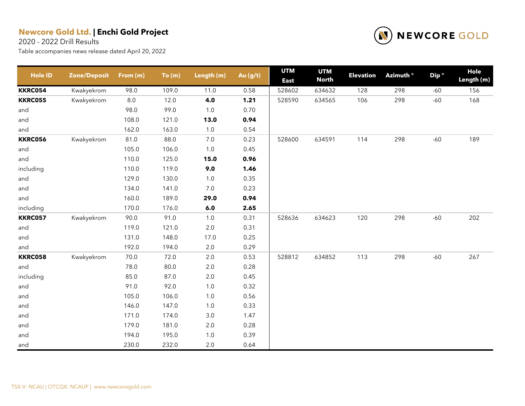2020 - 2022 Drill Results



| <b>Hole ID</b> | <b>Zone/Deposit</b> | From (m) | To(m) | Length (m) | Au $(g/t)$ | <b>UTM</b><br><b>East</b> | <b>UTM</b><br><b>North</b> | <b>Elevation</b> | Azimuth <sup>o</sup> | Dip <sup>o</sup> | Hole<br>Length (m) |
|----------------|---------------------|----------|-------|------------|------------|---------------------------|----------------------------|------------------|----------------------|------------------|--------------------|
| <b>KKRC054</b> | Kwakyekrom          | 98.0     | 109.0 | 11.0       | 0.58       | 528602                    | 634632                     | 128              | 298                  | $-60$            | 156                |
| <b>KKRC055</b> | Kwakyekrom          | $8.0\,$  | 12.0  | 4.0        | 1.21       | 528590                    | 634565                     | 106              | 298                  | $-60$            | 168                |
| and            |                     | 98.0     | 99.0  | 1.0        | 0.70       |                           |                            |                  |                      |                  |                    |
| and            |                     | 108.0    | 121.0 | 13.0       | 0.94       |                           |                            |                  |                      |                  |                    |
| and            |                     | 162.0    | 163.0 | 1.0        | 0.54       |                           |                            |                  |                      |                  |                    |
| <b>KKRC056</b> | Kwakyekrom          | 81.0     | 88.0  | 7.0        | 0.23       | 528600                    | 634591                     | 114              | 298                  | $-60$            | 189                |
| and            |                     | 105.0    | 106.0 | 1.0        | 0.45       |                           |                            |                  |                      |                  |                    |
| and            |                     | 110.0    | 125.0 | 15.0       | 0.96       |                           |                            |                  |                      |                  |                    |
| including      |                     | 110.0    | 119.0 | 9.0        | 1.46       |                           |                            |                  |                      |                  |                    |
| and            |                     | 129.0    | 130.0 | 1.0        | 0.35       |                           |                            |                  |                      |                  |                    |
| and            |                     | 134.0    | 141.0 | 7.0        | 0.23       |                           |                            |                  |                      |                  |                    |
| and            |                     | 160.0    | 189.0 | 29.0       | 0.94       |                           |                            |                  |                      |                  |                    |
| including      |                     | 170.0    | 176.0 | 6.0        | 2.65       |                           |                            |                  |                      |                  |                    |
| <b>KKRC057</b> | Kwakyekrom          | 90.0     | 91.0  | 1.0        | 0.31       | 528636                    | 634623                     | 120              | 298                  | $-60$            | 202                |
| and            |                     | 119.0    | 121.0 | 2.0        | 0.31       |                           |                            |                  |                      |                  |                    |
| and            |                     | 131.0    | 148.0 | 17.0       | 0.25       |                           |                            |                  |                      |                  |                    |
| and            |                     | 192.0    | 194.0 | 2.0        | 0.29       |                           |                            |                  |                      |                  |                    |
| <b>KKRC058</b> | Kwakyekrom          | 70.0     | 72.0  | 2.0        | 0.53       | 528812                    | 634852                     | 113              | 298                  | $-60$            | 267                |
| and            |                     | 78.0     | 80.0  | 2.0        | 0.28       |                           |                            |                  |                      |                  |                    |
| including      |                     | 85.0     | 87.0  | $2.0\,$    | 0.45       |                           |                            |                  |                      |                  |                    |
| and            |                     | 91.0     | 92.0  | 1.0        | 0.32       |                           |                            |                  |                      |                  |                    |
| and            |                     | 105.0    | 106.0 | 1.0        | 0.56       |                           |                            |                  |                      |                  |                    |
| and            |                     | 146.0    | 147.0 | 1.0        | 0.33       |                           |                            |                  |                      |                  |                    |
| and            |                     | 171.0    | 174.0 | $3.0\,$    | 1.47       |                           |                            |                  |                      |                  |                    |
| and            |                     | 179.0    | 181.0 | $2.0\,$    | 0.28       |                           |                            |                  |                      |                  |                    |
| and            |                     | 194.0    | 195.0 | 1.0        | 0.39       |                           |                            |                  |                      |                  |                    |
| and            |                     | 230.0    | 232.0 | 2.0        | 0.64       |                           |                            |                  |                      |                  |                    |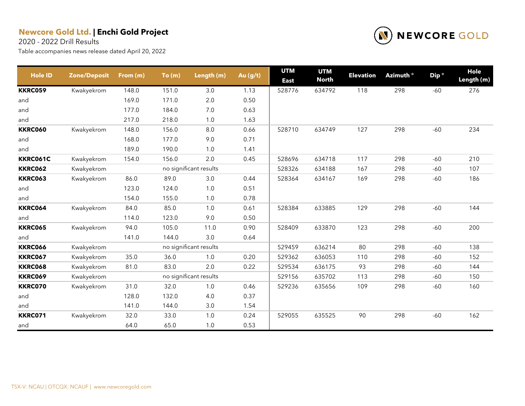2020 - 2022 Drill Results



| <b>Hole ID</b> | <b>Zone/Deposit</b> | From (m) | To(m) | Length (m)             | Au (g/t) | <b>UTM</b><br><b>East</b> | <b>UTM</b><br><b>North</b> | <b>Elevation</b> | Azimuth ° | Dip <sup>o</sup> | Hole<br>Length (m) |
|----------------|---------------------|----------|-------|------------------------|----------|---------------------------|----------------------------|------------------|-----------|------------------|--------------------|
| <b>KKRC059</b> | Kwakyekrom          | 148.0    | 151.0 | 3.0                    | 1.13     | 528776                    | 634792                     | 118              | 298       | $-60$            | 276                |
| and            |                     | 169.0    | 171.0 | $2.0\,$                | 0.50     |                           |                            |                  |           |                  |                    |
| and            |                     | 177.0    | 184.0 | 7.0                    | 0.63     |                           |                            |                  |           |                  |                    |
| and            |                     | 217.0    | 218.0 | 1.0                    | 1.63     |                           |                            |                  |           |                  |                    |
| <b>KKRC060</b> | Kwakyekrom          | 148.0    | 156.0 | 8.0                    | 0.66     | 528710                    | 634749                     | 127              | 298       | $-60$            | 234                |
| and            |                     | 168.0    | 177.0 | 9.0                    | 0.71     |                           |                            |                  |           |                  |                    |
| and            |                     | 189.0    | 190.0 | 1.0                    | 1.41     |                           |                            |                  |           |                  |                    |
| KKRC061C       | Kwakyekrom          | 154.0    | 156.0 | 2.0                    | 0.45     | 528696                    | 634718                     | 117              | 298       | $-60$            | 210                |
| <b>KKRC062</b> | Kwakyekrom          |          |       | no significant results |          | 528326                    | 634188                     | 167              | 298       | $-60$            | 107                |
| <b>KKRC063</b> | Kwakyekrom          | 86.0     | 89.0  | 3.0                    | 0.44     | 528364                    | 634167                     | 169              | 298       | $-60$            | 186                |
| and            |                     | 123.0    | 124.0 | 1.0                    | 0.51     |                           |                            |                  |           |                  |                    |
| and            |                     | 154.0    | 155.0 | 1.0                    | 0.78     |                           |                            |                  |           |                  |                    |
| <b>KKRC064</b> | Kwakyekrom          | 84.0     | 85.0  | 1.0                    | 0.61     | 528384                    | 633885                     | 129              | 298       | $-60$            | 144                |
| and            |                     | 114.0    | 123.0 | 9.0                    | 0.50     |                           |                            |                  |           |                  |                    |
| <b>KKRC065</b> | Kwakyekrom          | 94.0     | 105.0 | 11.0                   | 0.90     | 528409                    | 633870                     | 123              | 298       | $-60$            | 200                |
| and            |                     | 141.0    | 144.0 | 3.0                    | 0.64     |                           |                            |                  |           |                  |                    |
| <b>KKRC066</b> | Kwakyekrom          |          |       | no significant results |          | 529459                    | 636214                     | 80               | 298       | $-60$            | 138                |
| <b>KKRC067</b> | Kwakyekrom          | 35.0     | 36.0  | 1.0                    | 0.20     | 529362                    | 636053                     | 110              | 298       | $-60$            | 152                |
| <b>KKRC068</b> | Kwakyekrom          | 81.0     | 83.0  | 2.0                    | 0.22     | 529534                    | 636175                     | 93               | 298       | $-60$            | 144                |
| <b>KKRC069</b> | Kwakyekrom          |          |       | no significant results |          | 529156                    | 635702                     | 113              | 298       | $-60$            | 150                |
| <b>KKRC070</b> | Kwakyekrom          | 31.0     | 32.0  | 1.0                    | 0.46     | 529236                    | 635656                     | 109              | 298       | $-60$            | 160                |
| and            |                     | 128.0    | 132.0 | 4.0                    | 0.37     |                           |                            |                  |           |                  |                    |
| and            |                     | 141.0    | 144.0 | 3.0                    | 1.54     |                           |                            |                  |           |                  |                    |
| KKRC071        | Kwakyekrom          | 32.0     | 33.0  | 1.0                    | 0.24     | 529055                    | 635525                     | 90               | 298       | $-60$            | 162                |
| and            |                     | 64.0     | 65.0  | 1.0                    | 0.53     |                           |                            |                  |           |                  |                    |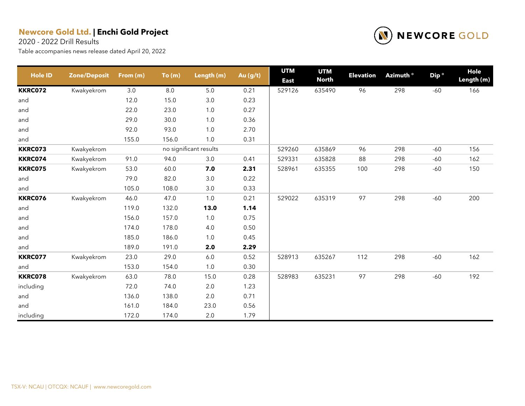2020 - 2022 Drill Results



| <b>Hole ID</b> | <b>Zone/Deposit</b> | From (m) | To(m) | Length (m)             | Au (g/t) | <b>UTM</b><br><b>East</b> | <b>UTM</b><br><b>North</b> | <b>Elevation</b> | Azimuth <sup>o</sup> | Dip <sup>o</sup> | Hole<br>Length (m) |
|----------------|---------------------|----------|-------|------------------------|----------|---------------------------|----------------------------|------------------|----------------------|------------------|--------------------|
| <b>KKRC072</b> | Kwakyekrom          | 3.0      | 8.0   | 5.0                    | 0.21     | 529126                    | 635490                     | 96               | 298                  | $-60$            | 166                |
| and            |                     | 12.0     | 15.0  | $3.0\,$                | 0.23     |                           |                            |                  |                      |                  |                    |
| and            |                     | 22.0     | 23.0  | 1.0                    | 0.27     |                           |                            |                  |                      |                  |                    |
| and            |                     | 29.0     | 30.0  | 1.0                    | 0.36     |                           |                            |                  |                      |                  |                    |
| and            |                     | 92.0     | 93.0  | 1.0                    | 2.70     |                           |                            |                  |                      |                  |                    |
| and            |                     | 155.0    | 156.0 | 1.0                    | 0.31     |                           |                            |                  |                      |                  |                    |
| <b>KKRC073</b> | Kwakyekrom          |          |       | no significant results |          | 529260                    | 635869                     | 96               | 298                  | $-60$            | 156                |
| <b>KKRC074</b> | Kwakyekrom          | 91.0     | 94.0  | 3.0                    | 0.41     | 529331                    | 635828                     | 88               | 298                  | $-60$            | 162                |
| <b>KKRC075</b> | Kwakyekrom          | 53.0     | 60.0  | 7.0                    | 2.31     | 528961                    | 635355                     | 100              | 298                  | $-60$            | 150                |
| and            |                     | 79.0     | 82.0  | $3.0\,$                | 0.22     |                           |                            |                  |                      |                  |                    |
| and            |                     | 105.0    | 108.0 | 3.0                    | 0.33     |                           |                            |                  |                      |                  |                    |
| <b>KKRC076</b> | Kwakyekrom          | 46.0     | 47.0  | 1.0                    | 0.21     | 529022                    | 635319                     | 97               | 298                  | $-60$            | 200                |
| and            |                     | 119.0    | 132.0 | 13.0                   | 1.14     |                           |                            |                  |                      |                  |                    |
| and            |                     | 156.0    | 157.0 | 1.0                    | 0.75     |                           |                            |                  |                      |                  |                    |
| and            |                     | 174.0    | 178.0 | $4.0$                  | 0.50     |                           |                            |                  |                      |                  |                    |
| and            |                     | 185.0    | 186.0 | 1.0                    | 0.45     |                           |                            |                  |                      |                  |                    |
| and            |                     | 189.0    | 191.0 | 2.0                    | 2.29     |                           |                            |                  |                      |                  |                    |
| <b>KKRC077</b> | Kwakyekrom          | 23.0     | 29.0  | $6.0\,$                | 0.52     | 528913                    | 635267                     | 112              | 298                  | $-60$            | 162                |
| and            |                     | 153.0    | 154.0 | 1.0                    | 0.30     |                           |                            |                  |                      |                  |                    |
| <b>KKRC078</b> | Kwakyekrom          | 63.0     | 78.0  | 15.0                   | 0.28     | 528983                    | 635231                     | 97               | 298                  | $-60$            | 192                |
| including      |                     | 72.0     | 74.0  | 2.0                    | 1.23     |                           |                            |                  |                      |                  |                    |
| and            |                     | 136.0    | 138.0 | 2.0                    | 0.71     |                           |                            |                  |                      |                  |                    |
| and            |                     | 161.0    | 184.0 | 23.0                   | 0.56     |                           |                            |                  |                      |                  |                    |
| including      |                     | 172.0    | 174.0 | 2.0                    | 1.79     |                           |                            |                  |                      |                  |                    |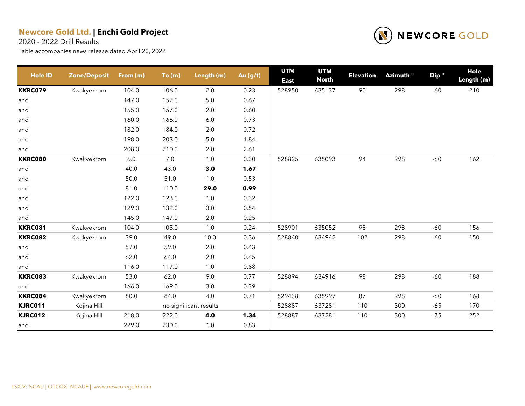2020 - 2022 Drill Results



| <b>Hole ID</b> | <b>Zone/Deposit</b> | From (m) | To(m) | Length (m)             | Au (g/t) | <b>UTM</b><br><b>East</b> | <b>UTM</b><br><b>North</b> | <b>Elevation</b> | Azimuth <sup>o</sup> | Dip <sup>o</sup> | Hole<br>Length (m) |
|----------------|---------------------|----------|-------|------------------------|----------|---------------------------|----------------------------|------------------|----------------------|------------------|--------------------|
| <b>KKRC079</b> | Kwakyekrom          | 104.0    | 106.0 | 2.0                    | 0.23     | 528950                    | 635137                     | 90               | 298                  | $-60$            | 210                |
| and            |                     | 147.0    | 152.0 | $5.0\,$                | 0.67     |                           |                            |                  |                      |                  |                    |
| and            |                     | 155.0    | 157.0 | 2.0                    | 0.60     |                           |                            |                  |                      |                  |                    |
| and            |                     | 160.0    | 166.0 | $6.0\,$                | 0.73     |                           |                            |                  |                      |                  |                    |
| and            |                     | 182.0    | 184.0 | 2.0                    | 0.72     |                           |                            |                  |                      |                  |                    |
| and            |                     | 198.0    | 203.0 | $5.0$                  | 1.84     |                           |                            |                  |                      |                  |                    |
| and            |                     | 208.0    | 210.0 | $2.0\,$                | 2.61     |                           |                            |                  |                      |                  |                    |
| <b>KKRC080</b> | Kwakyekrom          | $6.0\,$  | 7.0   | $1.0$                  | 0.30     | 528825                    | 635093                     | 94               | 298                  | $-60$            | 162                |
| and            |                     | 40.0     | 43.0  | 3.0                    | 1.67     |                           |                            |                  |                      |                  |                    |
| and            |                     | 50.0     | 51.0  | $1.0$                  | 0.53     |                           |                            |                  |                      |                  |                    |
| and            |                     | 81.0     | 110.0 | 29.0                   | 0.99     |                           |                            |                  |                      |                  |                    |
| and            |                     | 122.0    | 123.0 | $1.0$                  | 0.32     |                           |                            |                  |                      |                  |                    |
| and            |                     | 129.0    | 132.0 | 3.0                    | 0.54     |                           |                            |                  |                      |                  |                    |
| and            |                     | 145.0    | 147.0 | $2.0\,$                | 0.25     |                           |                            |                  |                      |                  |                    |
| <b>KKRC081</b> | Kwakyekrom          | 104.0    | 105.0 | 1.0                    | 0.24     | 528901                    | 635052                     | 98               | 298                  | $-60$            | 156                |
| <b>KKRC082</b> | Kwakyekrom          | 39.0     | 49.0  | 10.0                   | 0.36     | 528840                    | 634942                     | 102              | 298                  | $-60$            | 150                |
| and            |                     | 57.0     | 59.0  | 2.0                    | 0.43     |                           |                            |                  |                      |                  |                    |
| and            |                     | 62.0     | 64.0  | 2.0                    | 0.45     |                           |                            |                  |                      |                  |                    |
| and            |                     | 116.0    | 117.0 | $1.0$                  | 0.88     |                           |                            |                  |                      |                  |                    |
| <b>KKRC083</b> | Kwakyekrom          | 53.0     | 62.0  | 9.0                    | 0.77     | 528894                    | 634916                     | 98               | 298                  | $-60$            | 188                |
| and            |                     | 166.0    | 169.0 | 3.0                    | 0.39     |                           |                            |                  |                      |                  |                    |
| KKRC084        | Kwakyekrom          | 80.0     | 84.0  | 4.0                    | 0.71     | 529438                    | 635997                     | 87               | 298                  | $-60$            | 168                |
| <b>KJRC011</b> | Kojina Hill         |          |       | no significant results |          | 528887                    | 637281                     | 110              | 300                  | $-65$            | 170                |
| <b>KJRC012</b> | Kojina Hill         | 218.0    | 222.0 | 4.0                    | 1.34     | 528887                    | 637281                     | 110              | 300                  | $-75$            | 252                |
| and            |                     | 229.0    | 230.0 | 1.0                    | 0.83     |                           |                            |                  |                      |                  |                    |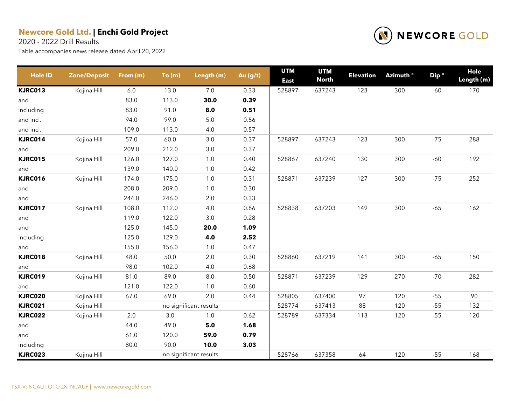2020 - 2022 Drill Results



| <b>Hole ID</b> | <b>Zone/Deposit</b> | From (m) | To(m) | Length (m)             | Au (g/t) | <b>UTM</b><br><b>East</b> | <b>UTM</b><br><b>North</b> | <b>Elevation</b> | Azimuth <sup>o</sup> | Dip <sup>o</sup> | Hole<br>Length (m) |
|----------------|---------------------|----------|-------|------------------------|----------|---------------------------|----------------------------|------------------|----------------------|------------------|--------------------|
| <b>KJRC013</b> | Kojina Hill         | 6.0      | 13.0  | 7.0                    | 0.33     | 528897                    | 637243                     | 123              | 300                  | $-60$            | 170                |
| and            |                     | 83.0     | 113.0 | 30.0                   | 0.39     |                           |                            |                  |                      |                  |                    |
| including      |                     | 83.0     | 91.0  | 8.0                    | 0.51     |                           |                            |                  |                      |                  |                    |
| and incl.      |                     | 94.0     | 99.0  | $5.0\,$                | 0.56     |                           |                            |                  |                      |                  |                    |
| and incl.      |                     | 109.0    | 113.0 | $4.0$                  | 0.57     |                           |                            |                  |                      |                  |                    |
| KJRC014        | Kojina Hill         | 57.0     | 60.0  | $3.0\,$                | 0.37     | 528897                    | 637243                     | 123              | 300                  | $-75$            | 288                |
| and            |                     | 209.0    | 212.0 | $3.0\,$                | 0.37     |                           |                            |                  |                      |                  |                    |
| <b>KJRC015</b> | Kojina Hill         | 126.0    | 127.0 | 1.0                    | 0.40     | 528867                    | 637240                     | 130              | 300                  | $-60$            | 192                |
| and            |                     | 139.0    | 140.0 | 1.0                    | 0.42     |                           |                            |                  |                      |                  |                    |
| <b>KJRC016</b> | Kojina Hill         | 174.0    | 175.0 | 1.0                    | 0.31     | 528871                    | 637239                     | 127              | 300                  | $-75$            | 252                |
| and            |                     | 208.0    | 209.0 | 1.0                    | 0.30     |                           |                            |                  |                      |                  |                    |
| and            |                     | 244.0    | 246.0 | $2.0\,$                | 0.33     |                           |                            |                  |                      |                  |                    |
| <b>KJRC017</b> | Kojina Hill         | 108.0    | 112.0 | 4.0                    | 0.86     | 528838                    | 637203                     | 149              | 300                  | $-65$            | 162                |
| and            |                     | 119.0    | 122.0 | $3.0\,$                | 0.28     |                           |                            |                  |                      |                  |                    |
| and            |                     | 125.0    | 145.0 | 20.0                   | 1.09     |                           |                            |                  |                      |                  |                    |
| including      |                     | 125.0    | 129.0 | 4.0                    | 2.52     |                           |                            |                  |                      |                  |                    |
| and            |                     | 155.0    | 156.0 | 1.0                    | 0.47     |                           |                            |                  |                      |                  |                    |
| <b>KJRC018</b> | Kojina Hill         | 48.0     | 50.0  | $2.0\,$                | 0.30     | 528860                    | 637219                     | 141              | 300                  | $-65$            | 150                |
| and            |                     | 98.0     | 102.0 | 4.0                    | 0.68     |                           |                            |                  |                      |                  |                    |
| <b>KJRC019</b> | Kojina Hill         | 81.0     | 89.0  | $8.0\,$                | 0.50     | 528871                    | 637239                     | 129              | 270                  | $-70$            | 282                |
| and            |                     | 121.0    | 122.0 | 1.0                    | 0.60     |                           |                            |                  |                      |                  |                    |
| <b>KJRC020</b> | Kojina Hill         | 67.0     | 69.0  | 2.0                    | 0.44     | 528805                    | 637400                     | 97               | 120                  | $-55$            | 90                 |
| <b>KJRC021</b> | Kojina Hill         |          |       | no significant results |          | 528774                    | 637413                     | 88               | 120                  | $-55$            | 132                |
| <b>KJRC022</b> | Kojina Hill         | 2.0      | 3.0   | 1.0                    | 0.62     | 528789                    | 637334                     | 113              | 120                  | $-55$            | 120                |
| and            |                     | 44.0     | 49.0  | 5.0                    | 1.68     |                           |                            |                  |                      |                  |                    |
| and            |                     | 61.0     | 120.0 | 59.0                   | 0.79     |                           |                            |                  |                      |                  |                    |
| including      |                     | 80.0     | 90.0  | 10.0                   | 3.03     |                           |                            |                  |                      |                  |                    |
| <b>KJRC023</b> | Kojina Hill         |          |       | no significant results |          | 528766                    | 637358                     | 64               | 120                  | $-55$            | 168                |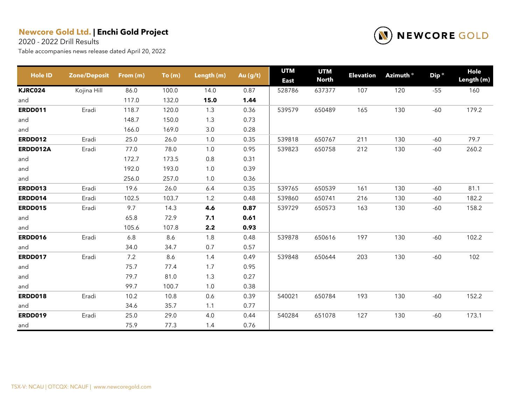2020 - 2022 Drill Results



| <b>Hole ID</b> | <b>Zone/Deposit</b> | From (m) | To(m) | Length (m) | Au (g/t) | <b>UTM</b><br><b>East</b> | <b>UTM</b><br><b>North</b> | <b>Elevation</b> | Azimuth ° | Dip <sup>o</sup> | Hole<br>Length (m) |
|----------------|---------------------|----------|-------|------------|----------|---------------------------|----------------------------|------------------|-----------|------------------|--------------------|
| <b>KJRC024</b> | Kojina Hill         | 86.0     | 100.0 | 14.0       | 0.87     | 528786                    | 637377                     | 107              | 120       | $-55$            | 160                |
| and            |                     | 117.0    | 132.0 | 15.0       | 1.44     |                           |                            |                  |           |                  |                    |
| <b>ERDD011</b> | Eradi               | 118.7    | 120.0 | 1.3        | 0.36     | 539579                    | 650489                     | 165              | 130       | $-60$            | 179.2              |
| and            |                     | 148.7    | 150.0 | 1.3        | 0.73     |                           |                            |                  |           |                  |                    |
| and            |                     | 166.0    | 169.0 | 3.0        | 0.28     |                           |                            |                  |           |                  |                    |
| <b>ERDD012</b> | Eradi               | 25.0     | 26.0  | 1.0        | 0.35     | 539818                    | 650767                     | 211              | 130       | $-60$            | 79.7               |
| ERDD012A       | Eradi               | 77.0     | 78.0  | 1.0        | 0.95     | 539823                    | 650758                     | 212              | 130       | $-60$            | 260.2              |
| and            |                     | 172.7    | 173.5 | $0.8\,$    | 0.31     |                           |                            |                  |           |                  |                    |
| and            |                     | 192.0    | 193.0 | 1.0        | 0.39     |                           |                            |                  |           |                  |                    |
| and            |                     | 256.0    | 257.0 | 1.0        | 0.36     |                           |                            |                  |           |                  |                    |
| <b>ERDD013</b> | Eradi               | 19.6     | 26.0  | 6.4        | 0.35     | 539765                    | 650539                     | 161              | 130       | $-60$            | 81.1               |
| <b>ERDD014</b> | Eradi               | 102.5    | 103.7 | 1.2        | 0.48     | 539860                    | 650741                     | 216              | 130       | $-60$            | 182.2              |
| <b>ERDD015</b> | Eradi               | 9.7      | 14.3  | 4.6        | 0.87     | 539729                    | 650573                     | 163              | 130       | $-60$            | 158.2              |
| and            |                     | 65.8     | 72.9  | 7.1        | 0.61     |                           |                            |                  |           |                  |                    |
| and            |                     | 105.6    | 107.8 | 2.2        | 0.93     |                           |                            |                  |           |                  |                    |
| <b>ERDD016</b> | Eradi               | 6.8      | 8.6   | 1.8        | 0.48     | 539878                    | 650616                     | 197              | 130       | $-60$            | 102.2              |
| and            |                     | 34.0     | 34.7  | 0.7        | 0.57     |                           |                            |                  |           |                  |                    |
| <b>ERDD017</b> | Eradi               | 7.2      | 8.6   | 1.4        | 0.49     | 539848                    | 650644                     | 203              | 130       | $-60$            | 102                |
| and            |                     | 75.7     | 77.4  | 1.7        | 0.95     |                           |                            |                  |           |                  |                    |
| and            |                     | 79.7     | 81.0  | 1.3        | 0.27     |                           |                            |                  |           |                  |                    |
| and            |                     | 99.7     | 100.7 | 1.0        | 0.38     |                           |                            |                  |           |                  |                    |
| <b>ERDD018</b> | Eradi               | 10.2     | 10.8  | 0.6        | 0.39     | 540021                    | 650784                     | 193              | 130       | $-60$            | 152.2              |
| and            |                     | 34.6     | 35.7  | 1.1        | 0.77     |                           |                            |                  |           |                  |                    |
| <b>ERDD019</b> | Eradi               | 25.0     | 29.0  | 4.0        | 0.44     | 540284                    | 651078                     | 127              | 130       | $-60$            | 173.1              |
| and            |                     | 75.9     | 77.3  | 1.4        | 0.76     |                           |                            |                  |           |                  |                    |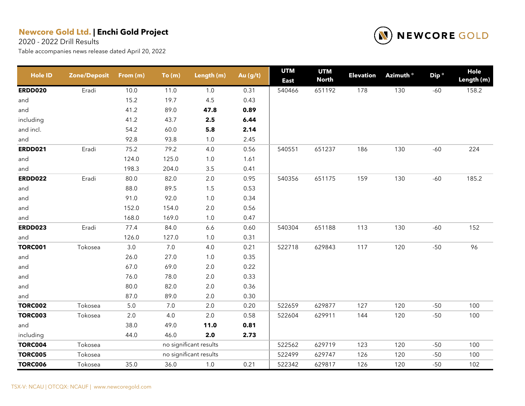2020 - 2022 Drill Results



| <b>Hole ID</b> | <b>Zone/Deposit</b> | From (m) | To(m)   | Length (m)             | Au (g/t) | <b>UTM</b><br><b>East</b> | <b>UTM</b><br><b>North</b> | <b>Elevation</b> | Azimuth ° | Dip <sup>o</sup> | <b>Hole</b><br>Length (m) |
|----------------|---------------------|----------|---------|------------------------|----------|---------------------------|----------------------------|------------------|-----------|------------------|---------------------------|
| <b>ERDD020</b> | Eradi               | 10.0     | 11.0    | $1.0\,$                | 0.31     | 540466                    | 651192                     | 178              | 130       | $-60$            | 158.2                     |
| and            |                     | 15.2     | 19.7    | 4.5                    | 0.43     |                           |                            |                  |           |                  |                           |
| and            |                     | 41.2     | 89.0    | 47.8                   | 0.89     |                           |                            |                  |           |                  |                           |
| including      |                     | 41.2     | 43.7    | 2.5                    | 6.44     |                           |                            |                  |           |                  |                           |
| and incl.      |                     | 54.2     | 60.0    | 5.8                    | 2.14     |                           |                            |                  |           |                  |                           |
| and            |                     | 92.8     | 93.8    | $1.0\,$                | 2.45     |                           |                            |                  |           |                  |                           |
| <b>ERDD021</b> | Eradi               | 75.2     | 79.2    | 4.0                    | 0.56     | 540551                    | 651237                     | 186              | 130       | $-60$            | 224                       |
| and            |                     | 124.0    | 125.0   | $1.0$                  | 1.61     |                           |                            |                  |           |                  |                           |
| and            |                     | 198.3    | 204.0   | 3.5                    | 0.41     |                           |                            |                  |           |                  |                           |
| <b>ERDD022</b> | Eradi               | 80.0     | 82.0    | $2.0\,$                | 0.95     | 540356                    | 651175                     | 159              | 130       | $-60$            | 185.2                     |
| and            |                     | 88.0     | 89.5    | $1.5\,$                | 0.53     |                           |                            |                  |           |                  |                           |
| and            |                     | 91.0     | 92.0    | $1.0$                  | 0.34     |                           |                            |                  |           |                  |                           |
| and            |                     | 152.0    | 154.0   | $2.0\,$                | 0.56     |                           |                            |                  |           |                  |                           |
| and            |                     | 168.0    | 169.0   | $1.0$                  | 0.47     |                           |                            |                  |           |                  |                           |
| <b>ERDD023</b> | Eradi               | 77.4     | 84.0    | 6.6                    | 0.60     | 540304                    | 651188                     | 113              | 130       | $-60$            | 152                       |
| and            |                     | 126.0    | 127.0   | 1.0                    | 0.31     |                           |                            |                  |           |                  |                           |
| <b>TORC001</b> | Tokosea             | 3.0      | $7.0$   | 4.0                    | 0.21     | 522718                    | 629843                     | 117              | 120       | $-50$            | 96                        |
| and            |                     | 26.0     | 27.0    | $1.0$                  | 0.35     |                           |                            |                  |           |                  |                           |
| and            |                     | 67.0     | 69.0    | $2.0\,$                | 0.22     |                           |                            |                  |           |                  |                           |
| and            |                     | 76.0     | 78.0    | $2.0\,$                | 0.33     |                           |                            |                  |           |                  |                           |
| and            |                     | 80.0     | 82.0    | $2.0\,$                | 0.36     |                           |                            |                  |           |                  |                           |
| and            |                     | 87.0     | 89.0    | 2.0                    | 0.30     |                           |                            |                  |           |                  |                           |
| <b>TORC002</b> | Tokosea             | 5.0      | 7.0     | 2.0                    | 0.20     | 522659                    | 629877                     | 127              | 120       | $-50$            | 100                       |
| <b>TORC003</b> | Tokosea             | $2.0\,$  | $4.0\,$ | $2.0\,$                | 0.58     | 522604                    | 629911                     | 144              | 120       | $-50$            | 100                       |
| and            |                     | 38.0     | 49.0    | 11.0                   | 0.81     |                           |                            |                  |           |                  |                           |
| including      |                     | 44.0     | 46.0    | 2.0                    | 2.73     |                           |                            |                  |           |                  |                           |
| <b>TORC004</b> | Tokosea             |          |         | no significant results |          | 522562                    | 629719                     | 123              | 120       | $-50$            | 100                       |
| <b>TORC005</b> | Tokosea             |          |         | no significant results |          | 522499                    | 629747                     | 126              | 120       | $-50$            | 100                       |
| <b>TORC006</b> | Tokosea             | 35.0     | 36.0    | $1.0\,$                | 0.21     | 522342                    | 629817                     | 126              | 120       | $-50$            | 102                       |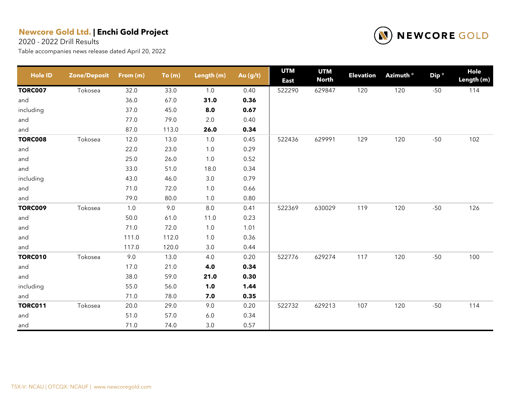2020 - 2022 Drill Results



| <b>Hole ID</b> | <b>Zone/Deposit</b> | From (m) | To(m) | Length (m) | Au (g/t) | <b>UTM</b><br><b>East</b> | <b>UTM</b><br><b>North</b> | <b>Elevation</b> | Azimuth <sup>o</sup> | Dip <sup>o</sup> | Hole<br>Length (m) |
|----------------|---------------------|----------|-------|------------|----------|---------------------------|----------------------------|------------------|----------------------|------------------|--------------------|
| <b>TORC007</b> | Tokosea             | 32.0     | 33.0  | 1.0        | 0.40     | 522290                    | 629847                     | 120              | 120                  | $-50$            | 114                |
| and            |                     | 36.0     | 67.0  | 31.0       | 0.36     |                           |                            |                  |                      |                  |                    |
| including      |                     | 37.0     | 45.0  | 8.0        | 0.67     |                           |                            |                  |                      |                  |                    |
| and            |                     | 77.0     | 79.0  | $2.0\,$    | 0.40     |                           |                            |                  |                      |                  |                    |
| and            |                     | 87.0     | 113.0 | 26.0       | 0.34     |                           |                            |                  |                      |                  |                    |
| <b>TORC008</b> | Tokosea             | 12.0     | 13.0  | $1.0\,$    | 0.45     | 522436                    | 629991                     | 129              | 120                  | $-50$            | 102                |
| and            |                     | 22.0     | 23.0  | $1.0$      | 0.29     |                           |                            |                  |                      |                  |                    |
| and            |                     | 25.0     | 26.0  | $1.0$      | 0.52     |                           |                            |                  |                      |                  |                    |
| and            |                     | 33.0     | 51.0  | 18.0       | 0.34     |                           |                            |                  |                      |                  |                    |
| including      |                     | 43.0     | 46.0  | $3.0\,$    | 0.79     |                           |                            |                  |                      |                  |                    |
| and            |                     | 71.0     | 72.0  | $1.0\,$    | 0.66     |                           |                            |                  |                      |                  |                    |
| and            |                     | 79.0     | 80.0  | 1.0        | 0.80     |                           |                            |                  |                      |                  |                    |
| <b>TORC009</b> | Tokosea             | 1.0      | 9.0   | $8.0\,$    | 0.41     | 522369                    | 630029                     | 119              | 120                  | $-50$            | 126                |
| and            |                     | 50.0     | 61.0  | 11.0       | 0.23     |                           |                            |                  |                      |                  |                    |
| and            |                     | 71.0     | 72.0  | $1.0$      | 1.01     |                           |                            |                  |                      |                  |                    |
| and            |                     | 111.0    | 112.0 | $1.0$      | 0.36     |                           |                            |                  |                      |                  |                    |
| and            |                     | 117.0    | 120.0 | $3.0\,$    | 0.44     |                           |                            |                  |                      |                  |                    |
| <b>TORC010</b> | Tokosea             | 9.0      | 13.0  | 4.0        | 0.20     | 522776                    | 629274                     | 117              | 120                  | $-50$            | 100                |
| and            |                     | 17.0     | 21.0  | 4.0        | 0.34     |                           |                            |                  |                      |                  |                    |
| and            |                     | 38.0     | 59.0  | 21.0       | 0.30     |                           |                            |                  |                      |                  |                    |
| including      |                     | 55.0     | 56.0  | 1.0        | 1.44     |                           |                            |                  |                      |                  |                    |
| and            |                     | 71.0     | 78.0  | 7.0        | 0.35     |                           |                            |                  |                      |                  |                    |
| <b>TORC011</b> | Tokosea             | 20.0     | 29.0  | 9.0        | 0.20     | 522732                    | 629213                     | 107              | 120                  | $-50$            | 114                |
| and            |                     | 51.0     | 57.0  | $6.0\,$    | 0.34     |                           |                            |                  |                      |                  |                    |
| and            |                     | 71.0     | 74.0  | 3.0        | 0.57     |                           |                            |                  |                      |                  |                    |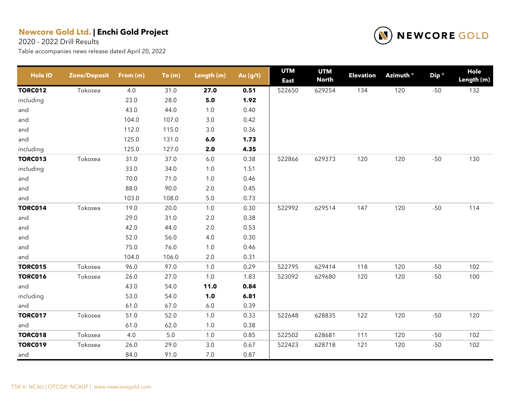2020 - 2022 Drill Results



| <b>Hole ID</b> | <b>Zone/Deposit</b> | From (m) | To(m)   | Length (m) | Au (g/t) | <b>UTM</b><br><b>East</b> | <b>UTM</b><br><b>North</b> | <b>Elevation</b> | Azimuth <sup>o</sup> | Dip <sup>o</sup> | Hole<br>Length (m) |
|----------------|---------------------|----------|---------|------------|----------|---------------------------|----------------------------|------------------|----------------------|------------------|--------------------|
| <b>TORC012</b> | Tokosea             | 4.0      | 31.0    | 27.0       | 0.51     | 522650                    | 629254                     | 134              | 120                  | $-50$            | 132                |
| including      |                     | 23.0     | 28.0    | $5.0$      | 1.92     |                           |                            |                  |                      |                  |                    |
| and            |                     | 43.0     | 44.0    | $1.0$      | 0.40     |                           |                            |                  |                      |                  |                    |
| and            |                     | 104.0    | 107.0   | 3.0        | 0.42     |                           |                            |                  |                      |                  |                    |
| and            |                     | 112.0    | 115.0   | $3.0\,$    | 0.36     |                           |                            |                  |                      |                  |                    |
| and            |                     | 125.0    | 131.0   | 6.0        | 1.73     |                           |                            |                  |                      |                  |                    |
| including      |                     | 125.0    | 127.0   | 2.0        | 4.35     |                           |                            |                  |                      |                  |                    |
| <b>TORC013</b> | Tokosea             | 31.0     | 37.0    | $6.0\,$    | 0.38     | 522866                    | 629373                     | 120              | 120                  | $-50$            | 130                |
| including      |                     | 33.0     | 34.0    | $1.0\,$    | 1.51     |                           |                            |                  |                      |                  |                    |
| and            |                     | 70.0     | 71.0    | 1.0        | 0.46     |                           |                            |                  |                      |                  |                    |
| and            |                     | 88.0     | 90.0    | $2.0\,$    | 0.45     |                           |                            |                  |                      |                  |                    |
| and            |                     | 103.0    | 108.0   | $5.0\,$    | 0.73     |                           |                            |                  |                      |                  |                    |
| <b>TORC014</b> | Tokosea             | 19.0     | 20.0    | $1.0$      | 0.30     | 522992                    | 629514                     | 147              | 120                  | $-50$            | 114                |
| and            |                     | 29.0     | 31.0    | $2.0\,$    | 0.38     |                           |                            |                  |                      |                  |                    |
| and            |                     | 42.0     | 44.0    | $2.0\,$    | 0.53     |                           |                            |                  |                      |                  |                    |
| and            |                     | 52.0     | 56.0    | 4.0        | 0.30     |                           |                            |                  |                      |                  |                    |
| and            |                     | 75.0     | 76.0    | 1.0        | 0.46     |                           |                            |                  |                      |                  |                    |
| and            |                     | 104.0    | 106.0   | $2.0\,$    | 0.31     |                           |                            |                  |                      |                  |                    |
| <b>TORC015</b> | Tokosea             | 96.0     | 97.0    | 1.0        | 0.29     | 522795                    | 629414                     | 118              | 120                  | $-50$            | 102                |
| <b>TORC016</b> | Tokosea             | 26.0     | 27.0    | 1.0        | 1.83     | 523092                    | 629680                     | 120              | 120                  | $-50$            | 100                |
| and            |                     | 43.0     | 54.0    | 11.0       | 0.84     |                           |                            |                  |                      |                  |                    |
| including      |                     | 53.0     | 54.0    | 1.0        | 6.81     |                           |                            |                  |                      |                  |                    |
| and            |                     | 61.0     | 67.0    | $6.0\,$    | 0.39     |                           |                            |                  |                      |                  |                    |
| <b>TORC017</b> | Tokosea             | 51.0     | 52.0    | 1.0        | 0.33     | 522648                    | 628835                     | 122              | 120                  | $-50$            | 120                |
| and            |                     | 61.0     | 62.0    | $1.0$      | 0.38     |                           |                            |                  |                      |                  |                    |
| <b>TORC018</b> | Tokosea             | 4.0      | $5.0\,$ | $1.0$      | 0.85     | 522502                    | 628681                     | 111              | 120                  | $-50$            | 102                |
| <b>TORC019</b> | Tokosea             | 26.0     | 29.0    | $3.0\,$    | 0.67     | 522423                    | 628718                     | 121              | 120                  | $-50$            | 102                |
| and            |                     | 84.0     | 91.0    | 7.0        | 0.87     |                           |                            |                  |                      |                  |                    |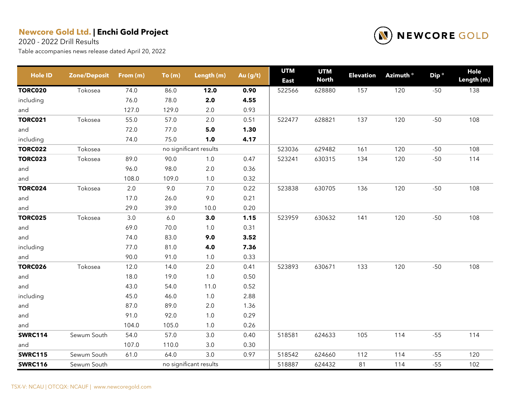2020 - 2022 Drill Results



| <b>Hole ID</b> | <b>Zone/Deposit</b> | From (m) | To(m) | Length (m)             | Au (g/t) | <b>UTM</b><br><b>East</b> | <b>UTM</b><br><b>North</b> | <b>Elevation</b> | Azimuth ° | Dip <sup>o</sup> | Hole<br>Length (m) |
|----------------|---------------------|----------|-------|------------------------|----------|---------------------------|----------------------------|------------------|-----------|------------------|--------------------|
| <b>TORC020</b> | Tokosea             | 74.0     | 86.0  | 12.0                   | 0.90     | 522566                    | 628880                     | 157              | 120       | $-50$            | 138                |
| including      |                     | 76.0     | 78.0  | 2.0                    | 4.55     |                           |                            |                  |           |                  |                    |
| and            |                     | 127.0    | 129.0 | 2.0                    | 0.93     |                           |                            |                  |           |                  |                    |
| <b>TORC021</b> | Tokosea             | 55.0     | 57.0  | 2.0                    | 0.51     | 522477                    | 628821                     | 137              | 120       | $-50$            | 108                |
| and            |                     | 72.0     | 77.0  | 5.0                    | 1.30     |                           |                            |                  |           |                  |                    |
| including      |                     | 74.0     | 75.0  | 1.0                    | 4.17     |                           |                            |                  |           |                  |                    |
| <b>TORC022</b> | Tokosea             |          |       | no significant results |          | 523036                    | 629482                     | 161              | 120       | $-50$            | 108                |
| <b>TORC023</b> | Tokosea             | 89.0     | 90.0  | $1.0$                  | 0.47     | 523241                    | 630315                     | 134              | 120       | $-50$            | 114                |
| and            |                     | 96.0     | 98.0  | 2.0                    | 0.36     |                           |                            |                  |           |                  |                    |
| and            |                     | 108.0    | 109.0 | $1.0$                  | 0.32     |                           |                            |                  |           |                  |                    |
| <b>TORC024</b> | Tokosea             | $2.0\,$  | 9.0   | $7.0\,$                | 0.22     | 523838                    | 630705                     | 136              | 120       | $-50$            | 108                |
| and            |                     | 17.0     | 26.0  | $9.0\,$                | 0.21     |                           |                            |                  |           |                  |                    |
| and            |                     | 29.0     | 39.0  | 10.0                   | 0.20     |                           |                            |                  |           |                  |                    |
| <b>TORC025</b> | Tokosea             | 3.0      | $6.0$ | 3.0                    | 1.15     | 523959                    | 630632                     | 141              | 120       | $-50$            | 108                |
| and            |                     | 69.0     | 70.0  | $1.0\,$                | 0.31     |                           |                            |                  |           |                  |                    |
| and            |                     | 74.0     | 83.0  | 9.0                    | 3.52     |                           |                            |                  |           |                  |                    |
| including      |                     | 77.0     | 81.0  | 4.0                    | 7.36     |                           |                            |                  |           |                  |                    |
| and            |                     | 90.0     | 91.0  | 1.0                    | 0.33     |                           |                            |                  |           |                  |                    |
| <b>TORC026</b> | Tokosea             | 12.0     | 14.0  | $2.0\,$                | 0.41     | 523893                    | 630671                     | 133              | 120       | $-50$            | 108                |
| and            |                     | 18.0     | 19.0  | $1.0\,$                | 0.50     |                           |                            |                  |           |                  |                    |
| and            |                     | 43.0     | 54.0  | 11.0                   | 0.52     |                           |                            |                  |           |                  |                    |
| including      |                     | 45.0     | 46.0  | $1.0\,$                | 2.88     |                           |                            |                  |           |                  |                    |
| and            |                     | 87.0     | 89.0  | $2.0\,$                | 1.36     |                           |                            |                  |           |                  |                    |
| and            |                     | 91.0     | 92.0  | $1.0\,$                | 0.29     |                           |                            |                  |           |                  |                    |
| and            |                     | 104.0    | 105.0 | 1.0                    | 0.26     |                           |                            |                  |           |                  |                    |
| <b>SWRC114</b> | Sewum South         | 54.0     | 57.0  | $3.0\,$                | 0.40     | 518581                    | 624633                     | 105              | 114       | $-55$            | 114                |
| and            |                     | 107.0    | 110.0 | 3.0                    | 0.30     |                           |                            |                  |           |                  |                    |
| <b>SWRC115</b> | Sewum South         | 61.0     | 64.0  | 3.0                    | 0.97     | 518542                    | 624660                     | 112              | 114       | $-55$            | 120                |
| <b>SWRC116</b> | Sewum South         |          |       | no significant results |          | 518887                    | 624432                     | 81               | 114       | $-55$            | 102                |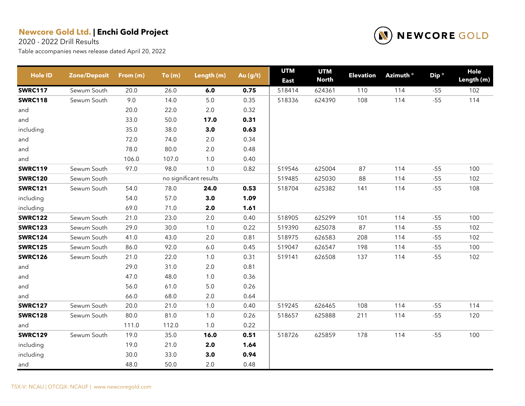2020 - 2022 Drill Results



| <b>Hole ID</b> | <b>Zone/Deposit</b> | From (m) | To(m) | Length (m)             | Au $(g/t)$ | <b>UTM</b><br><b>East</b> | <b>UTM</b><br><b>North</b> | <b>Elevation</b> | Azimuth ° | Dip <sup>o</sup> | Hole<br>Length (m) |
|----------------|---------------------|----------|-------|------------------------|------------|---------------------------|----------------------------|------------------|-----------|------------------|--------------------|
| <b>SWRC117</b> | Sewum South         | 20.0     | 26.0  | 6.0                    | 0.75       | 518414                    | 624361                     | 110              | 114       | $-55$            | 102                |
| <b>SWRC118</b> | Sewum South         | 9.0      | 14.0  | $5.0\,$                | 0.35       | 518336                    | 624390                     | 108              | 114       | $-55$            | 114                |
| and            |                     | 20.0     | 22.0  | $2.0\,$                | 0.32       |                           |                            |                  |           |                  |                    |
| and            |                     | 33.0     | 50.0  | 17.0                   | 0.31       |                           |                            |                  |           |                  |                    |
| including      |                     | 35.0     | 38.0  | 3.0                    | 0.63       |                           |                            |                  |           |                  |                    |
| and            |                     | 72.0     | 74.0  | $2.0\,$                | 0.34       |                           |                            |                  |           |                  |                    |
| and            |                     | 78.0     | 80.0  | $2.0\,$                | 0.48       |                           |                            |                  |           |                  |                    |
| and            |                     | 106.0    | 107.0 | $1.0$                  | 0.40       |                           |                            |                  |           |                  |                    |
| <b>SWRC119</b> | Sewum South         | 97.0     | 98.0  | 1.0                    | 0.82       | 519546                    | 625004                     | 87               | 114       | $-55$            | 100                |
| <b>SWRC120</b> | Sewum South         |          |       | no significant results |            | 519485                    | 625030                     | 88               | 114       | $-55$            | 102                |
| <b>SWRC121</b> | Sewum South         | 54.0     | 78.0  | 24.0                   | 0.53       | 518704                    | 625382                     | 141              | 114       | $-55$            | 108                |
| including      |                     | 54.0     | 57.0  | 3.0                    | 1.09       |                           |                            |                  |           |                  |                    |
| including      |                     | 69.0     | 71.0  | 2.0                    | 1.61       |                           |                            |                  |           |                  |                    |
| <b>SWRC122</b> | Sewum South         | 21.0     | 23.0  | 2.0                    | 0.40       | 518905                    | 625299                     | 101              | 114       | $-55$            | 100                |
| <b>SWRC123</b> | Sewum South         | 29.0     | 30.0  | 1.0                    | 0.22       | 519390                    | 625078                     | 87               | 114       | $-55$            | 102                |
| <b>SWRC124</b> | Sewum South         | 41.0     | 43.0  | 2.0                    | 0.81       | 518975                    | 626583                     | 208              | 114       | $-55$            | 102                |
| <b>SWRC125</b> | Sewum South         | 86.0     | 92.0  | $6.0\,$                | 0.45       | 519047                    | 626547                     | 198              | 114       | $-55$            | 100                |
| <b>SWRC126</b> | Sewum South         | 21.0     | 22.0  | 1.0                    | 0.31       | 519141                    | 626508                     | 137              | 114       | $-55$            | 102                |
| and            |                     | 29.0     | 31.0  | $2.0\,$                | 0.81       |                           |                            |                  |           |                  |                    |
| and            |                     | 47.0     | 48.0  | 1.0                    | 0.36       |                           |                            |                  |           |                  |                    |
| and            |                     | 56.0     | 61.0  | $5.0\,$                | 0.26       |                           |                            |                  |           |                  |                    |
| and            |                     | 66.0     | 68.0  | 2.0                    | 0.64       |                           |                            |                  |           |                  |                    |
| <b>SWRC127</b> | Sewum South         | 20.0     | 21.0  | 1.0                    | 0.40       | 519245                    | 626465                     | 108              | 114       | $-55$            | 114                |
| <b>SWRC128</b> | Sewum South         | 80.0     | 81.0  | 1.0                    | 0.26       | 518657                    | 625888                     | 211              | 114       | $-55$            | 120                |
| and            |                     | 111.0    | 112.0 | 1.0                    | 0.22       |                           |                            |                  |           |                  |                    |
| <b>SWRC129</b> | Sewum South         | 19.0     | 35.0  | 16.0                   | 0.51       | 518726                    | 625859                     | 178              | 114       | $-55$            | 100                |
| including      |                     | 19.0     | 21.0  | 2.0                    | 1.64       |                           |                            |                  |           |                  |                    |
| including      |                     | 30.0     | 33.0  | 3.0                    | 0.94       |                           |                            |                  |           |                  |                    |
| and            |                     | 48.0     | 50.0  | 2.0                    | 0.48       |                           |                            |                  |           |                  |                    |